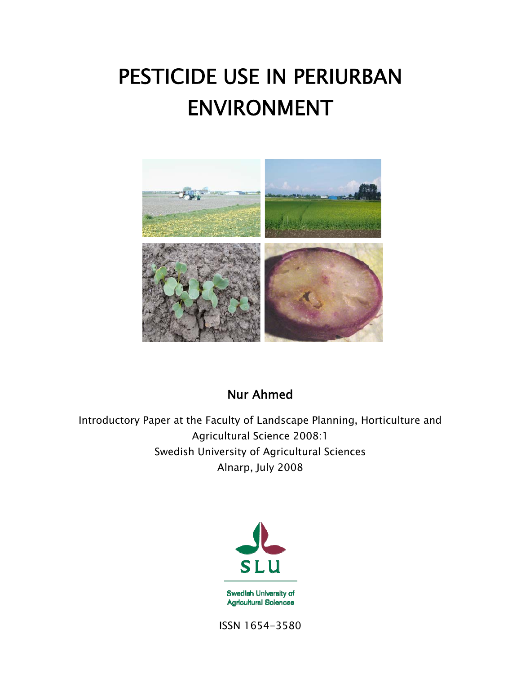# PESTICIDE USE IN PERIURBAN ENVIRONMENT



# Nur Ahmed

Introductory Paper at the Faculty of Landscape Planning, Horticulture and Agricultural Science 2008:1 Swedish University of Agricultural Sciences Alnarp, July 2008



ISSN 1654-3580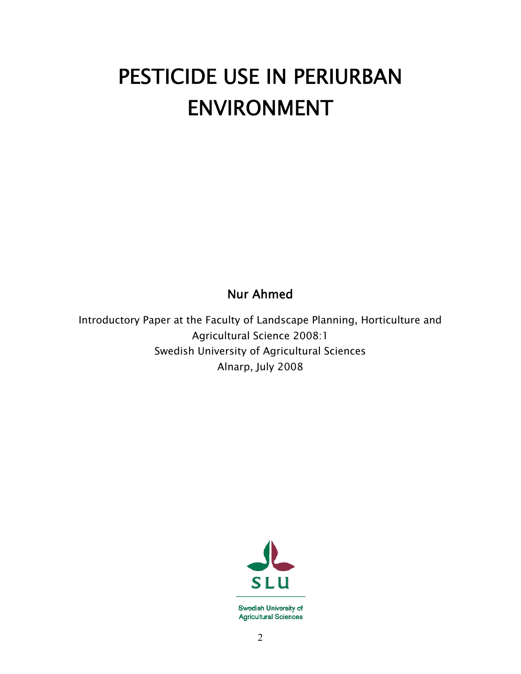# PESTICIDE USE IN PERIURBAN ENVIRONMENT

Nur Ahmed

Introductory Paper at the Faculty of Landscape Planning, Horticulture and Agricultural Science 2008:1 Swedish University of Agricultural Sciences Alnarp, July 2008



Swedish University of **Agricultural Sciences**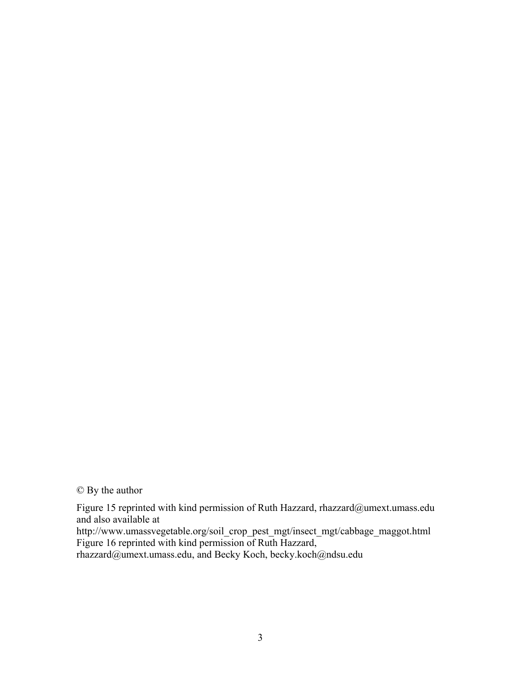© By the author

Figure 15 reprinted with kind permission of Ruth Hazzard, [rhazzard@umext.umass.edu](mailto:rhazzard@umext.umass.edu) and also available at

[http://www.umassvegetable.org/soil\\_crop\\_pest\\_mgt/insect\\_mgt/cabbage\\_maggot.html](http://www.umassvegetable.org/soil_crop_pest_mgt/insect_mgt/cabbage_maggot.html) Figure 16 reprinted with kind permission of Ruth Hazzard,

[rhazzard@umext.umass.edu,](mailto:rhazzard@umext.umass.edu) and Becky Koch, [becky.koch@ndsu.edu](mailto:becky.koch@ndsu.edu)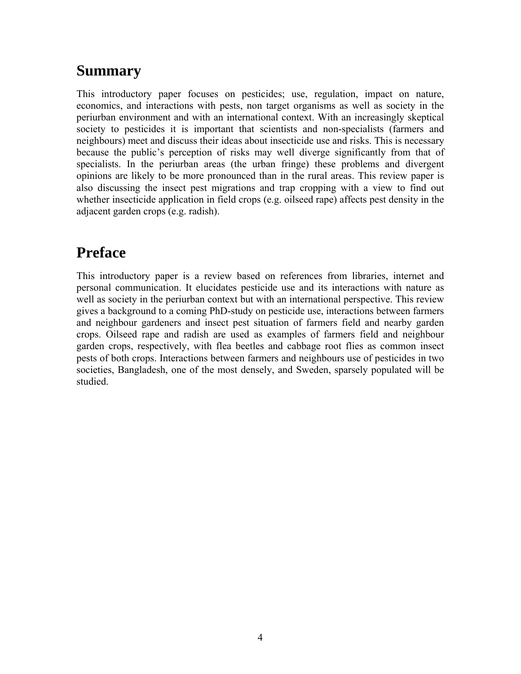# **Summary**

This introductory paper focuses on pesticides; use, regulation, impact on nature, economics, and interactions with pests, non target organisms as well as society in the periurban environment and with an international context. With an increasingly skeptical society to pesticides it is important that scientists and non-specialists (farmers and neighbours) meet and discuss their ideas about insecticide use and risks. This is necessary because the public's perception of risks may well diverge significantly from that of specialists. In the periurban areas (the urban fringe) these problems and divergent opinions are likely to be more pronounced than in the rural areas. This review paper is also discussing the insect pest migrations and trap cropping with a view to find out whether insecticide application in field crops (e.g. oilseed rape) affects pest density in the adjacent garden crops (e.g. radish).

# **Preface**

This introductory paper is a review based on references from libraries, internet and personal communication. It elucidates pesticide use and its interactions with nature as well as society in the periurban context but with an international perspective. This review gives a background to a coming PhD-study on pesticide use, interactions between farmers and neighbour gardeners and insect pest situation of farmers field and nearby garden crops. Oilseed rape and radish are used as examples of farmers field and neighbour garden crops, respectively, with flea beetles and cabbage root flies as common insect pests of both crops. Interactions between farmers and neighbours use of pesticides in two societies, Bangladesh, one of the most densely, and Sweden, sparsely populated will be studied.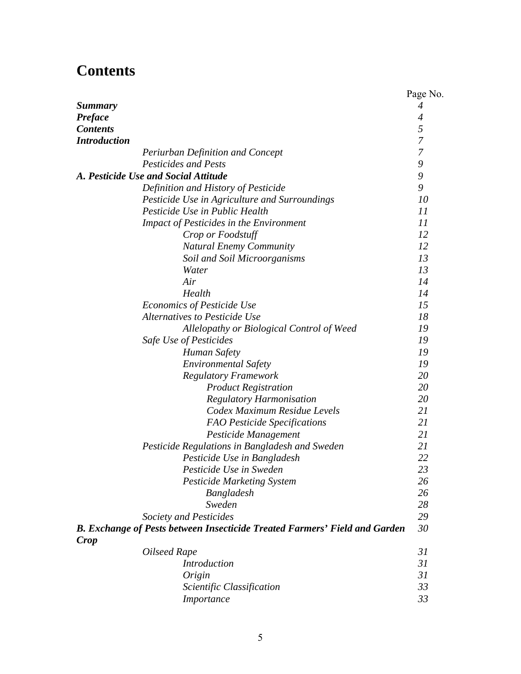# **Contents**

|                     |                                                                                   | Page No.                                   |
|---------------------|-----------------------------------------------------------------------------------|--------------------------------------------|
| <b>Summary</b>      |                                                                                   | $\overline{4}$                             |
| Preface             |                                                                                   | $\overline{\mathcal{A}}$                   |
| <b>Contents</b>     |                                                                                   |                                            |
| <b>Introduction</b> |                                                                                   | $\begin{array}{c} 5 \\ 7 \\ 7 \end{array}$ |
|                     | Periurban Definition and Concept                                                  |                                            |
|                     | <b>Pesticides and Pests</b>                                                       | 9                                          |
|                     | A. Pesticide Use and Social Attitude                                              | 9                                          |
|                     | Definition and History of Pesticide                                               | 9                                          |
|                     | Pesticide Use in Agriculture and Surroundings                                     | 10                                         |
|                     | Pesticide Use in Public Health                                                    | 11                                         |
|                     | <b>Impact of Pesticides in the Environment</b>                                    | 11                                         |
|                     | Crop or Foodstuff                                                                 | 12                                         |
|                     | <b>Natural Enemy Community</b>                                                    | 12                                         |
|                     | Soil and Soil Microorganisms                                                      | 13                                         |
|                     | Water                                                                             | 13                                         |
|                     | Air                                                                               | 14                                         |
|                     | Health                                                                            | 14                                         |
|                     | Economics of Pesticide Use                                                        | 15                                         |
|                     | <b>Alternatives to Pesticide Use</b>                                              | 18                                         |
|                     | Allelopathy or Biological Control of Weed                                         | 19                                         |
|                     | Safe Use of Pesticides                                                            | 19                                         |
|                     | Human Safety                                                                      | 19                                         |
|                     | <b>Environmental Safety</b>                                                       | 19                                         |
|                     | <b>Regulatory Framework</b>                                                       | 20                                         |
|                     | <b>Product Registration</b>                                                       | 20                                         |
|                     | <b>Regulatory Harmonisation</b>                                                   | 20                                         |
|                     | Codex Maximum Residue Levels                                                      | 21                                         |
|                     | <b>FAO</b> Pesticide Specifications                                               | 21                                         |
|                     | Pesticide Management                                                              | 21                                         |
|                     | Pesticide Regulations in Bangladesh and Sweden                                    | 21                                         |
|                     | Pesticide Use in Bangladesh                                                       | 22                                         |
|                     | Pesticide Use in Sweden                                                           | 23                                         |
|                     | <b>Pesticide Marketing System</b>                                                 | 26                                         |
|                     | <b>Bangladesh</b>                                                                 | 26                                         |
|                     | Sweden                                                                            | 28                                         |
|                     | Society and Pesticides                                                            | 29                                         |
| Crop                | <b>B. Exchange of Pests between Insecticide Treated Farmers' Field and Garden</b> | 30                                         |
|                     | <b>Oilseed Rape</b>                                                               | 31                                         |
|                     | <b>Introduction</b>                                                               | 31                                         |
|                     | Origin                                                                            | 31                                         |
|                     | Scientific Classification                                                         | 33                                         |
|                     | <i>Importance</i>                                                                 | 33                                         |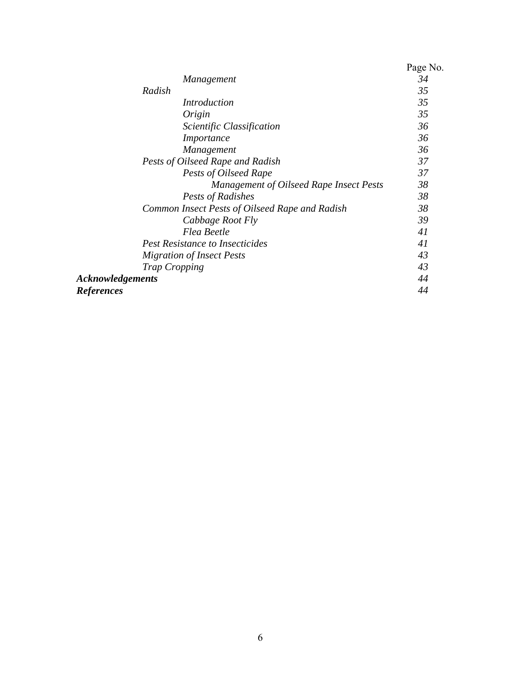|                         |                                                | Page No. |
|-------------------------|------------------------------------------------|----------|
|                         | Management                                     | 34       |
|                         | Radish                                         | 35       |
|                         | <i>Introduction</i>                            | 35       |
|                         | Origin                                         | 35       |
|                         | Scientific Classification                      | 36       |
|                         | <i>Importance</i>                              | 36       |
|                         | <i>Management</i>                              | 36       |
|                         | Pests of Oilseed Rape and Radish               | 37       |
|                         | Pests of Oilseed Rape                          | 37       |
|                         | Management of Oilseed Rape Insect Pests        | 38       |
|                         | Pests of Radishes                              | 38       |
|                         | Common Insect Pests of Oilseed Rape and Radish | 38       |
|                         | Cabbage Root Fly                               | 39       |
|                         | Flea Beetle                                    | 41       |
|                         | <b>Pest Resistance to Insecticides</b>         | 41       |
|                         | <b>Migration of Insect Pests</b>               | 43       |
|                         | <b>Trap Cropping</b>                           | 43       |
| <b>Acknowledgements</b> |                                                | 44       |
| References              |                                                | 44       |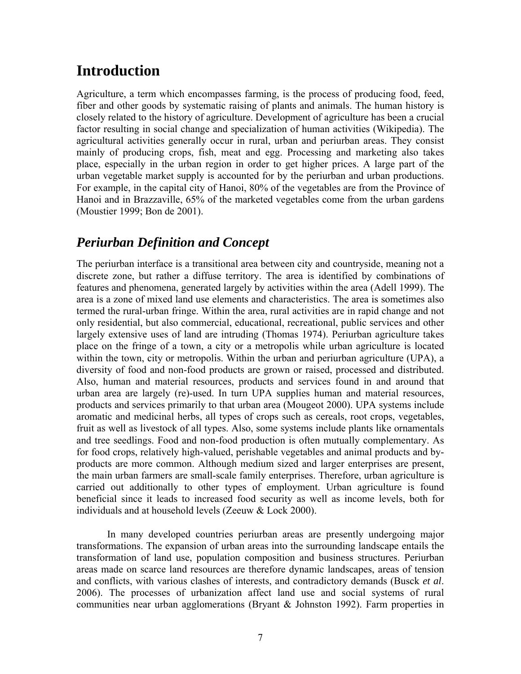# **Introduction**

Agriculture, a term which encompasses farming, is the process of producing food, feed, fiber and other goods by systematic raising of plants and animals. The human history is closely related to the history of agriculture. Development of agriculture has been a crucial factor resulting in social change and specialization of human activities (Wikipedia). The agricultural activities generally occur in rural, urban and periurban areas. They consist mainly of producing crops, fish, meat and egg. Processing and marketing also takes place, especially in the urban region in order to get higher prices. A large part of the urban vegetable market supply is accounted for by the periurban and urban productions. For example, in the capital city of Hanoi, 80% of the vegetables are from the Province of Hanoi and in Brazzaville, 65% of the marketed vegetables come from the urban gardens (Moustier 1999; Bon de 2001).

# *Periurban Definition and Concept*

The periurban interface is a transitional area between city and countryside, meaning not a discrete zone, but rather a diffuse territory. The area is identified by combinations of features and phenomena, generated largely by activities within the area (Adell 1999). The area is a zone of mixed land use elements and characteristics. The area is sometimes also termed the rural-urban fringe. Within the area, rural activities are in rapid change and not only residential, but also commercial, educational, recreational, public services and other largely extensive uses of land are intruding (Thomas 1974). Periurban agriculture takes place on the fringe of a town, a city or a metropolis while urban agriculture is located within the town, city or metropolis. Within the urban and periurban agriculture (UPA), a diversity of food and non-food products are grown or raised, processed and distributed. Also, human and material resources, products and services found in and around that urban area are largely (re)-used. In turn UPA supplies human and material resources, products and services primarily to that urban area (Mougeot 2000). UPA systems include aromatic and medicinal herbs, all types of crops such as cereals, root crops, vegetables, fruit as well as livestock of all types. Also, some systems include plants like ornamentals and tree seedlings. Food and non-food production is often mutually complementary. As for food crops, relatively high-valued, perishable vegetables and animal products and byproducts are more common. Although medium sized and larger enterprises are present, the main urban farmers are small-scale family enterprises. Therefore, urban agriculture is carried out additionally to other types of employment. Urban agriculture is found beneficial since it leads to increased food security as well as income levels, both for individuals and at household levels (Zeeuw & Lock 2000).

In many developed countries periurban areas are presently undergoing major transformations. The expansion of urban areas into the surrounding landscape entails the transformation of land use, population composition and business structures. Periurban areas made on scarce land resources are therefore dynamic landscapes, areas of tension and conflicts, with various clashes of interests, and contradictory demands (Busck *et al*. 2006). The processes of urbanization affect land use and social systems of rural communities near urban agglomerations (Bryant  $\&$  Johnston 1992). Farm properties in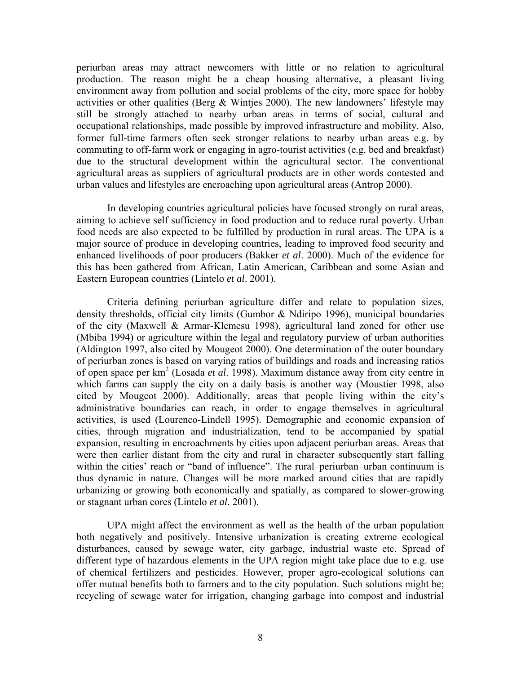periurban areas may attract newcomers with little or no relation to agricultural production. The reason might be a cheap housing alternative, a pleasant living environment away from pollution and social problems of the city, more space for hobby activities or other qualities (Berg & Wintjes 2000). The new landowners' lifestyle may still be strongly attached to nearby urban areas in terms of social, cultural and occupational relationships, made possible by improved infrastructure and mobility. Also, former full-time farmers often seek stronger relations to nearby urban areas e.g. by commuting to off-farm work or engaging in agro-tourist activities (e.g. bed and breakfast) due to the structural development within the agricultural sector. The conventional agricultural areas as suppliers of agricultural products are in other words contested and urban values and lifestyles are encroaching upon agricultural areas (Antrop 2000).

In developing countries agricultural policies have focused strongly on rural areas, aiming to achieve self sufficiency in food production and to reduce rural poverty. Urban food needs are also expected to be fulfilled by production in rural areas. The UPA is a major source of produce in developing countries, leading to improved food security and enhanced livelihoods of poor producers (Bakker *et al*. 2000). Much of the evidence for this has been gathered from African, Latin American, Caribbean and some Asian and Eastern European countries (Lintelo *et al*. 2001).

Criteria defining periurban agriculture differ and relate to population sizes, density thresholds, official city limits (Gumbor & Ndiripo 1996), municipal boundaries of the city (Maxwell & Armar-Klemesu 1998), agricultural land zoned for other use (Mbiba 1994) or agriculture within the legal and regulatory purview of urban authorities (Aldington 1997, also cited by Mougeot 2000). One determination of the outer boundary of periurban zones is based on varying ratios of buildings and roads and increasing ratios of open space per km<sup>2</sup> (Losada *et al.* 1998). Maximum distance away from city centre in which farms can supply the city on a daily basis is another way (Moustier 1998, also cited by Mougeot 2000). Additionally, areas that people living within the city's administrative boundaries can reach, in order to engage themselves in agricultural activities, is used (Lourenco-Lindell 1995). Demographic and economic expansion of cities, through migration and industrialization, tend to be accompanied by spatial expansion, resulting in encroachments by cities upon adjacent periurban areas. Areas that were then earlier distant from the city and rural in character subsequently start falling within the cities' reach or "band of influence". The rural–periurban–urban continuum is thus dynamic in nature. Changes will be more marked around cities that are rapidly urbanizing or growing both economically and spatially, as compared to slower-growing or stagnant urban cores (Lintelo *et al*. 2001).

UPA might affect the environment as well as the health of the urban population both negatively and positively. Intensive urbanization is creating extreme ecological disturbances, caused by sewage water, city garbage, industrial waste etc. Spread of different type of hazardous elements in the UPA region might take place due to e.g. use of chemical fertilizers and pesticides. However, proper agro-ecological solutions can offer mutual benefits both to farmers and to the city population. Such solutions might be; recycling of sewage water for irrigation, changing garbage into compost and industrial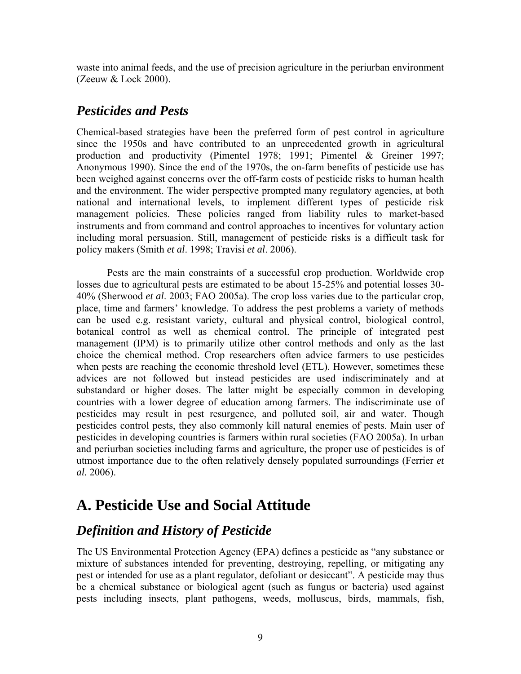waste into animal feeds, and the use of precision agriculture in the periurban environment (Zeeuw & Lock 2000).

# *Pesticides and Pests*

Chemical-based strategies have been the preferred form of pest control in agriculture since the 1950s and have contributed to an unprecedented growth in agricultural production and productivity (Pimentel 1978; 1991; Pimentel & Greiner 1997; Anonymous 1990). Since the end of the 1970s, the on-farm benefits of pesticide use has been weighed against concerns over the off-farm costs of pesticide risks to human health and the environment. The wider perspective prompted many regulatory agencies, at both national and international levels, to implement different types of pesticide risk management policies. These policies ranged from liability rules to market-based instruments and from command and control approaches to incentives for voluntary action including moral persuasion. Still, management of pesticide risks is a difficult task for policy makers (Smith *et al*. 1998; Travisi *et al*. 2006).

Pests are the main constraints of a successful crop production. Worldwide crop losses due to agricultural pests are estimated to be about 15-25% and potential losses 30- 40% (Sherwood *et al*. 2003; FAO 2005a). The crop loss varies due to the particular crop, place, time and farmers' knowledge. To address the pest problems a variety of methods can be used e.g. resistant variety, cultural and physical control, biological control, botanical control as well as chemical control. The principle of integrated pest management (IPM) is to primarily utilize other control methods and only as the last choice the chemical method. Crop researchers often advice farmers to use pesticides when pests are reaching the economic threshold level (ETL). However, sometimes these advices are not followed but instead pesticides are used indiscriminately and at substandard or higher doses. The latter might be especially common in developing countries with a lower degree of education among farmers. The indiscriminate use of pesticides may result in pest resurgence, and polluted soil, air and water. Though pesticides control pests, they also commonly kill natural enemies of pests. Main user of pesticides in developing countries is farmers within rural societies (FAO 2005a). In urban and periurban societies including farms and agriculture, the proper use of pesticides is of utmost importance due to the often relatively densely populated surroundings (Ferrier *et al.* 2006).

# **A. Pesticide Use and Social Attitude**

# *Definition and History of Pesticide*

The US Environmental Protection Agency (EPA) defines a pesticide as "any substance or mixture of substances intended for preventing, destroying, repelling, or mitigating any pest or intended for use as a plant regulator, defoliant or desiccant". A pesticide may thus be a chemical substance or biological agent (such as fungus or bacteria) used against pests including insects, plant pathogens, weeds, molluscus, birds, mammals, fish,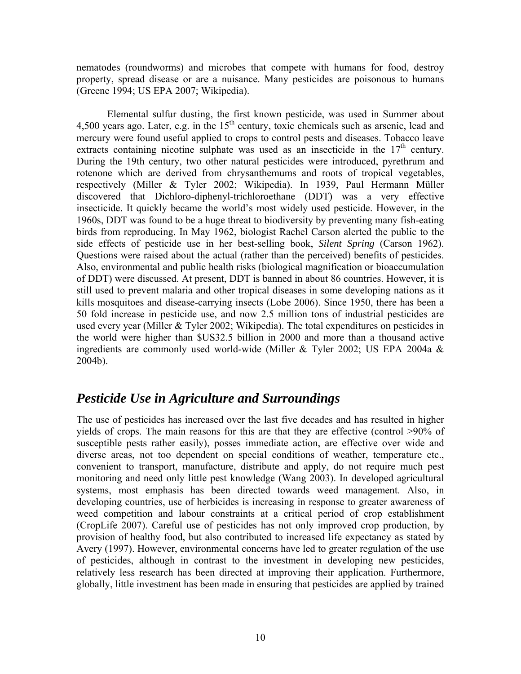nematodes (roundworms) and microbes that compete with humans for food, destroy property, spread disease or are a nuisance. Many pesticides are poisonous to humans (Greene 1994; US EPA 2007; Wikipedia).

Elemental sulfur dusting, the first known pesticide, was used in Summer about 4,500 years ago. Later, e.g. in the  $15<sup>th</sup>$  century, toxic chemicals such as arsenic, lead and mercury were found useful applied to crops to control pests and diseases. Tobacco leave extracts containing nicotine sulphate was used as an insecticide in the  $17<sup>th</sup>$  century. During the 19th century, two other natural pesticides were introduced, pyrethrum and rotenone which are derived from chrysanthemums and roots of tropical vegetables, respectively (Miller & Tyler 2002; Wikipedia). In 1939, Paul Hermann Müller discovered that Dichloro-diphenyl-trichloroethane (DDT) was a very effective insecticide. It quickly became the world's most widely used pesticide. However, in the 1960s, DDT was found to be a huge threat to biodiversity by preventing many fish-eating birds from reproducing. In May 1962, biologist Rachel Carson alerted the public to the side effects of pesticide use in her best-selling book, *Silent Spring* (Carson 1962). Questions were raised about the actual (rather than the perceived) benefits of pesticides. Also, environmental and public health risks (biological magnification or bioaccumulation of DDT) were discussed. At present, DDT is banned in about 86 countries. However, it is still used to prevent malaria and other tropical diseases in some developing nations as it kills mosquitoes and disease-carrying insects (Lobe 2006). Since 1950, there has been a 50 fold increase in pesticide use, and now 2.5 million tons of industrial pesticides are used every year (Miller & Tyler 2002; Wikipedia). The total expenditures on pesticides in the world were higher than \$US32.5 billion in 2000 and more than a thousand active ingredients are commonly used world-wide (Miller & Tyler 2002; US EPA 2004a & 2004b).

# *Pesticide Use in Agriculture and Surroundings*

The use of pesticides has increased over the last five decades and has resulted in higher yields of crops. The main reasons for this are that they are effective (control >90% of susceptible pests rather easily), posses immediate action, are effective over wide and diverse areas, not too dependent on special conditions of weather, temperature etc., convenient to transport, manufacture, distribute and apply, do not require much pest monitoring and need only little pest knowledge (Wang 2003). In developed agricultural systems, most emphasis has been directed towards weed management. Also, in developing countries, use of herbicides is increasing in response to greater awareness of weed competition and labour constraints at a critical period of crop establishment (CropLife 2007). Careful use of pesticides has not only improved crop production, by provision of healthy food, but also contributed to increased life expectancy as stated by Avery (1997). However, environmental concerns have led to greater regulation of the use of pesticides, although in contrast to the investment in developing new pesticides, relatively less research has been directed at improving their application. Furthermore, globally, little investment has been made in ensuring that pesticides are applied by trained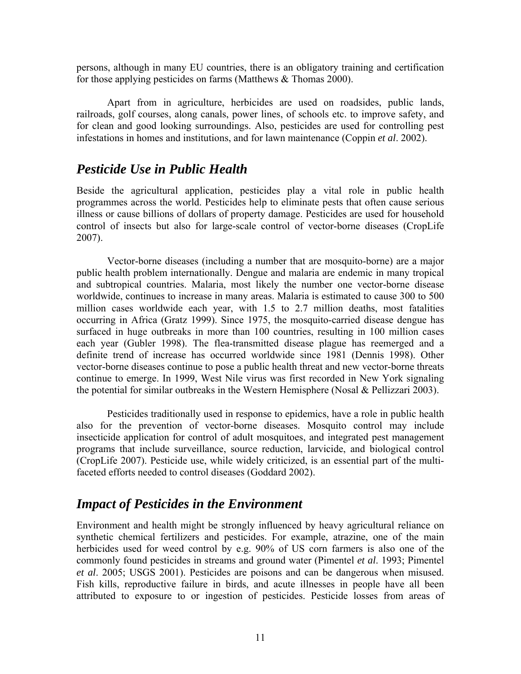persons, although in many EU countries, there is an obligatory training and certification for those applying pesticides on farms (Matthews & Thomas 2000).

Apart from in agriculture, herbicides are used on roadsides, public lands, railroads, golf courses, along canals, power lines, of schools etc. to improve safety, and for clean and good looking surroundings. Also, pesticides are used for controlling pest infestations in homes and institutions, and for lawn maintenance (Coppin *et al*. 2002).

## *Pesticide Use in Public Health*

Beside the agricultural application, pesticides play a vital role in public health programmes across the world. Pesticides help to eliminate pests that often cause serious illness or cause billions of dollars of property damage. Pesticides are used for household control of insects but also for large-scale control of vector-borne diseases (CropLife 2007).

Vector-borne diseases (including a number that are mosquito-borne) are a major public health problem internationally. Dengue and malaria are endemic in many tropical and subtropical countries. Malaria, most likely the number one vector-borne disease worldwide, continues to increase in many areas. Malaria is estimated to cause 300 to 500 million cases worldwide each year, with 1.5 to 2.7 million deaths, most fatalities occurring in Africa (Gratz 1999). Since 1975, the mosquito-carried disease dengue has surfaced in huge outbreaks in more than 100 countries, resulting in 100 million cases each year (Gubler 1998). The flea-transmitted disease plague has reemerged and a definite trend of increase has occurred worldwide since 1981 (Dennis 1998). Other vector-borne diseases continue to pose a public health threat and new vector-borne threats continue to emerge. In 1999, West Nile virus was first recorded in New York signaling the potential for similar outbreaks in the Western Hemisphere (Nosal & Pellizzari 2003).

Pesticides traditionally used in response to epidemics, have a role in public health also for the prevention of vector-borne diseases. Mosquito control may include insecticide application for control of adult mosquitoes, and integrated pest management programs that include surveillance, source reduction, larvicide, and biological control (CropLife 2007). Pesticide use, while widely criticized, is an essential part of the multifaceted efforts needed to control diseases (Goddard 2002).

# *Impact of Pesticides in the Environment*

Environment and health might be strongly influenced by heavy agricultural reliance on synthetic chemical fertilizers and pesticides. For example, atrazine, one of the main herbicides used for weed control by e.g. 90% of US corn farmers is also one of the commonly found pesticides in streams and ground water (Pimentel *et al*. 1993; Pimentel *et al*. 2005; USGS 2001). Pesticides are poisons and can be dangerous when misused. Fish kills, reproductive failure in birds, and acute illnesses in people have all been attributed to exposure to or ingestion of pesticides. Pesticide losses from areas of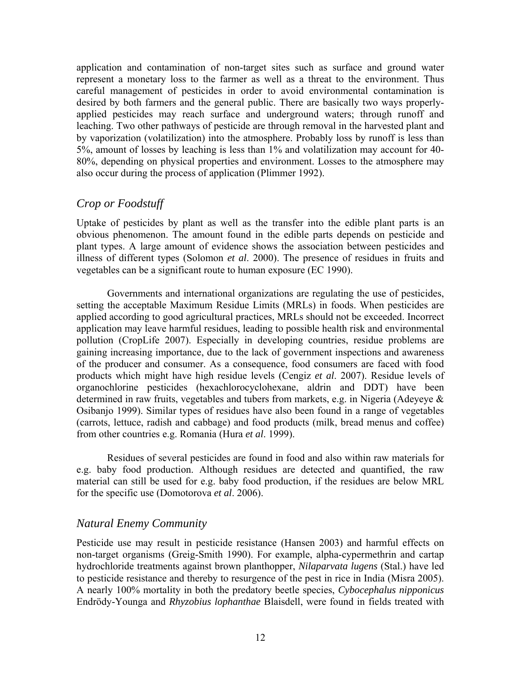application and contamination of non-target sites such as surface and ground water represent a monetary loss to the farmer as well as a threat to the environment. Thus careful management of pesticides in order to avoid environmental contamination is desired by both farmers and the general public. There are basically two ways properlyapplied pesticides may reach surface and underground waters; through runoff and leaching. Two other pathways of pesticide are through removal in the harvested plant and by vaporization (volatilization) into the atmosphere. Probably loss by runoff is less than 5%, amount of losses by leaching is less than 1% and volatilization may account for 40- 80%, depending on physical properties and environment. Losses to the atmosphere may also occur during the process of application (Plimmer 1992).

#### *Crop or Foodstuff*

Uptake of pesticides by plant as well as the transfer into the edible plant parts is an obvious phenomenon. The amount found in the edible parts depends on pesticide and plant types. A large amount of evidence shows the association between pesticides and illness of different types (Solomon *et al*. 2000). The presence of residues in fruits and vegetables can be a significant route to human exposure (EC 1990).

Governments and international organizations are regulating the use of pesticides, setting the acceptable Maximum Residue Limits (MRLs) in foods. When pesticides are applied according to good agricultural practices, MRLs should not be exceeded. Incorrect application may leave harmful residues, leading to possible health risk and environmental pollution (CropLife 2007). Especially in developing countries, residue problems are gaining increasing importance, due to the lack of government inspections and awareness of the producer and consumer. As a consequence, food consumers are faced with food products which might have high residue levels (Cengiz *et al*. 2007). Residue levels of organochlorine pesticides (hexachlorocyclohexane, aldrin and DDT) have been determined in raw fruits, vegetables and tubers from markets, e.g. in Nigeria (Adeyeye & Osibanjo 1999). Similar types of residues have also been found in a range of vegetables (carrots, lettuce, radish and cabbage) and food products (milk, bread menus and coffee) from other countries e.g. Romania (Hura *et al*. 1999).

Residues of several pesticides are found in food and also within raw materials for e.g. baby food production. Although residues are detected and quantified, the raw material can still be used for e.g. baby food production, if the residues are below MRL for the specific use (Domotorova *et al*. 2006).

#### *Natural Enemy Community*

Pesticide use may result in pesticide resistance (Hansen 2003) and harmful effects on non-target organisms (Greig-Smith 1990). For example, alpha-cypermethrin and cartap hydrochloride treatments against brown planthopper, *Nilaparvata lugens* (Stal.) have led to pesticide resistance and thereby to resurgence of the pest in rice in India (Misra 2005). A nearly 100% mortality in both the predatory beetle species, *Cybocephalus nipponicus*  Endrödy-Younga and *Rhyzobius lophanthae* Blaisdell, were found in fields treated with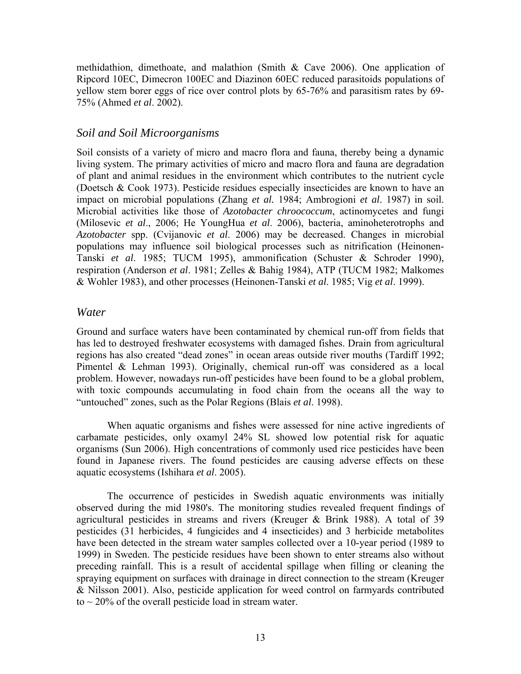methidathion, dimethoate, and malathion (Smith  $\&$  Cave 2006). One application of Ripcord 10EC, Dimecron 100EC and Diazinon 60EC reduced parasitoids populations of yellow stem borer eggs of rice over control plots by 65-76% and parasitism rates by 69- 75% (Ahmed *et al*. 2002).

#### *Soil and Soil Microorganisms*

Soil consists of a variety of micro and macro flora and fauna, thereby being a dynamic living system. The primary activities of micro and macro flora and fauna are degradation of plant and animal residues in the environment which contributes to the nutrient cycle (Doetsch & Cook 1973). Pesticide residues especially insecticides are known to have an impact on microbial populations (Zhang *et al.* 1984; Ambrogioni *et al*. 1987) in soil. Microbial activities like those of *Azotobacter chroococcum*, actinomycetes and fungi (Milosevic *et al*., 2006; He YoungHua *et al*. 2006), bacteria, aminoheterotrophs and *Azotobacter* spp. (Cvijanovic *et al*. 2006) may be decreased. Changes in microbial populations may influence soil biological processes such as nitrification (Heinonen-Tanski *et al*. 1985; TUCM 1995), ammonification (Schuster & Schroder 1990), respiration (Anderson *et al*. 1981; Zelles & Bahig 1984), ATP (TUCM 1982; Malkomes & Wohler 1983), and other processes (Heinonen-Tanski *et al*. 1985; Vig *et al*. 1999).

#### *Water*

Ground and surface waters have been contaminated by chemical run-off from fields that has led to destroyed freshwater ecosystems with damaged fishes. Drain from agricultural regions has also created "dead zones" in ocean areas outside river mouths (Tardiff 1992; Pimentel & Lehman 1993). Originally, chemical run-off was considered as a local problem. However, nowadays run-off pesticides have been found to be a global problem, with toxic compounds accumulating in food chain from the oceans all the way to "untouched" zones, such as the Polar Regions (Blais *et al*. 1998).

When aquatic organisms and fishes were assessed for nine active ingredients of carbamate pesticides, only oxamyl 24% SL showed low potential risk for aquatic organisms (Sun 2006). High concentrations of commonly used rice pesticides have been found in Japanese rivers. The found pesticides are causing adverse effects on these aquatic ecosystems (Ishihara *et al*. 2005).

The occurrence of pesticides in Swedish aquatic environments was initially observed during the mid 1980's. The monitoring studies revealed frequent findings of agricultural pesticides in streams and rivers (Kreuger & Brink 1988). A total of 39 pesticides (31 herbicides, 4 fungicides and 4 insecticides) and 3 herbicide metabolites have been detected in the stream water samples collected over a 10-year period (1989 to 1999) in Sweden. The pesticide residues have been shown to enter streams also without preceding rainfall. This is a result of accidental spillage when filling or cleaning the spraying equipment on surfaces with drainage in direct connection to the stream (Kreuger & Nilsson 2001). Also, pesticide application for weed control on farmyards contributed to  $\sim$  20% of the overall pesticide load in stream water.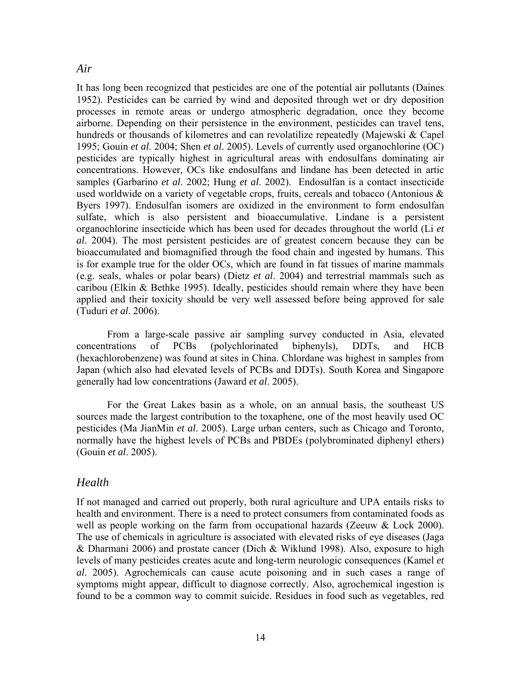#### *Air*

It has long been recognized that pesticides are one of the potential air pollutants (Daines 1952). Pesticides can be carried by wind and deposited through wet or dry deposition processes in remote areas or undergo atmospheric degradation, once they become airborne. Depending on their persistence in the environment, pesticides can travel tens, hundreds or thousands of kilometres and can revolatilize repeatedly (Majewski & Capel 1995; Gouin *et al*. 2004; Shen *et al*. 2005). Levels of currently used organochlorine (OC) pesticides are typically highest in agricultural areas with endosulfans dominating air concentrations. However, OCs like endosulfans and lindane has been detected in artic samples (Garbarino *et al*. 2002; Hung *et al*. 2002). Endosulfan is a contact insecticide used worldwide on a variety of vegetable crops, fruits, cereals and tobacco (Antonious & Byers 1997). Endosulfan isomers are oxidized in the environment to form endosulfan sulfate, which is also persistent and bioaccumulative. Lindane is a persistent organochlorine insecticide which has been used for decades throughout the world (Li *et al*. 2004). The most persistent pesticides are of greatest concern because they can be bioaccumulated and biomagnified through the food chain and ingested by humans. This is for example true for the older OCs, which are found in fat tissues of marine mammals (e.g. seals, whales or polar bears) (Dietz *et al*. 2004) and terrestrial mammals such as caribou (Elkin & Bethke 1995). Ideally, pesticides should remain where they have been applied and their toxicity should be very well assessed before being approved for sale (Tuduri *et al*. 2006).

From a large-scale passive air sampling survey conducted in Asia, elevated concentrations of PCBs (polychlorinated biphenyls), DDTs, and HCB (hexachlorobenzene) was found at sites in China. Chlordane was highest in samples from Japan (which also had elevated levels of PCBs and DDTs). South Korea and Singapore generally had low concentrations (Jaward *et al*. 2005).

For the Great Lakes basin as a whole, on an annual basis, the southeast US sources made the largest contribution to the toxaphene, one of the most heavily used OC pesticides (Ma JianMin *et al*. 2005). Large urban centers, such as Chicago and Toronto, normally have the highest levels of PCBs and PBDEs (polybrominated diphenyl ethers) (Gouin *et al*. 2005).

#### *Health*

If not managed and carried out properly, both rural agriculture and UPA entails risks to health and environment. There is a need to protect consumers from contaminated foods as well as people working on the farm from occupational hazards (Zeeuw & Lock 2000). The use of chemicals in agriculture is associated with elevated risks of eye diseases (Jaga & Dharmani 2006) and prostate cancer (Dich & Wiklund 1998). Also, exposure to high levels of many pesticides creates acute and long-term neurologic consequences (Kamel *et al*. 2005). Agrochemicals can cause acute poisoning and in such cases a range of symptoms might appear, difficult to diagnose correctly. Also, agrochemical ingestion is found to be a common way to commit suicide. Residues in food such as vegetables, red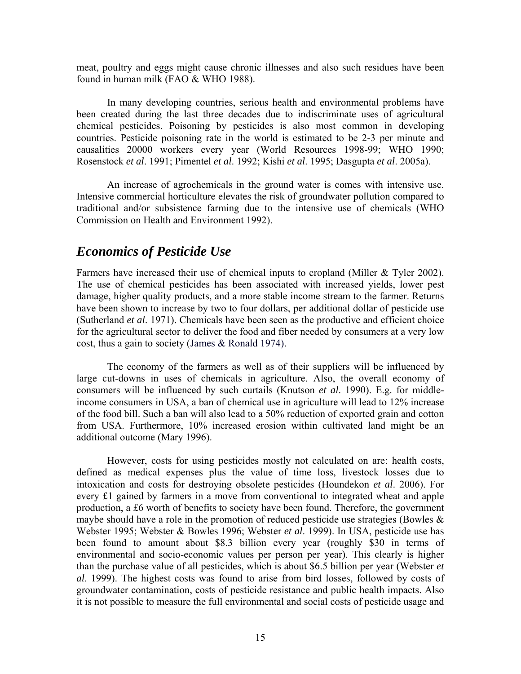meat, poultry and eggs might cause chronic illnesses and also such residues have been found in human milk (FAO & WHO 1988).

In many developing countries, serious health and environmental problems have been created during the last three decades due to indiscriminate uses of agricultural chemical pesticides. Poisoning by pesticides is also most common in developing countries. Pesticide poisoning rate in the world is estimated to be 2-3 per minute and causalities 20000 workers every year (World Resources 1998-99; WHO 1990; Rosenstock *et al*. 1991; Pimentel *et al*. 1992; Kishi *et al*. 1995; Dasgupta *et al*. 2005a).

An increase of agrochemicals in the ground water is comes with intensive use. Intensive commercial horticulture elevates the risk of groundwater pollution compared to traditional and/or subsistence farming due to the intensive use of chemicals (WHO Commission on Health and Environment 1992).

## *Economics of Pesticide Use*

Farmers have increased their use of chemical inputs to cropland (Miller & Tyler 2002). The use of chemical pesticides has been associated with increased yields, lower pest damage, higher quality products, and a more stable income stream to the farmer. Returns have been shown to increase by two to four dollars, per additional dollar of pesticide use (Sutherland *et al*. 1971). Chemicals have been seen as the productive and efficient choice for the agricultural sector to deliver the food and fiber needed by consumers at a very low cost, thus a gain to society (James & Ronald 1974).

The economy of the farmers as well as of their suppliers will be influenced by large cut-downs in uses of chemicals in agriculture. Also, the overall economy of consumers will be influenced by such curtails (Knutson *et al*. 1990). E.g. for middleincome consumers in USA, a ban of chemical use in agriculture will lead to 12% increase of the food bill. Such a ban will also lead to a 50% reduction of exported grain and cotton from USA. Furthermore, 10% increased erosion within cultivated land might be an additional outcome (Mary 1996).

However, costs for using pesticides mostly not calculated on are: health costs, defined as medical expenses plus the value of time loss, livestock losses due to intoxication and costs for destroying obsolete pesticides (Houndekon *et al*. 2006). For every £1 gained by farmers in a move from conventional to integrated wheat and apple production, a £6 worth of benefits to society have been found. Therefore, the government maybe should have a role in the promotion of reduced pesticide use strategies (Bowles  $\&$ Webster 1995; Webster & Bowles 1996; Webster *et al*. 1999). In USA, pesticide use has been found to amount about \$8.3 billion every year (roughly \$30 in terms of environmental and socio-economic values per person per year). This clearly is higher than the purchase value of all pesticides, which is about \$6.5 billion per year (Webster *et al*. 1999). The highest costs was found to arise from bird losses, followed by costs of groundwater contamination, costs of pesticide resistance and public health impacts. Also it is not possible to measure the full environmental and social costs of pesticide usage and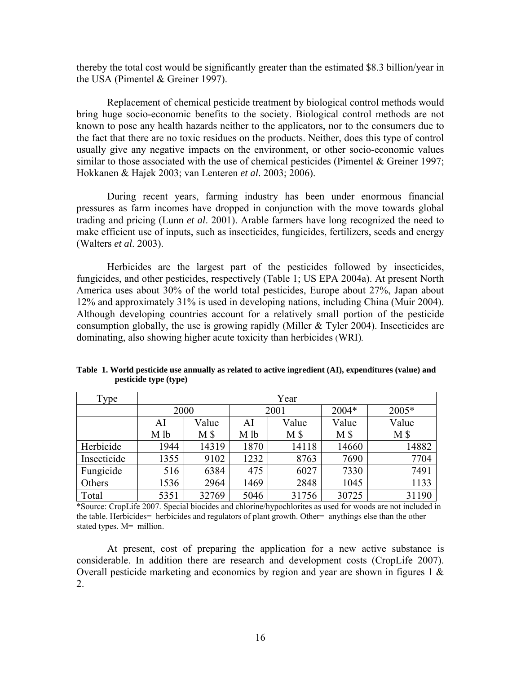thereby the total cost would be significantly greater than the estimated \$8.3 billion/year in the USA (Pimentel & Greiner 1997).

Replacement of chemical pesticide treatment by biological control methods would bring huge socio-economic benefits to the society. Biological control methods are not known to pose any health hazards neither to the applicators, nor to the consumers due to the fact that there are no toxic residues on the products. Neither, does this type of control usually give any negative impacts on the environment, or other socio-economic values similar to those associated with the use of chemical pesticides (Pimentel & Greiner 1997; Hokkanen & Hajek 2003; van Lenteren *et al*. 2003; 2006).

During recent years, farming industry has been under enormous financial pressures as farm incomes have dropped in conjunction with the move towards global trading and pricing (Lunn *et al*. 2001). Arable farmers have long recognized the need to make efficient use of inputs, such as insecticides, fungicides, fertilizers, seeds and energy (Walters *et al*. 2003).

Herbicides are the largest part of the pesticides followed by insecticides, fungicides, and other pesticides, respectively (Table 1; US EPA 2004a). At present North America uses about 30% of the world total pesticides, Europe about 27%, Japan about 12% and approximately 31% is used in developing nations, including China (Muir 2004). Although developing countries account for a relatively small portion of the pesticide consumption globally, the use is growing rapidly (Miller & Tyler 2004). Insecticides are dominating, also showing higher acute toxicity than herbicides (WRI)*.*

| Type        | Year |       |      |        |       |         |
|-------------|------|-------|------|--------|-------|---------|
|             | 2000 |       | 2001 |        | 2004* | $2005*$ |
|             | AI   | Value | AI   | Value  | Value | Value   |
|             | M lb | $M\$  | M lb | $M$ \$ | $M\$  | $M$ \$  |
| Herbicide   | 1944 | 14319 | 1870 | 14118  | 14660 | 14882   |
| Insecticide | 1355 | 9102  | 1232 | 8763   | 7690  | 7704    |
| Fungicide   | 516  | 6384  | 475  | 6027   | 7330  | 7491    |
| Others      | 1536 | 2964  | 1469 | 2848   | 1045  | 1133    |
| Total       | 5351 | 32769 | 5046 | 31756  | 30725 | 31190   |

**Table 1. World pesticide use annually as related to active ingredient (AI), expenditures (value) and pesticide type (type)**

\*Source: CropLife 2007. Special biocides and chlorine/hypochlorites as used for woods are not included in the table. Herbicides= herbicides and regulators of plant growth. Other= anythings else than the other stated types. M= million.

At present, cost of preparing the application for a new active substance is considerable. In addition there are research and development costs (CropLife 2007). Overall pesticide marketing and economics by region and year are shown in figures 1  $\&$ 2.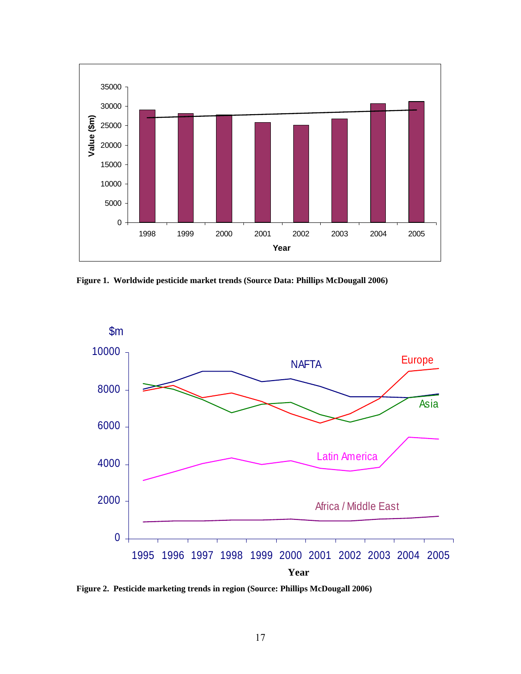

**Figure 1. Worldwide pesticide market trends (Source Data: Phillips McDougall 2006)**



**Figure 2. Pesticide marketing trends in region (Source: Phillips McDougall 2006)**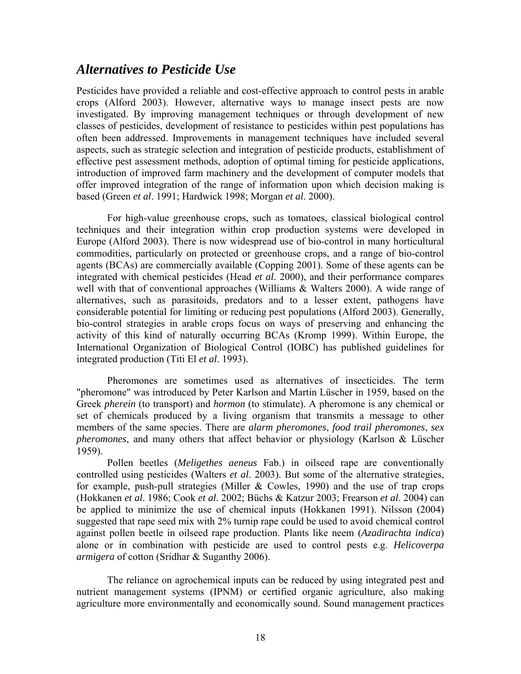### *Alternatives to Pesticide Use*

Pesticides have provided a reliable and cost-effective approach to control pests in arable crops (Alford 2003). However, alternative ways to manage insect pests are now investigated. By improving management techniques or through development of new classes of pesticides, development of resistance to pesticides within pest populations has often been addressed. Improvements in management techniques have included several aspects, such as strategic selection and integration of pesticide products, establishment of effective pest assessment methods, adoption of optimal timing for pesticide applications, introduction of improved farm machinery and the development of computer models that offer improved integration of the range of information upon which decision making is based (Green *et al*. 1991; Hardwick 1998; Morgan *et al*. 2000).

For high-value greenhouse crops, such as tomatoes, classical biological control techniques and their integration within crop production systems were developed in Europe (Alford 2003). There is now widespread use of bio-control in many horticultural commodities, particularly on protected or greenhouse crops, and a range of bio-control agents (BCAs) are commercially available (Copping 2001). Some of these agents can be integrated with chemical pesticides (Head *et al*. 2000), and their performance compares well with that of conventional approaches (Williams & Walters 2000). A wide range of alternatives, such as parasitoids, predators and to a lesser extent, pathogens have considerable potential for limiting or reducing pest populations (Alford 2003). Generally, bio-control strategies in arable crops focus on ways of preserving and enhancing the activity of this kind of naturally occurring BCAs (Kromp 1999). Within Europe, the International Organization of Biological Control (IOBC) has published guidelines for integrated production (Titi El *et al*. 1993).

Pheromones are sometimes used as alternatives of insecticides. The term "pheromone" was introduced by Peter Karlson and Martin Lüscher in 1959, based on the Greek *pherein* (to transport) and *hormon* (to stimulate). A pheromone is any chemical or set of chemicals produced by a living organism that transmits a message to other members of the same species. There are *alarm pheromones*, *food trail pheromones*, *sex pheromones*, and many others that affect behavior or physiology (Karlson & Lüscher 1959).

Pollen beetles (*Meligethes aeneus* Fab.) in oilseed rape are conventionally controlled using pesticides (Walters *et al*. 2003). But some of the alternative strategies, for example, push-pull strategies (Miller  $&$  Cowles, 1990) and the use of trap crops (Hokkanen *et al*. 1986; Cook *et al*. 2002; Büchs & Katzur 2003; Frearson *et al*. 2004) can be applied to minimize the use of chemical inputs (Hokkanen 1991). Nilsson (2004) suggested that rape seed mix with 2% turnip rape could be used to avoid chemical control against pollen beetle in oilseed rape production. Plants like neem (*Azadirachta indica*) alone or in combination with pesticide are used to control pests e.g. *Helicoverpa armigera* of cotton (Sridhar & Suganthy 2006).

The reliance on agrochemical inputs can be reduced by using integrated pest and nutrient management systems (IPNM) or certified organic agriculture, also making agriculture more environmentally and economically sound. Sound management practices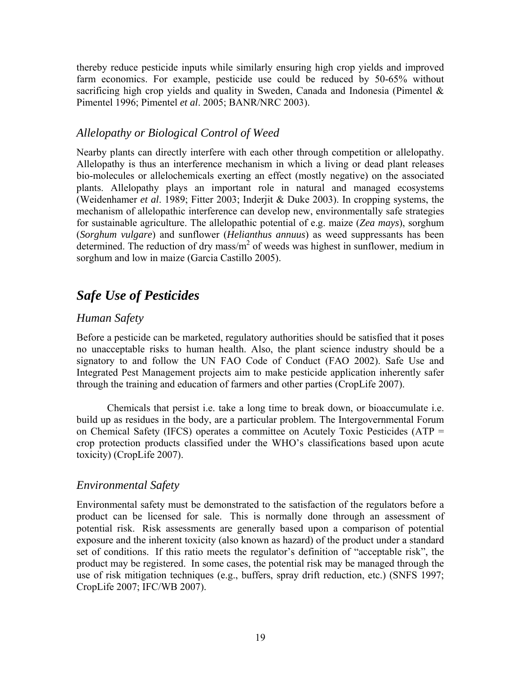thereby reduce pesticide inputs while similarly ensuring high crop yields and improved farm economics. For example, pesticide use could be reduced by 50-65% without sacrificing high crop yields and quality in Sweden, Canada and Indonesia (Pimentel & Pimentel 1996; Pimentel *et al*. 2005; BANR/NRC 2003).

#### *Allelopathy or Biological Control of Weed*

Nearby plants can directly interfere with each other through competition or allelopathy. Allelopathy is thus an interference mechanism in which a living or dead plant releases bio-molecules or allelochemicals exerting an effect (mostly negative) on the associated plants. Allelopathy plays an important role in natural and managed ecosystems (Weidenhamer *et al*. 1989; Fitter 2003; Inderjit & Duke 2003). In cropping systems, the mechanism of allelopathic interference can develop new, environmentally safe strategies for sustainable agriculture. The allelopathic potential of e.g. maize (*Zea mays*), sorghum (*Sorghum vulgare*) and sunflower (*Helianthus annuus*) as weed suppressants has been determined. The reduction of dry mass/ $m<sup>2</sup>$  of weeds was highest in sunflower, medium in sorghum and low in maize (Garcia Castillo 2005).

# *Safe Use of Pesticides*

#### *Human Safety*

Before a pesticide can be marketed, regulatory authorities should be satisfied that it poses no unacceptable risks to human health. Also, the plant science industry should be a signatory to and follow the UN FAO Code of Conduct (FAO 2002). Safe Use and Integrated Pest Management projects aim to make pesticide application inherently safer through the training and education of farmers and other parties (CropLife 2007).

Chemicals that persist i.e. take a long time to break down, or bioaccumulate i.e. build up as residues in the body, are a particular problem. The Intergovernmental Forum on Chemical Safety (IFCS) operates a committee on Acutely Toxic Pesticides (ATP = crop protection products classified under the WHO's classifications based upon acute toxicity) (CropLife 2007).

#### *Environmental Safety*

Environmental safety must be demonstrated to the satisfaction of the regulators before a product can be licensed for sale. This is normally done through an assessment of potential risk. Risk assessments are generally based upon a comparison of potential exposure and the inherent toxicity (also known as hazard) of the product under a standard set of conditions. If this ratio meets the regulator's definition of "acceptable risk", the product may be registered. In some cases, the potential risk may be managed through the use of risk mitigation techniques (e.g., buffers, spray drift reduction, etc.) (SNFS 1997; CropLife 2007; IFC/WB 2007).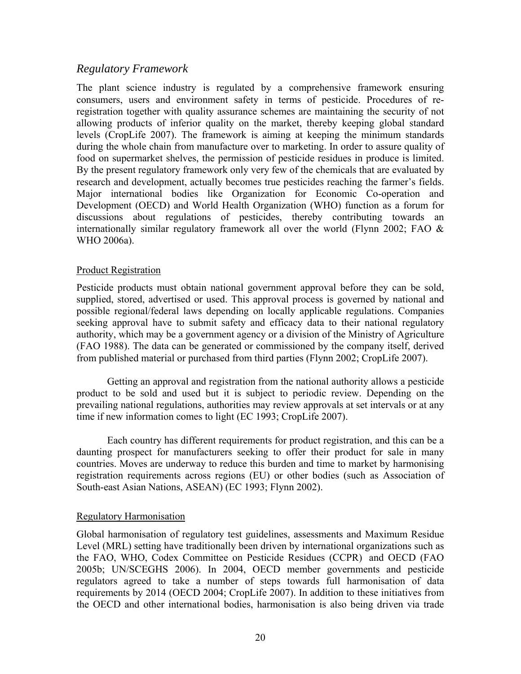#### *Regulatory Framework*

The plant science industry is regulated by a comprehensive framework ensuring consumers, users and environment safety in terms of pesticide. Procedures of reregistration together with quality assurance schemes are maintaining the security of not allowing products of inferior quality on the market, thereby keeping global standard levels (CropLife 2007). The framework is aiming at keeping the minimum standards during the whole chain from manufacture over to marketing. In order to assure quality of food on supermarket shelves, the permission of pesticide residues in produce is limited. By the present regulatory framework only very few of the chemicals that are evaluated by research and development, actually becomes true pesticides reaching the farmer's fields. Major international bodies like Organization for Economic Co-operation and Development (OECD) and World Health Organization (WHO) function as a forum for discussions about regulations of pesticides, thereby contributing towards an internationally similar regulatory framework all over the world (Flynn 2002; FAO & WHO 2006a).

#### Product Registration

Pesticide products must obtain national government approval before they can be sold, supplied, stored, advertised or used. This approval process is governed by national and possible regional/federal laws depending on locally applicable regulations. Companies seeking approval have to submit safety and efficacy data to their national regulatory authority, which may be a government agency or a division of the Ministry of Agriculture (FAO 1988). The data can be generated or commissioned by the company itself, derived from published material or purchased from third parties (Flynn 2002; CropLife 2007).

Getting an approval and registration from the national authority allows a pesticide product to be sold and used but it is subject to periodic review. Depending on the prevailing national regulations, authorities may review approvals at set intervals or at any time if new information comes to light (EC 1993; CropLife 2007).

Each country has different requirements for product registration, and this can be a daunting prospect for manufacturers seeking to offer their product for sale in many countries. Moves are underway to reduce this burden and time to market by harmonising registration requirements across regions (EU) or other bodies (such as Association of South-east Asian Nations, ASEAN) (EC 1993; Flynn 2002).

#### Regulatory Harmonisation

Global harmonisation of regulatory test guidelines, assessments and Maximum Residue Level (MRL) setting have traditionally been driven by international organizations such as the FAO, WHO, Codex Committee on Pesticide Residues (CCPR) and OECD (FAO 2005b; UN/SCEGHS 2006). In 2004, OECD member governments and pesticide regulators agreed to take a number of steps towards full harmonisation of data requirements by 2014 (OECD 2004; CropLife 2007). In addition to these initiatives from the OECD and other international bodies, harmonisation is also being driven via trade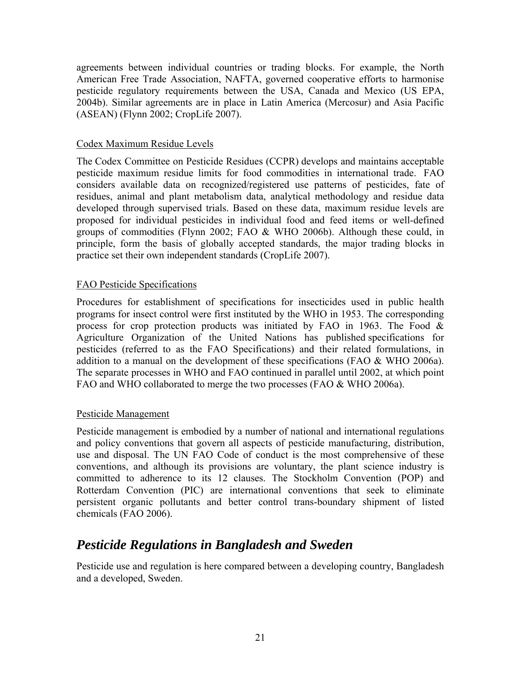agreements between individual countries or trading blocks. For example, the North American Free Trade Association, NAFTA, governed cooperative efforts to harmonise pesticide regulatory requirements between the USA, Canada and Mexico (US EPA, 2004b). Similar agreements are in place in Latin America (Mercosur) and Asia Pacific (ASEAN) (Flynn 2002; CropLife 2007).

#### Codex Maximum Residue Levels

The Codex Committee on Pesticide Residues (CCPR) develops and maintains acceptable pesticide maximum residue limits for food commodities in international trade. FAO considers available data on recognized/registered use patterns of pesticides, fate of residues, animal and plant metabolism data, analytical methodology and residue data developed through supervised trials. Based on these data, maximum residue levels are proposed for individual pesticides in individual food and feed items or well-defined groups of commodities (Flynn 2002; FAO & WHO 2006b). Although these could, in principle, form the basis of globally accepted standards, the major trading blocks in practice set their own independent standards (CropLife 2007).

#### FAO Pesticide Specifications

Procedures for establishment of specifications for insecticides used in public health programs for insect control were first instituted by the WHO in 1953. The corresponding process for crop protection products was initiated by FAO in 1963. The Food & Agriculture Organization of the United Nations has published specifications for pesticides (referred to as the FAO Specifications) and their related formulations, in addition to a manual on the development of these specifications (FAO & WHO 2006a). The separate processes in WHO and FAO continued in parallel until 2002, at which point FAO and WHO collaborated to merge the two processes (FAO & WHO 2006a).

#### Pesticide Management

Pesticide management is embodied by a number of national and international regulations and policy conventions that govern all aspects of pesticide manufacturing, distribution, use and disposal. The UN FAO Code of conduct is the most comprehensive of these conventions, and although its provisions are voluntary, the plant science industry is committed to adherence to its 12 clauses. The Stockholm Convention (POP) and Rotterdam Convention (PIC) are international conventions that seek to eliminate persistent organic pollutants and better control trans-boundary shipment of listed chemicals (FAO 2006).

# *Pesticide Regulations in Bangladesh and Sweden*

Pesticide use and regulation is here compared between a developing country, Bangladesh and a developed, Sweden.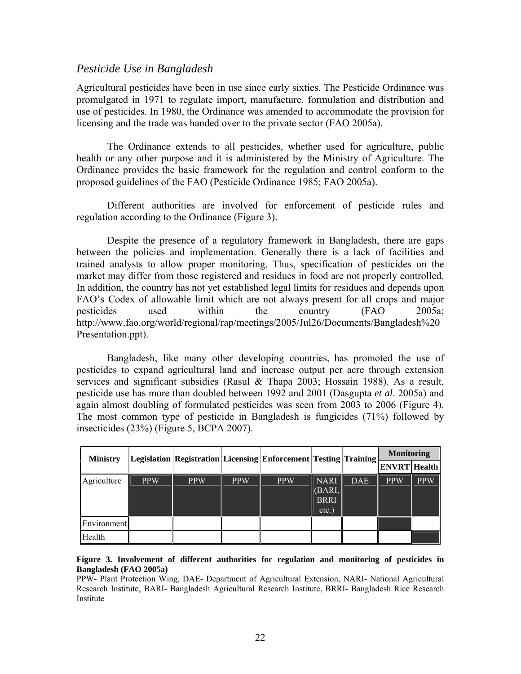#### *Pesticide Use in Bangladesh*

Agricultural pesticides have been in use since early sixties. The Pesticide Ordinance was promulgated in 1971 to regulate import, manufacture, formulation and distribution and use of pesticides. In 1980, the Ordinance was amended to accommodate the provision for licensing and the trade was handed over to the private sector (FAO 2005a).

The Ordinance extends to all pesticides, whether used for agriculture, public health or any other purpose and it is administered by the Ministry of Agriculture. The Ordinance provides the basic framework for the regulation and control conform to the proposed guidelines of the FAO (Pesticide Ordinance 1985; FAO 2005a).

Different authorities are involved for enforcement of pesticide rules and regulation according to the Ordinance (Figure 3).

Despite the presence of a regulatory framework in Bangladesh, there are gaps between the policies and implementation. Generally there is a lack of facilities and trained analysts to allow proper monitoring. Thus, specification of pesticides on the market may differ from those registered and residues in food are not properly controlled. In addition, the country has not yet established legal limits for residues and depends upon FAO's Codex of allowable limit which are not always present for all crops and major pesticides used within the country (FAO 2005a; [http://www.fao.org/world/regional/rap/meetings/2005/Jul26/Documents/Bangladesh%20](http://www.fao.org/world/regional/rap/meetings/2005/Jul26/Documents/Bangladesh%20Presentation.ppt) [Presentation.ppt\)](http://www.fao.org/world/regional/rap/meetings/2005/Jul26/Documents/Bangladesh%20Presentation.ppt).

Bangladesh, like many other developing countries, has promoted the use of pesticides to expand agricultural land and increase output per acre through extension services and significant subsidies (Rasul & Thapa 2003; Hossain 1988). As a result, pesticide use has more than doubled between 1992 and 2001 (Dasgupta *et al*. 2005a) and again almost doubling of formulated pesticides was seen from 2003 to 2006 (Figure 4). The most common type of pesticide in Bangladesh is fungicides (71%) followed by insecticides (23%) (Figure 5, BCPA 2007).

| <b>Ministry</b> |            |            |            | Legislation   Registration   Licensing   Enforcement   Testing   Training |                                                  |            | <b>Monitoring</b>   |            |
|-----------------|------------|------------|------------|---------------------------------------------------------------------------|--------------------------------------------------|------------|---------------------|------------|
|                 |            |            |            |                                                                           |                                                  |            | <b>ENVRT</b> Health |            |
| Agriculture     | <b>PPW</b> | <b>PPW</b> | <b>PPW</b> | <b>PPW</b>                                                                | <b>NARI</b><br>(BARI,<br><b>BRRI</b><br>$etc.$ ) | <b>DAE</b> | <b>PPW</b>          | <b>PPW</b> |
| Environment     |            |            |            |                                                                           |                                                  |            |                     |            |
| Health          |            |            |            |                                                                           |                                                  |            |                     |            |

**Figure 3. Involvement of different authorities for regulation and monitoring of pesticides in Bangladesh (FAO 2005a)** 

PPW- Plant Protection Wing, DAE- Department of Agricultural Extension, NARI- National Agricultural Research Institute, BARI- Bangladesh Agricultural Research Institute, BRRI- Bangladesh Rice Research Institute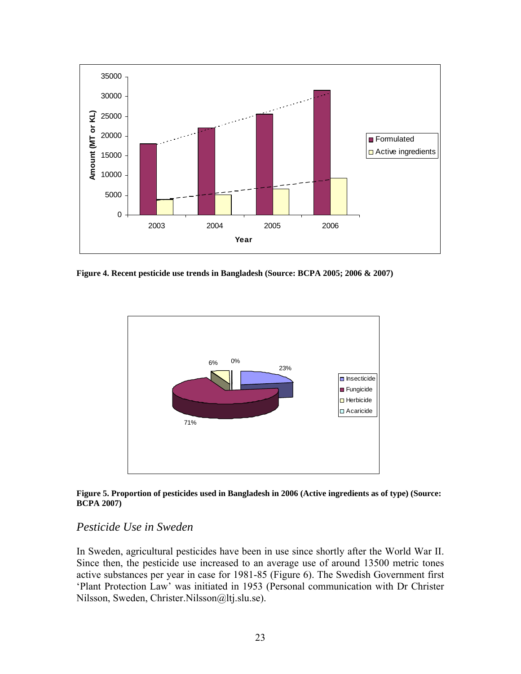

**Figure 4. Recent pesticide use trends in Bangladesh (Source: BCPA 2005; 2006 & 2007)** 



**f pesticides used in Bangladesh in 2006 (Active ingredients as of type) (Source: Figure 5. Proportion o BCPA 2007)** 

#### **Pesticide Use in Sweden**

In Sweden, agricultural pesticides have been in use since shortly after the World War II. Nilsson, Sweden, Christer.Nilsson@ltj.slu.se). Since then, the pesticide use increased to an average use of around 13500 metric tones active substances per year in case for 1981-85 (Figure 6). The Swedish Government first 'Plant Protection Law' was initiated in 1953 (Personal communication with Dr Christer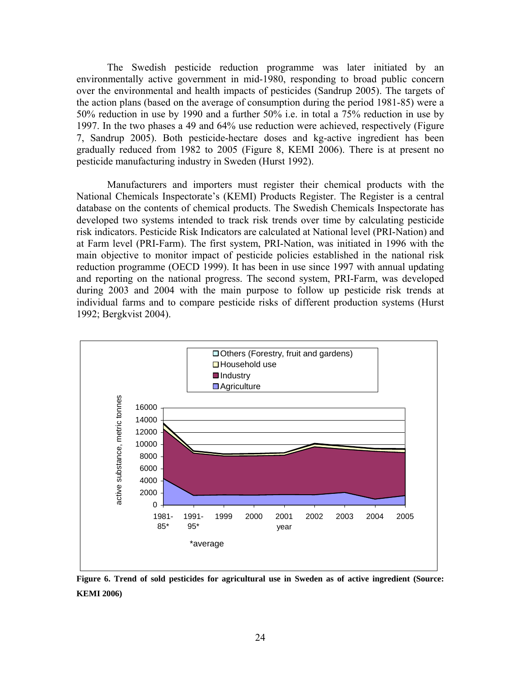The Swedish pesticide reduction programme was later initiated by an environmentally active government in mid-1980, responding to broad public concern over th e environmental and health impacts of pesticides (Sandrup 2005). The targets of the action plans (based on the average of consumption during the period 1981-85) were a 50% reduction in use by 1990 and a further 50% i.e. in total a 75% reduction in use by 1997. In the two phases a 49 and 64% use reduction were achieved, respectively (Figure 7, Sandrup 2005). Both pesticide-hectare doses and kg-active ingredient has been gradually reduced from 1982 to 2005 (Figure 8, KEMI 2006). There is at present no pesticide manufacturing industry in Sweden (Hurst 1992).

Manufacturers and importers must register their chemical products with the National Chemicals Inspectorate's (KEMI) Products Register. The Register is a central databas e on the contents of chemical products. The Swedish Chemicals Inspectorate has developed two systems intended to track risk trends over time by calculating pesticide risk indicators. Pesticide Risk Indicators are calculated at National level (PRI-Nation) and at Farm level (PRI-Farm). The first system, PRI-Nation, was initiated in 1996 with the main objective to monitor impact of pesticide policies established in the national risk reduction programme (OECD 1999). It has been in use since 1997 with annual updating and reporting on the national progress. The second system, PRI-Farm, was developed during 2003 and 2004 with the main purpose to follow up pesticide risk trends at individual farms and to compare pesticide risks of different production systems (Hurst 1992; Bergkvist 2004).



**Figure 6. Trend of sold pesticides for agricultural use in Sweden as of active ingredient (Source: KEMI 2006)**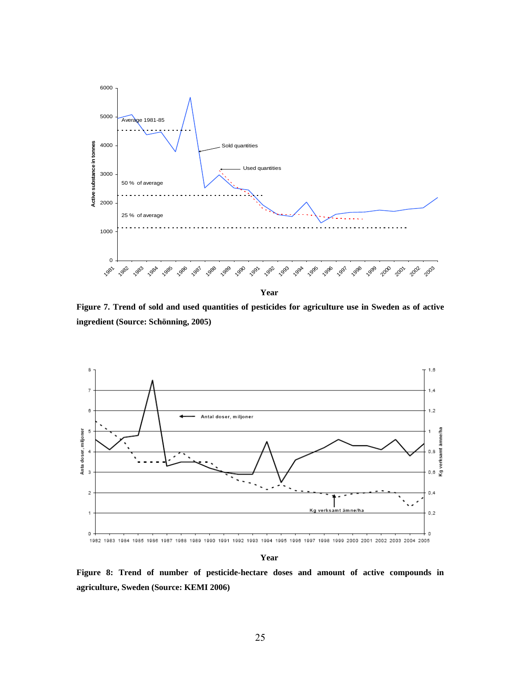

**urce: Schönning, 2005) ingredient (So Figure 7. Trend of sold and used quantities of pesticides for agriculture use in Sweden as of active** 



**Year** 

**Figure 8: Trend of number of pesticide-hectare doses and amount of active compounds in agriculture, Sweden (Source: KEMI 2006)**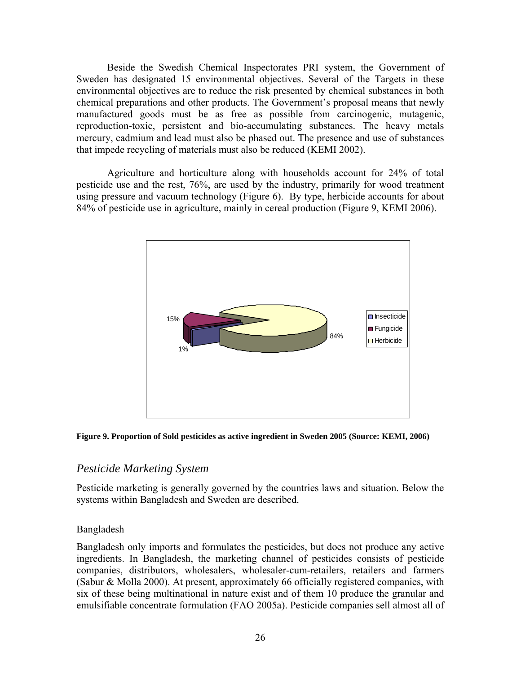Beside the Swedish Chemical Inspectorates PRI system, the Government of Sweden has designated 15 environmental objectives. Several of the Targets in these environmental objectives are to reduce the risk presented by chemical substances in both chemical preparations and other products. The Government's proposal means that newly manufactured goods must be as free as possible from carcinogenic, mutagenic, reproduction-toxic, persistent and bio-accumulating substances. The heavy metals mercury, cadmium and lead must also be phased out. The presence and use of substances that impede recycling of materials must also be reduced (KEMI 2002).

Agriculture and horticulture along with households account for 24% of total pesticide use and the rest, 76%, are used by the industry, primarily for wood treatment using pressure and vacuum technology (Figure 6). By type, herbicide accounts for about 84% of pesticide use in agriculture, mainly in cereal production (Figure 9, KEMI 2006).



#### **Figure 9. Proportion of Sold pesticides as active ingredient in Sweden 2005 (Source: KEMI, 2006)**

#### *Pesticide Marketing System*

Pesticide marketing is generally governed by the countries laws and situation. Below the systems within Bangladesh and Sweden are described.

#### Bangladesh

Bangladesh only imports and formulates the pesticides, but does not produce any active ingredients. In Bangladesh, the marketing channel of pesticides consists of pesticide companies, distributors, wholesalers, wholesaler-cum-retailers, retailers and farmers (Sabur & Molla 2000). At present, approximately 66 officially registered companies, with six of these being multinational in nature exist and of them 10 produce the granular and emulsifiable concentrate formulation (FAO 2005a). Pesticide companies sell almost all of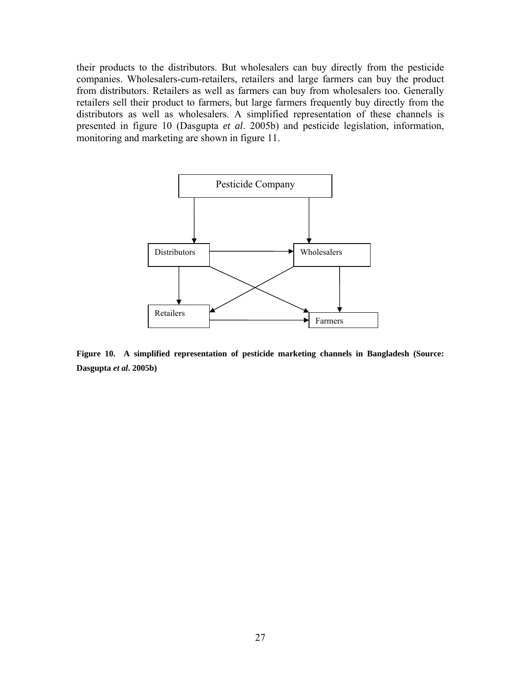their products to the distributors. But wholesalers can buy directly from the pesticide companies. Wholesalers-cum-retailers, retailers and large farmers can buy the product from distributors. Retailers as well as farmers can buy from wholesalers too. Generally retailers sell their product to farmers, but large farmers frequently buy directly from the distributors as well as wholesalers. A simplified representation of these channels is presented in figure 10 (Dasgupta *et al*. 2005b) and pesticide legislation, information, monitoring and marketing are shown in figure 11.



 **simplified representation of pesticide marketing channels in Bangladesh (Source: Figure 10. A Dasgupta** *et al***. 2005b)**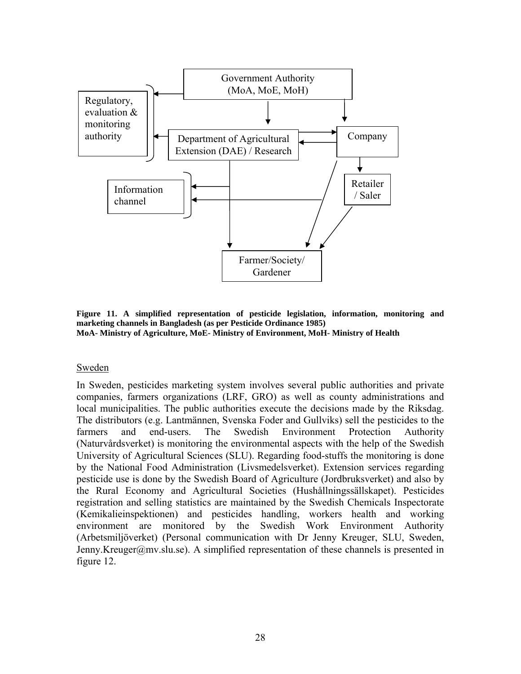

Figure 11. A simplified representation of pesticide legislation, information, monitoring and marketing channels in Bangladesh (as per Pesticide Ordinance 1985) MoA- Ministry of Agriculture, MoE- Ministry of Environment, MoH- Ministry of Health

#### Sweden

In Sweden, pesticides marketing system involves several public authorities and private companies, farmers organizations (LRF, GRO) as well as county administrations and local municipalities. The public authorities execute the decisions made by the Riksdag. The distributors (e.g. Lantmännen, Svenska Foder and Gullviks) sell the pesticides to the farmers and end-users. The Swedish Environment Protection Authority (Naturvårdsverket) is monitoring the environmental aspects with the help of the Swedish University of Agricultural Sciences (SLU). Regarding food-stuffs the monitoring is done by the National Food Administration (Livsmedelsverket). Extension services regarding pesticide use is done by the Swedish Board of Agriculture (Jordbruksverket) and also by the Rural Economy and Agricultural Societies (Hushållningssällskapet). Pesticides registration and selling statistics are maintained by the Swedish Chemicals Inspectorate (Kemikalieinspektionen) and pesticides handling, workers health and working environment are monitored by the Swedish Work Environment Authority Jenny.Kreuger@mv.slu.se). A simplified representation of these channels is presented in (Arbetsmiljöverket) (Personal communication with Dr Jenny Kreuger, SLU, Sweden, figure 12.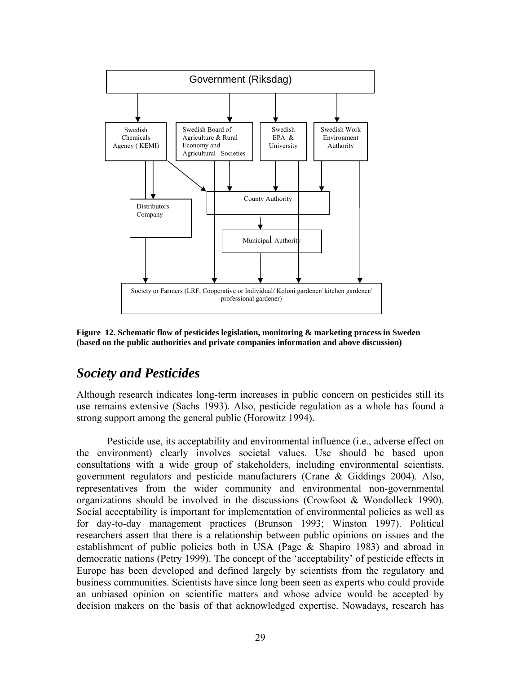

Figure 12. Schematic flow of pesticides legislation, monitoring & marketing process in Sweden (based on the public authorities and private companies information and above discussion)

# *Society and Pesticides*

Although research indicates long-term increases in public concern on pesticides still its use remains extensive (Sachs 1993). Also, pesticide regulation as a whole has found a strong support among the general public (Horowitz 1994).

Pesticide use, its acceptability and environmental influence (i.e., adverse effect on the environment) clearly involves societal values. Use should be based upon consultations with a wide group of stakeholders, including environmental scientists, government regulators and pesticide manufacturers (Crane & Giddings 2004). Also, representatives from the wider community and environmental non-governmental organizations should be involved in the discussions (Crowfoot  $&$  Wondolleck 1990). Social acceptability is important for implementation of environmental policies as well as for day-to-day management practices (Brunson 1993; Winston 1997). Political researchers assert that there is a relationship between public opinions on issues and the establishment of public policies both in USA (Page  $&$  Shapiro 1983) and abroad in democratic nations (Petry 1999). The concept of the 'acceptability' of pesticide effects in Europe has been developed and defined largely by scientists from the regulatory and business communities. Scientists have since long been seen as experts who could provide an unbiased opinion on scientific matters and whose advice would be accepted by decision makers on the basis of that acknowledged expertise. Nowadays, research has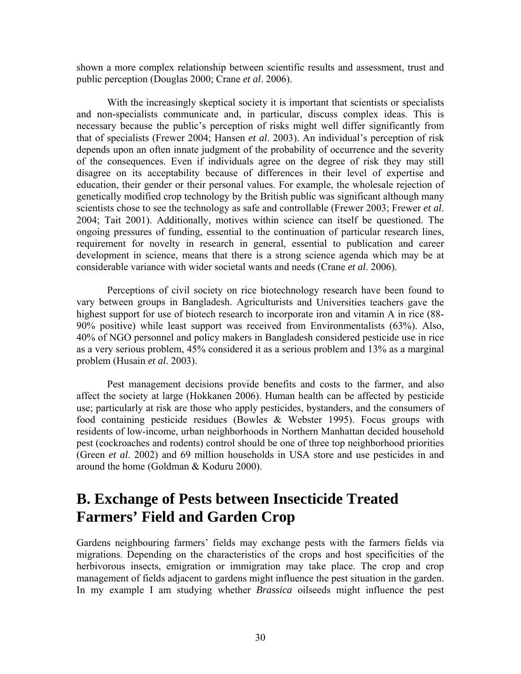shown a more complex relationship between scientific results and assessment, trust and public perception (Douglas 2000; Crane *et al*. 2006).

With the increasingly skeptical society it is important that scientists or specialists and no n-specialists communicate and, in particular, discuss complex ideas. This is necessary because the public's perception of risks might well differ significantly from that of specialists (Frewer 2004; Hansen *et al*. 2003). An individual's perception of risk depends upon an often innate judgment of the probability of occurrence and the severity of the consequences. Even if individuals agree on the degree of risk they may still disagree on its acceptability because of differences in their level of expertise and education, their gender or their personal values. For example, the wholesale rejection of genetically modified crop technology by the British public was significant although many scientists chose to see the technology as safe and controllable (Frewer 2003; Frewer *et al*. 2004; Tait 2001). Additionally, motives within science can itself be questioned. The ongoing pressures of funding, essential to the continuation of particular research lines, requirement for novelty in research in general, essential to publication and career development in science, means that there is a strong science agenda which may be at considerable variance with wider societal wants and needs (Crane *et al*. 2006).

vary between groups in Bangladesh. Agriculturists and Universities teachers gave the highest support for use of biotech research to incorporate iron and vitamin A in rice (88- 90% p ositive) while least support was received from Environmentalists (63%). Also, Perceptions of civil society on rice biotechnology research have been found to 40% of NGO personnel and policy makers in Bangladesh considered pesticide use in rice as a very serious problem, 45% considered it as a serious problem and 13% as a marginal problem (Husain *et al*. 2003).

Pest management decisions provide benefits and costs to the farmer, and also affect the society at large (Hokkanen 2006). Human health can be affected by pesticide use; particularly at risk are those who apply pesticides, bystanders, and the consumers of food containing pesticide residues (Bowles & Webster 1995). Focus groups with residents of low-income, urban neighborhoods in Northern Manhattan decided household pest (cockroaches and rodents) control should be one of three top neighborhood priorities (Green *et al*. 2002) and 69 million households in USA store and use pesticides in and around the home (Goldman & Koduru 2000).

# **Farm ers' Field and Garden Crop B. Exchange of Pests between Insecticide Treated**

In my example I am studying whether *Brassica* oilseeds might influence the pest Gardens neighbouring farmers' fields may exchange pests with the farmers fields via migrations. Depending on the characteristics of the crops and host specificities of the herbivorous insects, emigration or immigration may take place. The crop and crop management of fields adjacent to gardens might influence the pest situation in the garden.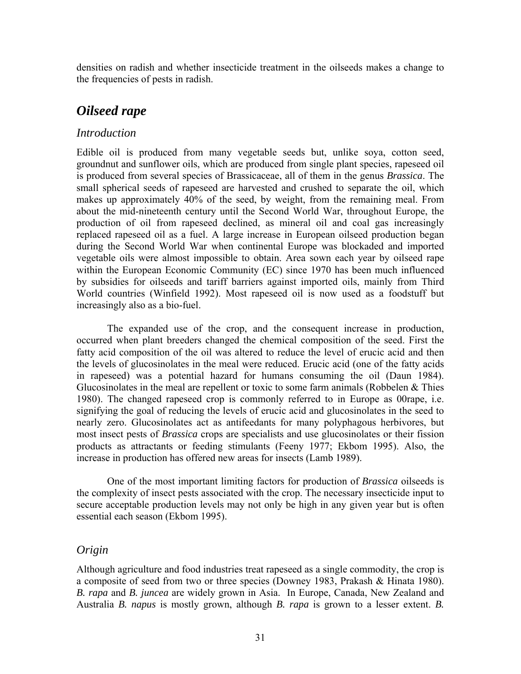densitie s on radish and whether insecticide treatment in the oilseeds makes a change to the frequencies of pests in radish.

## *Oilseed rape*

#### *Introduction*

Edible oil is produced from many vegetable seeds but, unlike soya, cotton seed, groundnut and sunflower oils, which are produced from single plant species, rapeseed oil is produced from several species of Brassicaceae, all of them in the genus *Brassica*. The small spherical seeds of rapeseed are harvested and crushed to separate the oil, which makes up approximately 40% of the seed, by weight, from the remaining meal. From about the mid-nineteenth century until the Second World War, throughout Europe, the increasingly also as a bio-fuel. production of oil from rapeseed declined, as mineral oil and coal gas increasingly replaced rapeseed oil as a fuel. A large increase in European oilseed production began during the Second World War when continental Europe was blockaded and imported vegetable oils were almost impossible to obtain. Area sown each year by oilseed rape within the European Economic Community (EC) since 1970 has been much influenced by subsidies for oilseeds and tariff barriers against imported oils, mainly from Third World countries (Winfield 1992). Most rapeseed oil is now used as a foodstuff but

The expanded use of the crop, and the consequent increase in production, occurred when plant breeders changed the chemical composition of the seed. First the fatty acid composition of the oil was altered to reduce the level of erucic acid and then the levels of glucosinolates in the meal were reduced. Erucic acid (one of the fatty acids in rapeseed) was a potential hazard for humans consuming the oil (Daun 1984). Glucosinolates in the meal are repellent or toxic to some farm animals (Robbelen  $\&$  Thies 1980). The changed rapeseed crop is commonly referred to in Europe as 00rape, i.e. signifying the goal of reducing the levels of erucic acid and glucosinolates in the seed to nearly zero. Glucosinolates act as antifeedants for many polyphagous herbivores, but most insect pests of *Brassica* crops are specialists and use glucosinolates or their fission products as attractants or feeding stimulants (Feeny 1977; Ekbom 1995). Also, the increase in production has offered new areas for insects (Lamb 1989).

One of the most important limiting factors for production of *Brassica* oilseeds is the complexity of insect pests associated with the crop. The necessary insecticide input to secure acceptable production levels may not only be high in any given year but is often essential each season (Ekbom 1995).

#### *Origin*

Although agriculture and food industries treat rapeseed as a single commodity, the crop is a composite of seed from two or three species (Downey 1983, Prakash & Hinata 1980). *B. rapa* and *B. juncea* are widely grown in Asia. In Europe, Canada, New Zealand and Australia *B. napus* is mostly grown, although *B. rapa* is grown to a lesser extent. *B.*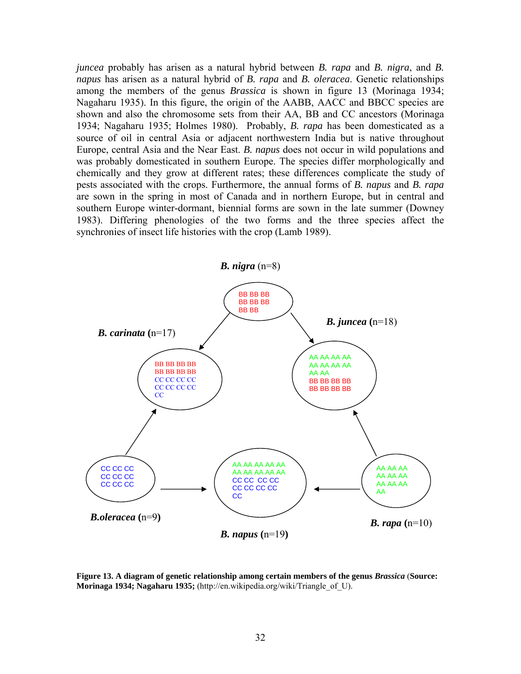*juncea* probably has arisen as a natural hybrid between *B. rapa* and *B. nigra*, and *B. napus* has arisen as a natural hybrid of *B. rapa* and *B. oleracea*. Genetic relationships among the members of the genus *Brassica* is shown in figure 13 (Morinaga 1934; Nagaharu 1935). In this figure, the origin of the AABB, AACC and BBCC species are shown and also the chromosome sets from their AA, BB and CC ancestors (Morinaga 1934; Nagaharu 1935; Holmes 1980). Probably, *B. rapa* has been domesticated as a source of oil in central Asia or adjacent northwestern India but is native throughout Europe , central Asia and the Near East. *B. napus* does not occur in wild populations and pests associated with the crops. Furthermore, the annual forms of *B. napus* and *B. rapa* are sown in the spring in most of Canada and in northern Europe, but in central and southern Europe winter-dormant, biennial forms are sown in the late summer (Downey 1983). Differing phenologies of the two forms and the three species affect the was probably domesticated in southern Europe. The species differ morphologically and chemically and they grow at different rates; these differences complicate the study of synchronies of insect life histories with the crop (Lamb 1989).



**Figure 13. A diagram of genetic relationship among certain members of the genus** *Brassica* (**Source: Morinaga 1934; Nagaharu 1935;** (http://en.wikipedia.org/wiki/Triangle\_of\_U).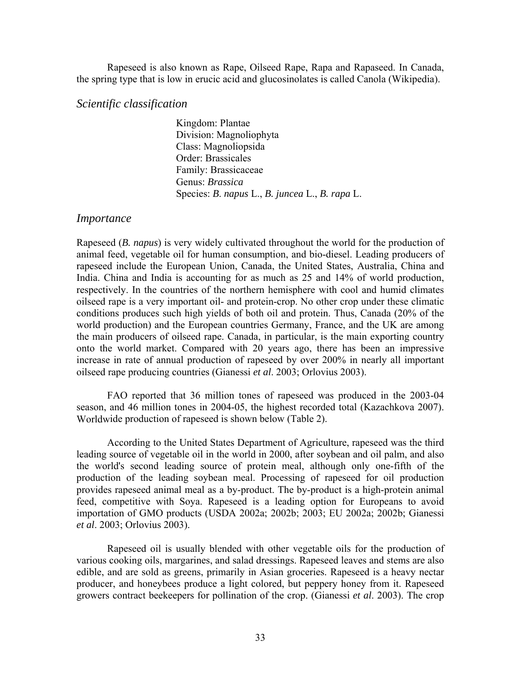Rapeseed is also known as Rape, Oilseed Rape, Rapa and Rapaseed. In Canada, the spring type that is low in erucic acid and glucosinolates is called Canola (Wikipedia).

#### *Scientific classification*

Kingdom: Plan tae Division: Magnoliophyta Class: Magnoliopsida Order: Brassicales Genus: Brassica Species: *B. napus* L., *B. juncea* L., *B. rapa* L. Family: Brassicaceae

#### *Importance*

Rapeseed (*B. napus*) is very widely cultivated throughout the world for the production of animal feed, vegetable oil for human consumption, and bio-diesel. Leading producers of rapeseed include the European Union, Canada, the United States, Australia, China and India. China and India is accounting for as much as 25 and 14% of world production, respectively. In the countries of the northern hemisphere with cool and humid climates oilseed rape is a very important oil- and protein-crop. No other crop under these climatic conditions produces such high yields of both oil and protein. Thus, Canada (20% of the world production) and the European countries Germany, France, and the UK are among the main producers of oilseed rape. Canada, in particular, is the main exporting country onto the world market. Compared with 20 years ago, there has been an impressive increase in rate of annual production of rapeseed by over 200% in nearly all important oilseed rape producing countries (Gianessi et al. 2003; Orlovius 2003).

season, and 46 million tones in 2004-05, the highest recorded total (Kazachkova 2007). Worldw ide production of rapeseed is shown below (Table 2). FAO reported that 36 million tones of rapeseed was produced in the 2003-04

According to the United States Department of Agriculture, rapeseed was the third leading source of vegetable oil in the world in 2000, after soybean and oil palm, and also the world's second leading source of protein meal, although only one-fifth of the production of the leading soybean meal. Processing of rapeseed for oil production provides rapeseed animal meal as a by-product. The by-product is a high-protein animal feed, competitive with Soya. Rapeseed is a leading option for Europeans to avoid importation of GMO products (USDA 2002a; 2002b; 2003; EU 2002a; 2002b; Gianessi et al. 2003; Orlovius 2003).

Rapeseed oil is usually blended with other vegetable oils for the production of various cooking oils, margarines, and salad dressings. Rapeseed leaves and stems are also edible, and are sold as greens, primarily in Asian groceries. Rapeseed is a heavy nectar producer, and honeybees produce a light colored, but peppery honey from it. Rapeseed growers contract beekeepers for pollination of the crop. (Gianessi *et al*. 2003). The crop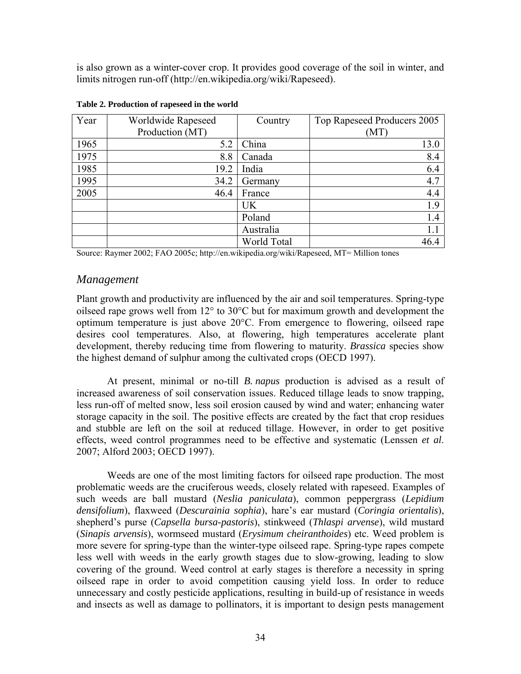is also grown as a winter-cover crop. It provides good coverage of the soil in winter, and limits nitrogen run-off (http://en.wikipedia.org/wiki/Rapeseed).

| Year | Worldwide Rapeseed | Country     | Top Rapeseed Producers 2005 |
|------|--------------------|-------------|-----------------------------|
|      | Production (MT)    |             | (MT)                        |
| 1965 | 5.2                | China       | 13.0                        |
| 1975 | 8.8                | Canada      | 8.4                         |
| 1985 | 19.2               | India       | 6.4                         |
| 1995 | 34.2               | Germany     | 4.7                         |
| 2005 | 46.4               | France      | 4.4                         |
|      |                    | UK          | 1.9                         |
|      |                    | Poland      | 1.4                         |
|      |                    | Australia   | 1.1                         |
|      |                    | World Total | 46.4                        |

#### **Table 2. Production of rapeseed in the world**

Source: Raymer 2002; FAO 2005c; http://en.wikipedia.org/wiki/Rapeseed, MT= Million tones

#### *Management*

the highest demand of sulphur among the cultivated crops (OECD 1997). Plant growth and productivity are influenced by the air and soil temperatures. Spring-type oilseed rape grows well from 12° to 30°C but for maximum growth and development the optimum temperature is just above 20°C. From emergence to flowering, oilseed rape desires cool temperatures. Also, at flowering, high temperatures accelerate plant development, thereby reducing time from flowering to maturity. *Brassica* species show

At present, minimal or no-till *B. napus* production is advised as a result of increased awareness of soil conservation issues. Reduced tillage leads to snow trapping, less run-off of melted snow, less soil erosion caused by wind and water; enhancing water storage capacity in the soil. The positive effects are created by the fact that crop residues and stubble are left on the soil at reduced tillage. However, in order to get positive effects, weed control programmes need to be effective and systematic (Lenssen *et al*. 2007; Alford 2003; OECD 1997).

Weeds are one of the most limiting factors for oilseed rape production. The most problematic weeds are the cruciferous weeds, closely related with rapeseed. Examples of such weeds are ball mustard (*Neslia paniculata*), common peppergrass (*Lepidium*  densifolium), flaxweed (*Descurainia sophia*), hare's ear mustard (*Coringia orientalis*), shepherd's purse (*Capsella bursa-pastoris*), stinkweed (*Thlaspi arvense*), wild mustard (Sinapis arvensis), wormseed mustard (*Erysimum cheiranthoides*) etc. Weed problem is more severe for spring-type than the winter-type oilseed rape. Spring-type rapes compete less well with weeds in the early growth stages due to slow-growing, leading to slow covering of the ground. Weed control at early stages is therefore a necessity in spring oilseed rape in order to avoid competition causing yield loss. In order to reduce unnecessary and costly pesticide applications, resulting in build-up of resistance in weeds and insects as well as damage to pollinators, it is important to design pests management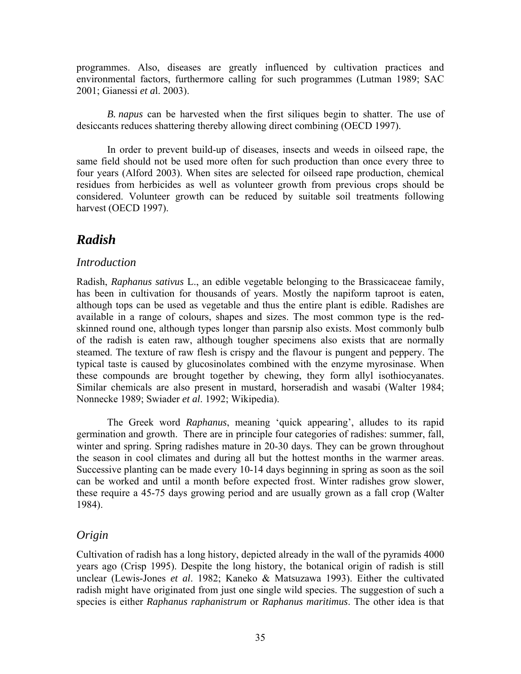programmes. Also, diseases are greatly influenced by cultivation practices and environmental factors, furthermore calling for such programmes (Lutman 1989; SAC 2001; Gianessi *et al.* 2003).

*B. napus* can be harvested when the first siliques begin to shatter. The use of desiccants reduces shattering thereby allowing direct combining (OECD 1997).

four years (Alford 2003). When sites are selected for oilseed rape production, chemical residues from herbicides as well as volunteer growth from previous crops should be conside red. Volunteer growth can be reduced by suitable soil treatments following In order to prevent build-up of diseases, insects and weeds in oilseed rape, the same field should not be used more often for such production than once every three to harvest (OECD 1997).

# *Radish*

#### *Introduction*

Radish, *Raphanus sativus* L., an edible vegetable belonging to the Brassicaceae family, has been in cultivation for thousands of years. Mostly the napiform taproot is eaten, although tops can be used as vegetable and thus the entire plant is edible. Radishes are available in a range of colours, shapes and sizes. The most common type is the redskinned round one, although types longer than parsnip also exists. Most commonly bulb of the radish is eaten raw, although tougher specimens also exists that are normally steamed. The texture of raw flesh is crispy and the flavour is pungent and peppery. The typical taste is caused by glucosinolates combined with the enzyme myrosinase. When these compounds are brought together by chewing, they form allyl isothiocyanates. Similar chemicals are also present in mustard, horseradish and wasabi (Walter 1984; Nonnecke 1989; Swiader *et al*. 1992; Wikipedia).

the season in cool climates and during all but the hottest months in the warmer areas. these require a 45-75 days growing period and are usually grown as a fall crop (Walter The Greek word *Raphanus*, meaning 'quick appearing', alludes to its rapid germination and growth. There are in principle four categories of radishes: summer, fall, winter and spring. Spring radishes mature in 20-30 days. They can be grown throughout Successive planting can be made every 10-14 days beginning in spring as soon as the soil can be worked and until a month before expected frost. Winter radishes grow slower, 1984).

### *Origin*

unclear (Lewis-Jones *et al.* 1982; Kaneko & Matsuzawa 1993). Either the cultivated radish might have originated from just one single wild species. The suggestion of such a species is either *Raphanus raphanistrum* or *Raphanus maritimus*. The other idea is that Cultivation of radish has a long history, depicted already in the wall of the pyramids 4000 years ago (Crisp 1995). Despite the long history, the botanical origin of radish is still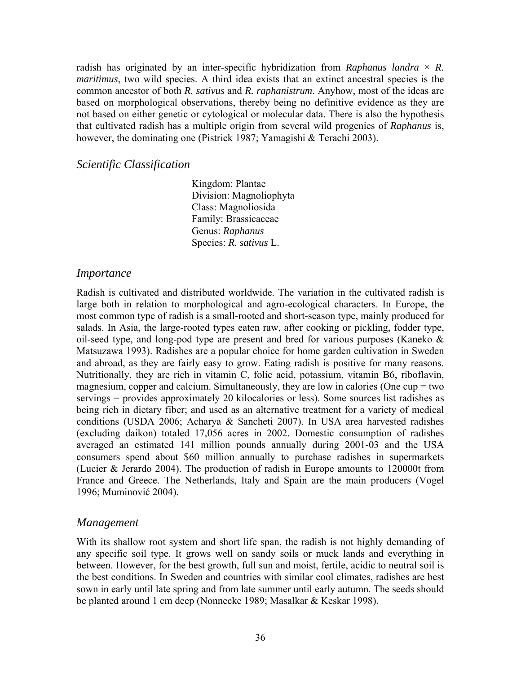radish has originated by an inter-specific hybridization from *Raphanus landra*  $\times$  *R*. *maritimus*, two wild species. A third idea exists that an extinct ancestral species is the common ancestor of both *R. sativus* and *R. raphanistrum*. Anyhow, most of the ideas are based on morphological observations, thereby being no definitive evidence as they are not based on either genetic or cytological or molecular data. There is also the hypothesis that cultivated radish has a multiple origin from several wild progenies of *Raphanus* is, however, the dominating one (Pistrick 1987; Yamagishi & Terachi 2003).

#### *Scientific Classification*

Family: Brassicaceae Kingdom: Plantae Division: Magnoliophyta Class: Magnoliosida Genus: *Raphanus* Species: *R. sativus* L.

#### *Importance*

most common type of radish is a small-rooted and short-season type, mainly produced for salads. In Asia, the large-rooted types eaten raw, after cooking or pickling, fodder type, oil-seed type, and long-pod type are present and bred for various purposes (Kaneko  $\&$ Matsuzawa 1993). Radishes are a popular choice for home garden cultivation in Sweden Radish is cultivated and distributed worldwide. The variation in the cultivated radish is large both in relation to morphological and agro-ecological characters. In Europe, the and abroad, as they are fairly easy to grow. Eating radish is positive for many reasons. Nutritionally, they are rich in vitamin C, folic acid, potassium, vitamin B6, riboflavin, magnesium, copper and calcium. Simultaneously, they are low in calories (One cup  $=$  two servings = provides approximately 20 kilocalories or less). Some sources list radishes as being rich in dietary fiber; and used as an alternative treatment for a variety of medical conditions (USDA 2006; Acharya & Sancheti 2007). In USA area harvested radishes (excluding daikon) totaled 17,056 acres in 2002. Domestic consumption of radishes averaged an estimated 141 million pounds annually during 2001-03 and the USA consumers spend about \$60 million annually to purchase radishes in supermarkets (Lucier & Jerardo 2004). The production of radish in Europe amounts to 120000t from France and Greece. The Netherlands, Italy and Spain are the main producers (Vogel 1996; Muminović 2004).

#### *Management*

With its shallow root system and short life span, the radish is not highly demanding of any specific soil type. It grows well on sandy soils or muck lands and everything in between. However, for the best growth, full sun and moist, fertile, acidic to neutral soil is the best conditions. In Sweden and countries with similar cool climates, radishes are best sown in early until late spring and from late summer until early autumn. The seeds should be planted around 1 cm deep (Nonnecke 1989; Masalkar & Keskar 1998).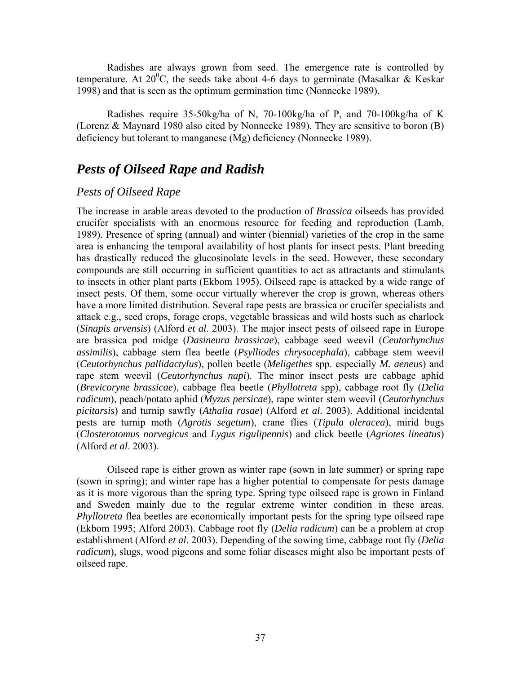Radishes are always grown from seed. The emergence rate is controlled by temperature. At  $20^0C$ , the seeds take about 4-6 days to germinate (Masalkar & Keskar 1998) and that is seen as the optimum germination time (Nonnecke 1989).

Radishes require 35-50kg/ha of N, 70-100kg/ha of P, and 70-100kg/ha of K (Lorenz & Maynard 1980 also cited by Nonnecke 1989). They are sensitive to boron (B) deficiency but tolerant to manganese (Mg) deficiency (Nonnecke 1989).

# *Pests of Oilseed Rape and Radish*

#### *Pests of Oilseed Rape*

insect pests. Of them, some occur virtually wherever the crop is grown, whereas others have a more limited distribution. Several rape pests are brassica or crucifer specialists and attack e.g., seed crops, forage crops, vegetable brassicas and wild hosts such as charlock (*Sinapis arvensis*) (Alford *et al*. 2003). The major insect pests of oilseed rape in Europe *radicum*), peach/potato aphid (*Myzus persicae*), rape winter stem weevil (*Ceutorhynchus* (*Closterotomus norvegicus* and *Lygus rigulipennis*) and click beetle (*Agriotes lineatus*) (Alford *et al.* 2003). The increase in arable areas devoted to the production of *Brassica* oilseeds has provided crucifer specialists with an enormous resource for feeding and reproduction (Lamb, 1989). Presence of spring (annual) and winter (biennial) varieties of the crop in the same area is enhancing the temporal availability of host plants for insect pests. Plant breeding has drastically reduced the glucosinolate levels in the seed. However, these secondary compounds are still occurring in sufficient quantities to act as attractants and stimulants to insects in other plant parts (Ekbom 1995). Oilseed rape is attacked by a wide range of are brassica pod midge (*Dasineura brassicae*), cabbage seed weevil (*Ceutorhynchus assimilis*), cabbage stem flea beetle (*Psylliodes chrysocephala*), cabbage stem weevil (*Ceutorhynchus pallidactylus*), pollen beetle (*Meligethes* spp. especially *M. aeneus*) and rape stem weevil (*Ceutorhynchus napi*). The minor insect pests are cabbage aphid (*Brevicoryne brassicae*), cabbage flea beetle (*Phyllotreta* spp), cabbage root fly (*Delia picitarsis*) and turnip sawfly (*Athalia rosae*) (Alford *et al*. 2003). Additional incidental pests are turnip moth (*Agrotis segetum*), crane flies (*Tipula oleracea*), mirid bugs

(sown in spring); and winter rape has a higher potential to compensate for pests damage as it is more vigorous than the spring type. Spring type oilseed rape is grown in Finland and Sweden mainly due to the regular extreme winter condition in these areas. *Phyllotreta* flea beetles are economically important pests for the spring type oilseed rape (Ekbom 1995; Alford 2003). Cabbage root fly (*Delia radicum*) can be a problem at crop establishment (Alford *et al.* 2003). Depending of the sowing time, cabbage root fly (*Delia* Oilseed rape is either grown as winter rape (sown in late summer) or spring rape *radicum*), slugs, wood pigeons and some foliar diseases might also be important pests of oilseed rape.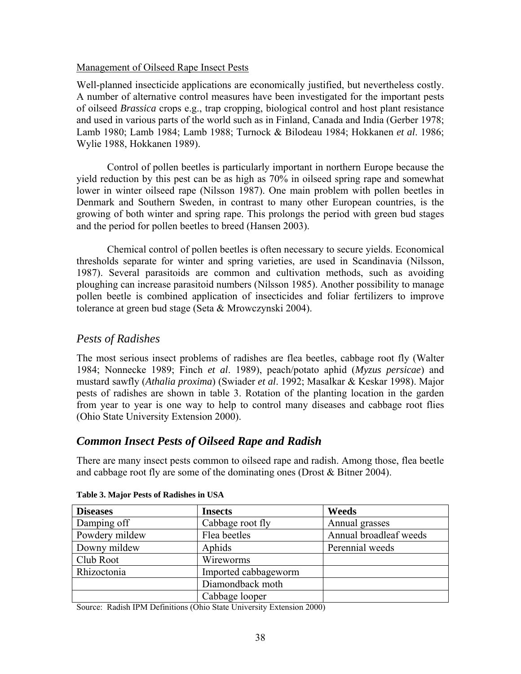#### Management of Oilseed Rape Insect Pests

Well-planned insecticide applications are economically justified, but nevertheless costly. A number of alternative control measures have been investigated for the important pests of oilseed *Brassica* crops e.g., trap cropping, biological control and host plant resistance and used in various parts of the world such as in Finland, Canada and India (Gerber 1978; Lamb 1980; Lamb 1984; Lamb 1988; Turnock & Bilodeau 1984; Hokkanen *et al*. 1986; Wylie 1988, Hokkanen 1989).

Control of pollen beetles is particularly important in northern Europe because the yield reduction by this pest can be as high as 70% in oilseed spring rape and somewhat lower in winter oilseed rape (Nilsson 1987). One main problem with pollen beetles in Denmark and Southern Sweden, in contrast to many other European countries, is the growing of both winter and spring rape. This prolongs the period with green bud stages and the period for pollen beetles to breed (Hansen 2003).

Chemical control of pollen beetles is often necessary to secure yields. Economical thresho lds separate for winter and spring varieties, are used in Scandinavia (Nilsson, 1987). Several parasitoids are common and cultivation methods, such as avoiding ploughing can increase parasitoid numbers (Nilsson 1985). Another possibility to manage pollen beetle is combined application of insecticides and foliar fertilizers to improve tolerance at green bud stage (Seta & Mrowczynski 2004).

### *Pests of Radishes*

The most serious insect problems of radishes are flea beetles, cabbage root fly (Walter 1984; Nonnecke 1989; Finch *et al*. 1989), peach/potato aphid (*Myzus persicae*) and mustard sawfly (*Athalia proxima*) (Swiader *et al*. 1992; Masalkar & Keskar 1998). Major pests of radishes are shown in table 3. Rotation of the planting location in the garden from year to year is one way to help to control many diseases and cabbage root flies (Ohio State University Extension 2000).

### *Common Insect Pests of Oilseed Rape and Radish*

There are many insect pests common to oilseed rape and radish. Among those, flea beetle and cabbage root fly are some of the dominating ones (Drost & Bitner 2004).

| <b>Diseases</b> | <b>Insects</b>       | Weeds                  |
|-----------------|----------------------|------------------------|
| Damping off     | Cabbage root fly     | Annual grasses         |
| Powdery mildew  | Flea beetles         | Annual broadleaf weeds |
| Downy mildew    | Aphids               | Perennial weeds        |
| Club Root       | Wireworms            |                        |
| Rhizoctonia     | Imported cabbageworm |                        |
|                 | Diamondback moth     |                        |
|                 | Cabbage looper       |                        |

Table 3. Major Pests of Radishes in USA

Source: Radish IPM Definitions (Ohio State University Extension 2000)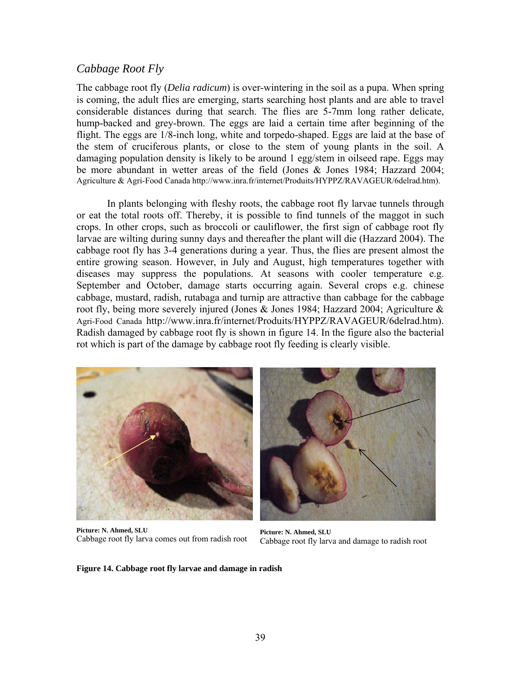#### *Cabbage Root Fly*

The cabbage root fly (*Delia radicum*) is over-wintering in the soil as a pupa. When spring is coming, the adult flies are emerging, starts searching host plants and are able to travel considerable distances during that search. The flies are 5-7mm long rather delicate, hump-backed and grey-brown. The eggs are laid a certain time after beginning of the flight. The eggs are 1/8-inch long, white and torpedo-shaped. Eggs are laid at the base of the stem of cruciferous plants, or close to the stem of young plants in the soil. A damaging population density is likely to be around 1 egg/stem in oilseed rape. Eggs may be more abundant in wetter areas of the field (Jones & Jones 1984; Hazzard 2004; Agriculture & Agri-Food Canada http://www.inra.fr/internet/Produits/HYPPZ/RAVAGEUR/6delrad.htm).

or eat the total roots off. Thereby, it is possible to find tunnels of the maggot in such crops. In other crops, such as broccoli or cauliflower, the first sign of cabbage root fly larvae are wilting during sunny days and thereafter the plant will die (Hazzard 2004). The diseases may suppress the populations. At seasons with cooler temperature e.g. September and October, damage starts occurring again. Several crops e.g. chinese cabbage, mustard, radish, rutabaga and turnip are attractive than cabbage for the cabbage root fly, being more severely injured (Jones & Jones 1984; Hazzard 2004; Agriculture  $\&$ Agri-Food Canada http://www.inra.fr/internet/Produits/HYPPZ/RAVAGEUR/6delrad.htm). Radish damaged by cabbage root fly is shown in figure 14. In the figure also the bacterial rot which is part of the damage by cabbage root fly feeding is clearly visible. In plants belonging with fleshy roots, the cabbage root fly larvae tunnels through cabbage root fly has 3-4 generations during a year. Thus, the flies are present almost the entire growing season. However, in July and August, high temperatures together with



**Picture: N. Ahmed, SLU Picture: N. Ahmed, SLU** 



Cabbage root fly larva comes out from radish root Cabbage root fly larva and damage to radish root

**Figure 14. Cabbage root fly larvae and damage in radish**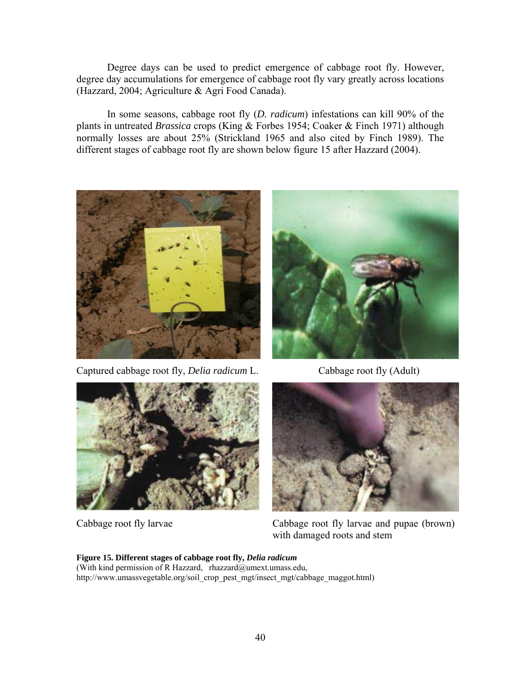Degree days can be used to predict emergence of cabbage root fly. However, degree day accumulations for emergence of cabbage root fly vary greatly across locations (Hazzard, 2004; Agriculture & Agri Food Canada).

In some seasons, cabbage root fly (*D. radicum*) infestations can kill 90% of the plants in untreated *Brassica* crops (King & Forbes 1954; Coaker & Finch 1971) although normally losses are about 25% (Strickland 1965 and also cited by Finch 1989). The different stages of cabbage root fly are shown below figure 15 after Hazzard (2004).



Captured cabbage root fly, *Delia radicum* L. Cabbage root fly (Adult)







Cabbage root fly larvae Cabbage root fly larvae and pupae (brown) with damaged roots and stem

#### **Figure 15. Different stages of cabbage root fly,** *Delia radicum* (With kind permission of R Hazzard, rhazzard@umext.umass.edu, http://www.umassvegetable.org/soil\_crop\_pest\_mgt/insect\_mgt/cabbage\_maggot.html)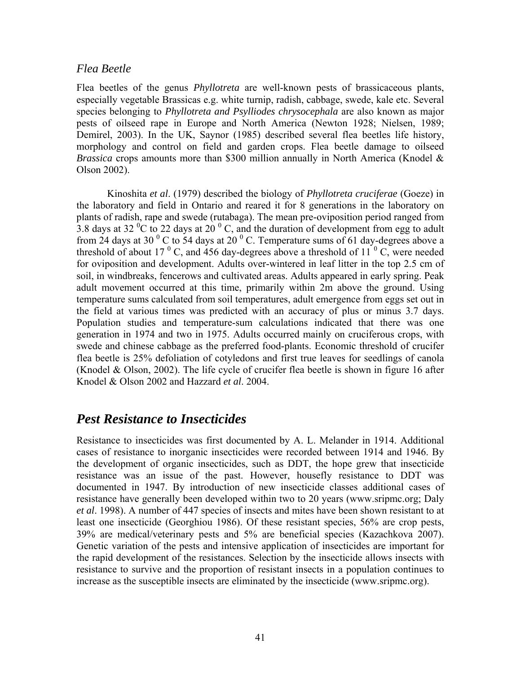#### *Flea Beetle*

Flea beetles of the genus *Phyllotreta* are well-known pests of brassicaceous plants, especially vegetable Brassicas e.g. white turnip, radish, cabbage, swede, kale etc. Several species belonging to *Phyllotreta and Psylliodes chrysocephala* are also known as major pests of oilseed rape in Europe and North America (Newton 1928; Nielsen, 1989; Demirel, 2003). In the UK, Saynor (1985) described several flea beetles life history, morphology and control on field and garden crops. Flea beetle damage to oilseed *Brassica* crops amounts more than \$300 million annually in North America (Knodel & Olson 2002).

Kinoshita *et al*. (1979) described the biology of *Phyllotreta cruciferae* (Goeze) in the laboratory and field in Ontario and reared it for 8 generations in the laboratory on plants of radish, rape and swede (rutabaga). The mean pre-oviposition period ranged from 3.8 days at 32  $\rm{^0C}$  to 22 days at 20  $\rm{^0C}$ , and the duration of development from egg to adult from 24 days at 30  $^{0}$  C to 54 days at 20  $^{0}$  C. Temperature sums of 61 day-degrees above a threshold of about 17<sup>°</sup> C, and 456 day-degrees above a threshold of 11<sup> $\degree$ </sup> C, were needed for oviposition and development. Adults over-wintered in leaf litter in the top 2.5 cm of soil, in windbreaks, fencerows and cultivated areas. Adults appeared in early spring. Peak adult movement occurred at this time, primarily within 2m above the ground. Using temperature sums calculated from soil temperatures, adult emergence from eggs set out in the field at various times was predicted with an accuracy of plus or minus 3.7 days. Population studies and temperature-sum calculations indicated that there was one generation in 1974 and two in 1975. Adults occurred mainly on cruciferous crops, with swede and chinese cabbage as the preferred food-plants. Economic threshold of crucifer flea beetle is 25% defoliation of cotyledons and first true leaves for seedlings of canola (Knodel & Olson, 2002). The life cycle of crucifer flea beetle is shown in figure 16 after Knodel & Olson 2002 and Hazzard *et al*. 2004.

# **Pest Resistance to Insecticides**

Resistance to insecticides was first documented by A. L. Melander in 1914. Additional cases of resistance to inorganic insecticides were recorded between 1914 and 1946. By the development of organic insecticides, such as DDT, the hope grew that insecticide resistance was an issue of the past. However, housefly resistance to DDT was documented in 1947. By introduction of new insecticide classes additional cases of resistance have generally been developed within two to 20 years (www.sripmc.org; Daly *et al*. 1998). A number of 447 species of insects and mites have been shown resistant to at least one insecticide (Georghiou 1986). Of these resistant species, 56% are crop pests, 39% are medical/veterinary pests and 5% are beneficial species (Kazachkova 2007). Genetic variation of the pests and intensive application of insecticides are important for the rapid development of the resistances. Selection by the insecticide allows insects with resistance to survive and the proportion of resistant insects in a population continues to increase as the susceptible insects are eliminated by the insecticide (www.sripmc.org).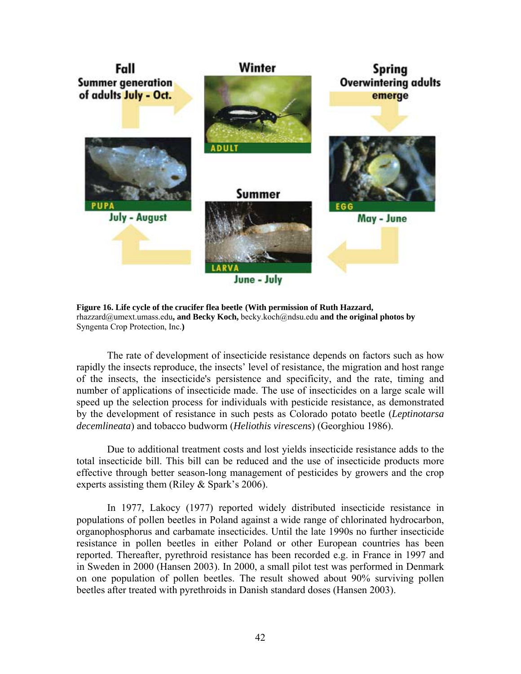

**Figure 16. Life cycle of the crucifer flea beetle (With permission of Ruth Hazzard,**  [rhazzard@umext.umass.edu](http://www.sripmc.org/)**, and Becky Koch,** [becky.koch@ndsu.edu](http://www.sripmc.org/) **and the original photos by**  Syngenta Crop Protection, Inc.**)**

The rate of development of insecticide resistance depends on factors such as how rapidly the insects reproduce, the insects' level of resistance, the migration and host range of the insects, the insecticide's persistence and specificity, and the rate, timing and number of applications of insecticide made. The use of insecticides on a large scale will speed up the selection process for individuals with pesticide resistance, as demonstrated by the development of resistance in such pests as Colorado potato beetle (*Leptinotarsa decemlineata*) and tobacco budworm (*Heliothis virescens*) (Georghiou 1986).

effective through better season-long management of pesticides by growers and the crop experts assisting them (Riley & Spark's 2006). Due to additional treatment costs and lost yields insecticide resistance adds to the total insecticide bill. This bill can be reduced and the use of insecticide products more

In 1977, Lakocy (1977) reported widely distributed insecticide resistance in populations of pollen beetles in Poland against a wide range of chlorinated hydrocarbon, organophosphorus and carbamate insecticides. Until the late 1990s no further insecticide resistance in pollen beetles in either Poland or other European countries has been reported. Thereafter, pyrethroid resistance has been recorded e.g. in France in 1997 and in Sweden in 2000 (Hansen 2003). In 2000, a small pilot test was performed in Denmark on one population of pollen beetles. The result showed about 90% surviving pollen beetles after treated with pyrethroids in Danish standard doses (Hansen 2003).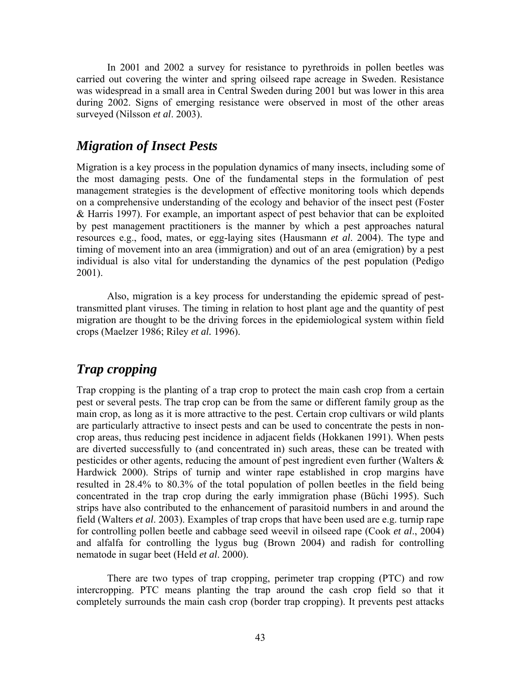In 2001 and 2002 a survey for resistance to pyrethroids in pollen beetles was carried out covering the winter and spring oilseed rape acreage in Sweden. Resistance was widespread in a small area in Central Sweden during 2001 but was lower in this area during 2002. Signs of emerging resistance were observed in most of the other areas surveyed (Nilsson *et al*. 2003).

### *Migration of Insect Pests*

Migration is a key process in the population dynamics of many insects, including some of the most damaging pests. One of the fundamental steps in the formulation of pest management strategies is the development of effective monitoring tools which depends on a comprehensive understanding of the ecology and behavior of the insect pest (Foster & Harris 1997). For example, an important aspect of pest behavior that can be exploited by pest management practitioners is the manner by which a pest approaches natural resources e.g., food, mates, or egg-laying sites (Hausmann *et al*. 2004). The type and timing of movement into an area (immigration) and out of an area (emigration) by a pest individual is also vital for understanding the dynamics of the pest population (Pedigo 2001).

Also, migration is a key process for understanding the epidemic spread of pesttransmitted plant viruses. The timing in relation to host plant age and the quantity of pest migration are thought to be the driving forces in the epidemiological system within field *et al.* 1996). crops (Maelzer 1986; Riley

# *Trap cropping*

are particularly attractive to insect pests and can be used to concentrate the pests in noncrop areas, thus reducing pest incidence in adjacent fields (Hokkanen 1991). When pests are div erted successfully to (and concentrated in) such areas, these can be treated with resulted in  $28.4\%$  to  $80.3\%$  of the total population of pollen beetles in the field being concentrated in the trap crop during the early immigration phase (Büchi 1995). Such strips h ave also contributed to the enhancement of parasitoid numbers in and around the Trap cropping is the planting of a trap crop to protect the main cash crop from a certain pest or several pests. The trap crop can be from the same or different family group as the main crop, as long as it is more attractive to the pest. Certain crop cultivars or wild plants pesticides or other agents, reducing the amount of pest ingredient even further (Walters & Hardwick 2000). Strips of turnip and winter rape established in crop margins have field (Walters *et al*. 2003). Examples of trap crops that have been used are e.g. turnip rape for controlling pollen beetle and cabbage seed weevil in oilseed rape (Cook *et al*., 2004) and alfalfa for controlling the lygus bug (Brown 2004) and radish for controlling nematode in sugar beet (Held *et al*. 2000).

intercropping. PTC means planting the trap around the cash crop field so that it completely surrounds the main cash crop (border trap cropping). It prevents pest attacks There are two types of trap cropping, perimeter trap cropping (PTC) and row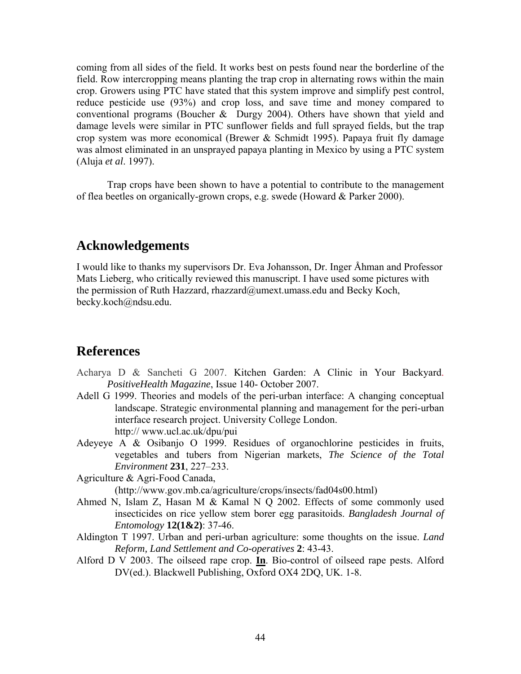coming from all sides of the field. It works best on pests found near the borderline of the conventional programs (Boucher  $&$  Durgy 2004). Others have shown that yield and damage levels were similar in PTC sunflower fields and full sprayed fields, but the trap crop system was more economical (Brewer  $&$  Schmidt 1995). Papaya fruit fly damage was almost eliminated in an unsprayed papaya planting in Mexico by using a PTC system field. Row intercropping means planting the trap crop in alternating rows within the main crop. Growers using PTC have stated that this system improve and simplify pest control, reduce pesticide use (93%) and crop loss, and save time and money compared to (Aluja *et al*. 1997).

Trap crops have been shown to have a potential to contribute to the management of flea beetles on organically-grown crops, e.g. swede (Howard & Parker 2000).

# **Acknowledgements**

Mats Lieberg, who critically reviewed this manuscript. I have used some pictures with the per mission of Ruth Hazzard, rhazzard@umext.umass.edu and Becky Koch, I would like to thanks my supervisors Dr. Eva Johansson, Dr. Inger Åhman and Professor becky.koch@ndsu.edu.

# **eferences R**

- Acharya D & Sancheti G 2007. Kitchen Garden: A Clinic in Your Backyard. *PositiveHealth Magazine*, Issue 140- October 2007.
- Adell G 1999. Theories and models of the peri-urban interface: A changing conceptual landscape. Strategic environmental planning and management for the peri-urban interface research project. University College London. http:// www.ucl.ac.uk/dpu/pui
- Adeyeye A & Osibanjo O 1999. Residues of organochlorine pesticides in fruits, vegetables and tubers from Nigerian markets, *The Science of the Total Environment* **231**, 227–233.
- Agriculture & Agri-Food Canada,

(http://www.gov.mb.ca/agriculture/crops/insects/fad04s00.html)

- Ahmed N, Islam Z, Hasan M & Kamal N Q 2002. Effects of some commonly used insecticides on rice yellow stem borer egg parasitoids. *Bangladesh Journal of Entomology* **12(1&2)**: 37-46.
- Aldington T 1997. Urban and peri-urban agriculture: some thoughts on the issue. *Land Reform, Land Settlement and Co-operatives* **2**: 43-43.
- Alford D V 2003. The oilseed rape crop.  $\underline{\mathbf{In}}$ . Bio-control of oilseed rape pests. Alford DV(ed.). Blackwell Publishing, Oxford OX4 2DQ, UK. 1-8.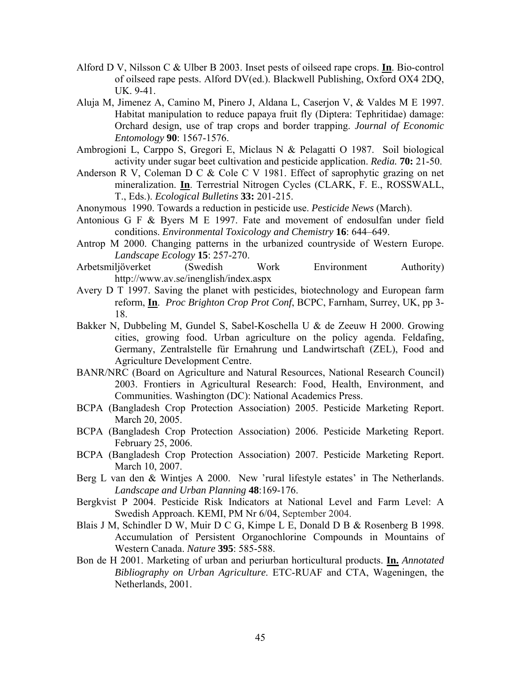- Alford D V, Nilsson C & Ulber B 2003. Inset pests of oilseed rape crops. **In**. Bio-control of oilseed rape pests. Alford DV(ed.). Blackwell Publishing, Oxford OX4 2DQ, UK. 9-41.
- Aluja M, Jimenez A, Camino M, Pinero J, Aldana L, Caserjon V, & Valdes M E 1997. Habitat manipulation to reduce papaya fruit fly (Diptera: Tephritidae) damage: Orchard design, use of trap crops and border trapping. *Journal of Economic Entomology* **90**: 1567-1576.
- Ambrogioni L, Carppo S, Gregori E, Miclaus N & Pelagatti O 1987. Soil biological activity under sugar beet cultivation and pesticide application. *Redia.* **70:** 21-50.
- Anderson R V, Coleman D C & Cole C V 1981. Effect of saprophytic grazing on net mineralization. **In**. Terrestrial Nitrogen Cycles (CLARK, F. E., ROSSWALL, T., Eds.). *Ecological Bulletins* **33:** 201-215.
- Anonymous 1990. Towards a reduction in pesticide use. *Pesticide News* (March).
- Antonious G F & Byers M E 1997. Fate and movement of endosulfan under field conditions. *Environmental Toxicology and Chemistry* **16**: 644–649.
- Antrop M 2000. Changing patterns in the urbanized countryside of Western Europe. **15**: 257-270. *Landscape Ecology*
- Arbetsmiljöverket (Swedish Work Environment Authority) [http://www.av.se/inenglish/index.aspx](mailto:rhazzard@umext.umass.edu)
- [Avery D T 1997. Saving the planet with pesticides, biotechnology and Europ](mailto:rhazzard@umext.umass.edu)ean farm [reform,](mailto:rhazzard@umext.umass.edu) **In**. *Proc Brighton Crop Prot Conf*, BCPC, Farnham, Surrey, UK, pp 3- 18.
- Bakker N, Dubbeling M, Gundel S, Sabel-Koschella U & de Zeeuw H 2000. Growing cities, growing food. Urban agriculture on the policy agenda. Feldafing, Germany, Zentralstelle für Ernahrung und Landwirtschaft (ZEL), Food and Agriculture Development Centre.
- 2003. Frontiers in Agricultural Research: Food, Health, Environment, and BANR/NRC (Board on Agriculture and Natural Resources, National Research Council) Communities. Washington (DC): National Academics Press.
- BCPA (B angladesh Crop Protection Association) 2005. Pesticide Marketing Report. March 20, 2005.
- BCPA (Bangladesh Crop Protection Association) 2006. Pesticide Marketing Report. February 25, 2006.
- BCPA (B angladesh Crop Protection Association) 2007. Pesticide Marketing Report. March 10, 2007.
- Berg L van den & Wintjes A 2000. New 'rural lifestyle estates' in The Netherlands. *Landscape and Urban Planning* **48**:169-176.
- Bergkvist P 2004. Pesticide Risk Indicators at National Level and Farm Level: A Swedish Approach. KEMI, PM Nr 6/04, September 2004.
- Blais J M, Schindler D W, Muir D C G, Kimpe L E, Donald D B & Rosenberg B 1998. Accumulation of Persistent Organochlorine Compounds in Mountains of Western Canada. *Nature* **395**: 585-588.
- Bon de H 2001. Marketing of urban and periurban horticultural products. **In.** *Annotated Bibliography on Urban Agriculture*. ETC-RUAF and CTA, Wageningen, the Netherlands, 2001.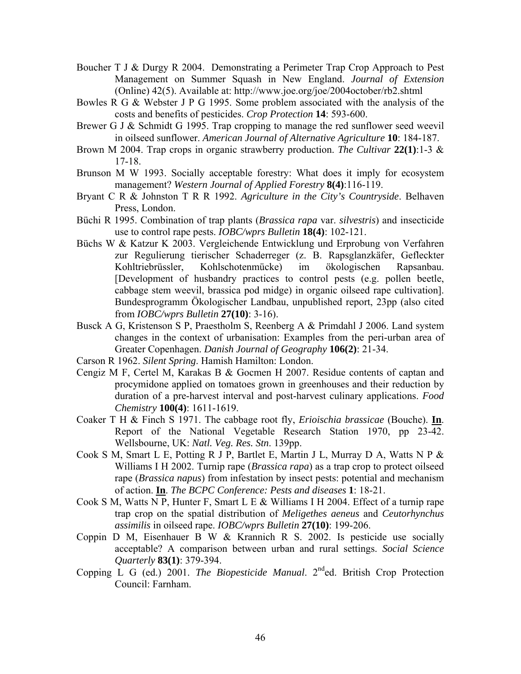- Boucher T J & Durgy R 2004. Demonstrating a Perimeter Trap Crop Approach to Pest Management on Summer Squash in New England. *Journal of Extension* (Online) 42(5). Available at: http://www.joe.org/joe/2004october/rb2.shtml
- Bowles R G & Webster J P G 1995. Some problem associated with the analysis of the costs and benefits of pesticides. *Crop Protection* **14**: 593-600.
- Brewer G J & Schmidt G 1995. Trap cropping to manage the red sunflower seed weevil in oilseed sunflower. American Journal of Alternative Agriculture 10: 184-187.
- Brown M 2004. Trap crops in organic strawberry production. *The Cultivar* **22(1)**:1-3 & 17-18.
- Brunson M W 1993. Socially acceptable forestry: What does it imply for ecosystem management? *Western Journal of Applied Forestry* **8(4)**:116-119.
- Bryant C R & Johnston T R R 1992. Agriculture in the City's Countryside. Belhaven Press, London.
- Büchi R 1995. Combination of trap plants (*Brassica rapa* var. *silvestris*) and insecticide use to control rape pests. *IOBC/wprs Bulletin* **18(4)**: 102-121.
- zur Regulierung tierischer Schaderreger (z. B. Rapsglanzkäfer, Gefleckter [Development of husbandry practices to control pests (e.g. pollen beetle, *IOBC/wprs Bulletin* **27(10)**: 3-16). from Büchs W & Katzur K 2003. Vergleichende Entwicklung und Erprobung von Verfahren Kohltriebrüssler, Kohlschotenmücke) im ökologischen Rapsanbau. cabbage stem weevil, brassica pod midge) in organic oilseed rape cultivation]. Bundesprogramm Ökologischer Landbau, unpublished report, 23pp (also cited
- Busck A G, Kristenson S P, Praestholm S, Reenberg A & Primdahl J 2006. Land system changes in the context of urbanisation: Examples from the peri-urban area of Greater Copenhagen. *Danish Journal of Geography* **106(2)**: 21-34.
- Carson R 1962. *Silent Spring*. Hamish Hamilton: London.
- duration of a pre-harvest interval and post-harvest culinary applications. Food Cengiz M F, Certel M, Karakas B & Gocmen H 2007. Residue contents of captan and procymidone applied on tomatoes grown in greenhouses and their reduction by *Chemistry* **100(4)**: 1611-1619.
- Coaker T H & Finch S 1971. The cabbage root fly, *Erioischia brassicae* (Bouche). **In** . Wellsbourne, UK: *Natl. Veg. Res. Stn.* 139pp. Report of the National Vegetable Research Station 1970, pp 23-42.
- Williams I H 2002. Turnip rape (*Brassica rapa*) as a trap crop to protect oilseed Cook S M, Smart L E, Potting R J P, Bartlet E, Martin J L, Murray D A, Watts N P & rape (*Brassica napus*) from infestation by insect pests: potential and mechanism of action. **In**. *The BCPC Conference: Pests and diseases* **1**: 18-21.
- trap crop on the spatial distribution of *Meligethes aeneus* and *Ceutorhynchus* Cook S M, Watts N P, Hunter F, Smart L E & Williams I H 2004. Effect of a turnip rape *assimilis* in oilseed rape. *IOBC/wprs Bulletin* **27(10)**: 199-206.
- Coppin D M, Eisenhauer B W & Krannich R S. 2002. Is pesticide use socially acceptable? A comparison between urban and rural settings. Social Science *Quarterly* **83(1)**: 379-394.
- Copping  $\overline{L}$  G (ed.) 2001. *The Biopesticide Manual*. 2<sup>nd</sup>ed. British Crop Protection Council: Farnham.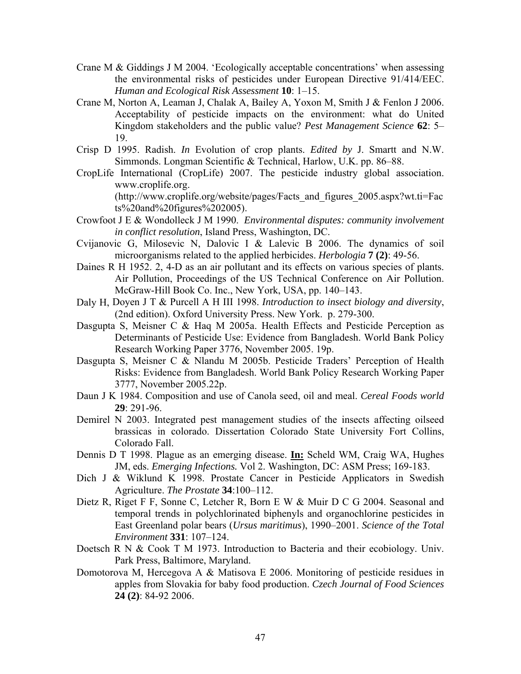- Crane M & Giddings J M 2004. 'Ecologically acceptable concentrations' when assessing the environmental risks of pesticides under European Directive 91/414/EEC. *Human and Ecological Risk Assessment* **10**: 1–15.
- Crane M, Norton A, Leaman J, Chalak A, Bailey A, Yoxon M, Smith J & Fenlon J 2006. Acceptability of pesticide impacts on the environment: what do United Kingdom stakeholders and the public value? *Pest Management Science* **62**: 5– 19.
- Simmonds. Longman Scientific & Technical, Harlow, U.K. pp. 86–88. Crisp D 1995. Radish. *In* Evolution of crop plants. *Edited by* J. Smartt and N.W.
- CropLife International (CropLife) 2007. The pesticide industry global association. www.croplife.org.

ts%20and%20figures%202005). (http://www.croplife.org/website/pages/Facts\_and\_figures\_2005.aspx?wt.ti=Fac

- Crowfoot J E & Wondolleck J M 1990. *Environmental disputes: community involvement in conflict resolution*, Island Press, Washington, DC.
- Cvijanovic G, Milosevic N, Dalovic I & Lalevic B 2006. The dynamics of soil microorganisms related to the applied herbicides. *Herbologia* **7 (2)**: 49-56.
- Daines R H 1952. 2, 4-D as an air pollutant and its effects on various species of plants. Air Pollution, Proceedings of the US Technical Conference on Air Pollution. McGraw-Hill Book Co. Inc., New York, USA, pp. 140–143.
- Daly H, Doyen J T & Purcell A H III 1998. *Introduction to insect biology and diversity*, (2nd edition). Oxford University Press. New York. p. 279-300.
- Dasgupta S, Meisner C & Haq M 2005a. Health Effects and Pesticide Perception as Determinants of Pesticide Use: Evidence from Bangladesh. World Bank Policy Research Working Paper 3776, November 2005. 19p.
- Dasgupta S, Meisner C & Nlandu M 2005b. Pesticide Traders' Perception of Health Risks: Evidence from Bangladesh. World Bank Policy Research Working Paper 3777, November 2005.22p.
- Daun J K 1984. Composition and use of Canola seed, oil and meal. *Cereal Foods world* **29**: 291-96.
- Demirel N 2003. Integrated pest management studies of the insects affecting oilseed brassicas in colorado. Dissertation Colorado State University Fort Collins, Colorado Fall.
- Dennis D T 1998. Plague as an emerging disease. **In:** Scheld WM, Craig WA, Hughes JM, eds. *Emerging Infections.* Vol 2. Washington, DC: ASM Press; 169-183.
- Dich J & Wiklund K 1998. Prostate Cancer in Pesticide Applicators in Swedish Agriculture. *The Prostate* **34**:100–112.
- East Greenland polar bears (*Ursus maritimus*), 1990–2001. *Science of the Total* Dietz R, Riget F F, Sonne C, Letcher R, Born E W & Muir D C G 2004. Seasonal and temporal trends in polychlorinated biphenyls and organochlorine pesticides in *Environment* **331**: 107–124.
- Doetsch R N & Cook T M 1973. Introduction to Bacteria and their ecobiology. Univ. Park Press, Baltimore, Maryland.
- apples from Slovakia for baby food production. *Czech Journal of Food Sciences* **24 (2)**: 84-92 2006. Domotorova M, Hercegova A & Matisova E 2006. Monitoring of pesticide residues in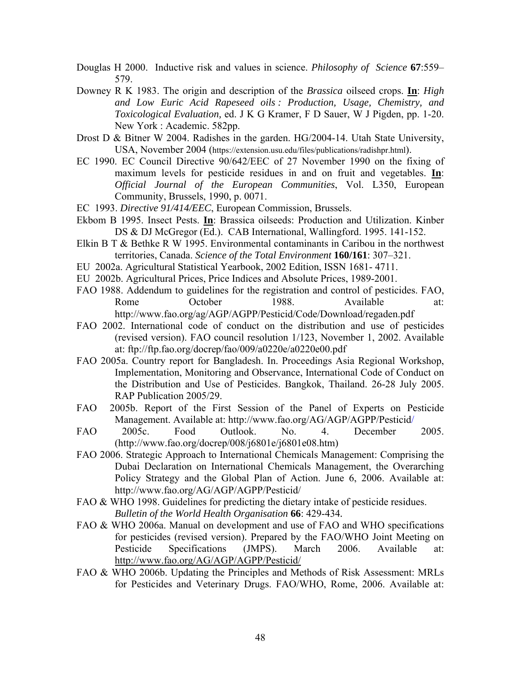- Douglas H 2000. Inductive risk and values in science. *Philosophy of Science* **67**:559– 579.
- Downey R K 1983. The origin and description of the *Brassica* oilseed crops. **In**: *High and Low Euric Acid Rapeseed oils : Production, Usage, Chemistry, and Toxicological Evaluation,* ed. J K G Kramer, F D Sauer, W J Pigden, pp. 1-20. New York : Academic. 582pp.
- Drost D & Bitner W 2004. Radishes in the garden. HG/2004-14. Utah State University, USA, November 2004 (https://extension.usu.edu/files/publications/radishpr.html).
- EC 1990. EC Council Directive 90/642/EEC of 27 November 1990 on the fixing of maximum levels for pesticide residues in and on fruit and vegetables. **In**: *Official Journal of the European Communities*, Vol. L350, European Community, Brussels, 1990, p. 0071.
- EC 1993. Directive 91/414/EEC, European Commission, Brussels.
- Ekbom B 1995. Insect Pests. **In**: Brassica oilseeds: Production and Utilization. Kinber DS & DJ McGregor (Ed.). CAB International, Wallingford. 1995. 141-152.
- Elkin B T & Bethke R W 1995. Environmental contaminants in Caribou in the northwest territories, Canada. *Science of the Total Environment* **160/161**: 307–321.
- EU 2002a. Agricultural Statistical Yearbook, 2002 Edition, ISSN 1681- 4711.
- EU 2002 b. Agricultural Prices, Price Indices and Absolute Prices, 1989-2001.
- FAO 1988. Addendum to guidelines for the registration and control of pesticides. FAO, http://www.fao.org/ag/AGP/AGPP/Pesticid/Code/Download/regaden.pdf Rome October 1988. Available at:
- at: ftp://ftp.fao.org/docrep/fao/009/a0220e/a0220e00.pdf FAO 2002. International code of conduct on the distribution and use of pesticides (revised version). FAO council resolution 1/123, November 1, 2002. Available
- the Distribution and Use of Pesticides. Bangkok, Thailand. 26-28 July 2005. FAO 2005a. Country report for Bangladesh. In. Proceedings Asia Regional Workshop, Implementation, Monitoring and Observance, International Code of Conduct on RAP Publication 2005/29.
- FAO 2005b. Report of the First Session of the Panel of Experts on Pesticide Management. Available at: http://www.fao.org/AG/AGP/AGPP/Pesticid/
- FAO 2005c. Food Outlook. No. 4. December 2005. (http://www.fao.org/docrep/008/j6801e/j6801e08.htm)
- Dubai Declaration on International Chemicals Management, the Overarching http://www.fao.org/AG/AGP/AGPP/Pesticid/ FAO 2006. Strategic Approach to International Chemicals Management: Comprising the Policy Strategy and the Global Plan of Action. June 6, 2006. Available at:
- FAO & WHO 1998. Guidelines for predicting the dietary intake of pesticide residues. *Bulletin of the World Health Organisation* **66**: 429-434*.*
- FAO & WHO 2006a. Manual on development and use of FAO and WHO specifications for pesticides (revised version). Prepared by the FAO/WHO Joint Meeting on http://www.fao.org/AG/AGP/AGPP/Pesticid/ Pesticide Specifications (JMPS). March 2006. Available at:
- FAO & WHO 2006b. Updating the Principles and Methods of Risk Assessment: MRLs for Pesticides and Veterinary Drugs. FAO/WHO, Rome, 2006. Available at: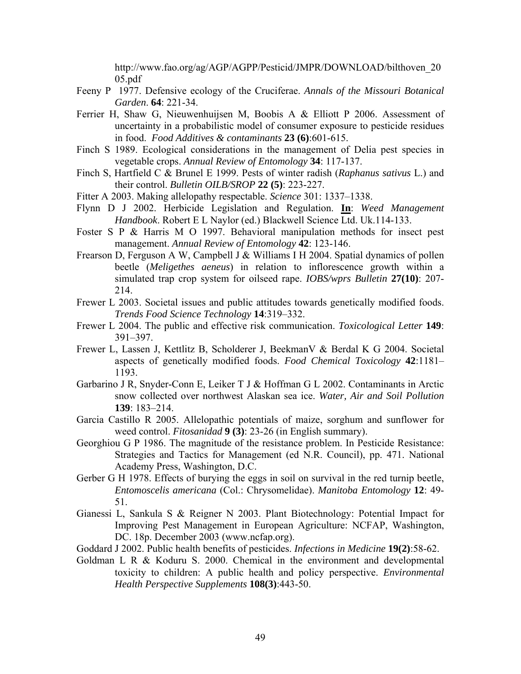http://www.fao.org/ag/AGP/AGPP/Pesticid/JMPR/DOWNLOAD/bilthoven\_20 05.pdf

- Feeny P 1977. Defensive ecology of the Cruciferae. *Annals of the Missouri Botanical Garden*. **64**: 221-34.
- Ferrier H, Shaw G, Nieuwenhuijsen M, Boobis A & Elliott P 2006. Assessment of uncertainty in a probabilistic model of consumer exposure to pesticide residues in food. *Food Additives & contaminants* **23 (6)**:601-615.
- Finch S 1989. Ecological considerations in the management of Delia pest species in vegetable crops. *Annual Review of Entomology* **34**: 117-137.
- Finch S, Hartfield C & Brunel E 1999. Pests of winter radish (*Raphanus sativus* L.) and their control. *Bulletin OILB/SROP* **22 (5)**: 223-227.
- Fitter A 2003. Making allelopathy respectable. *Science* 301: 1337–1338.
- Flynn D J 2002. Herbicide Legislation and Regulation. **In**: *Weed Management Handbook*. Robert E L Naylor (ed.) Blackwell Science Ltd. Uk.114-133.
- Foster S P  $&$  Harris M O 1997. Behavioral manipulation methods for insect pest management. *Annual Review of Entomology* **42**: 123-146.
- Frearson D, Ferguson A W, Campbell J & Williams I H 2004. Spatial dynamics of pollen beetle (*Meligethes aeneus*) in relation to inflorescence growth within a simulated trap crop system for oilseed rape. *IOBS/wprs Bulletin* 27(10): 207-214.
- Frewer L 2003. Societal issues and public attitudes towards genetically modified foods. *Trends Food Science Technology* **14**:319–332.
- Frewer L 2004. The public and effective risk communication. *Toxicological Letter* **149**: 391–397.
- Frewer L, Lassen J, Kettlitz B, Scholderer J, BeekmanV & Berdal K G 2004. Societal aspects of genetically modified foods. *Food Chemical Toxicology* **42**:1181– 1193.
- Garbarin o J R, Snyder-Conn E, Leiker T J & Hoffman G L 2002. Contaminants in Arctic snow collected over northwest Alaskan sea ice. Water, Air and Soil Pollution **139**: 183–214.
- Garcia Castillo R 2005. Allelopathic potentials of maize, sorghum and sunflower for weed control. *Fitosanidad* **9 (3)**: 23-26 (in English summary).
- Georghio u G P 1986. The magnitude of the resistance problem. In Pesticide Resistance: Strategies and Tactics for Management (ed N.R. Council), pp. 471. National Academy Press, Washington, D.C.
- Gerber G H 1978. Effects of burying the eggs in soil on survival in the red turnip beetle, ). *Manitoba Entomology* **12**: 49- *Entomoscelis americana* (Col.: Chrysomelidae 51.
- Gianessi L, Sankula S & Reigner N 2003. Plant Biotechnology: Potential Impact for Improving Pest Management in European Agriculture: NCFAP, Washington, DC. 18p. December 2003 ([www.ncfap.org\)](http://www.fao.org/AG/AGP/AGPP/Pesticid/).
- Goddard J 2002. Public health benefits of pesticides. *Infections in Medicine* **19(2)**:58-62.
- Goldman L R  $&$  Koduru S. 2000. Chemical in the environment and developmental toxicity to children: A public health and policy perspective. *Environmental Health Perspective Supplements* **108(3)**:443-50.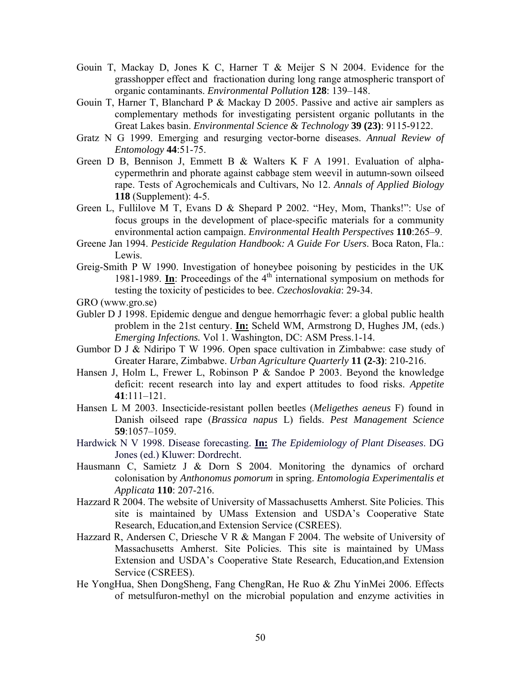- Gouin T , Mackay D, Jones K C, Harner T & Meijer S N 2004. Evidence for the grasshopper effect and fractionation during long range atmospheric transport of organic contaminants. *Environmental Pollution* **128**: 139–148.
- Gouin T, Harner T, Blanchard P & Mackay D 2005. Passive and active air samplers as complementary methods for investigating persistent organic pollutants in the Great Lakes basin. *Environmental Science & Technology* **39 (23)**: 9115-9122.
- Gratz N G 1999. Emerging and resurging vector-borne diseases. Annual Review of *Entomology* **44**:51-75.
- Green D B, Bennison J, Emmett B & Walters K F A 1991. Evaluation of alpharape. Tests of Agrochemicals and Cultivars, No 12. Annals of Applied Biology cypermethrin and phorate against cabbage stem weevil in autumn-sown oilseed **118** (Supplement): 4-5.
- focus groups in the development of place-specific materials for a community Green L, Fullilove M T, Evans D & Shepard P 2002. "Hey, Mom, Thanks!": Use of environmental action campaign. *Environmental Health Perspectives* **110**:265–9.
- Greene Jan 1994. Pesticide Regulation Handbook: A Guide For Users. Boca Raton, Fla.: Lewis.
- Greig-Sm ith P W 1990. Investigation of honeybee poisoning by pesticides in the UK 1981-1989. **In**: Proceedings of the  $4<sup>th</sup>$  international symposium on methods for testing the toxicity of pesticides to bee. *Czechoslovakia*: 29-34.
- GRO (www.gro.se)
- Gubler D J 1998. Epidemic dengue and dengue hemorrhagic fever: a global public health problem in the 21st century. **In:** Scheld WM, Armstrong D, Hughes JM, (eds.) *Emerging Infections.* Vol 1. Washington, DC: ASM Press.1-14.
- Gumbor D J & Ndiripo T W 1996. Open space cultivation in Zimbabwe: case study of Greater Harare, Zimbabwe. *Urban Agriculture Quarterly* **11 (2-3)**: 210-216.
- Hansen J, Holm L, Frewer L, Robinson P  $&$  Sandoe P 2003. Beyond the knowledge deficit: recent research into lay and expert attitudes to food risks. *Appetite*  **41**:111–121.
- Hansen L M 2003. Insecticide-resistant pollen beetles (*Meligethes aeneus* F) found in Danish oilseed rape (*Brassica napus* L) fields. *Pest Management Science* **59**:1057–1059.
- Hardwick N V 1998. Disease forecasting. **In:** *The Epidemiology of Plant Diseases*. DG Jones (ed.) Kluwer: Dordrecht.
- Hausmann C, Samietz J & Dorn S 2004. Monitoring the dynamics of orchard colonisation by *Anthonomus pomorum* in spring. *Entomologia Experimentalis et Applicata* **110**: 207-216.
- Hazzard R 2004. The website of University of Massachusetts Amherst. Site Policies. This site is maintained by [UMass Extension and USDA's Cooperative State](http://www.ncfap.org/)  [Research, Education,and Extension Service \(CSREES\).](http://www.ncfap.org/)
- Hazzard R, Andersen C, Driesche V R & Mangan F 2004. The website of University of Massachusetts Amherst. Site Policies. This site is maintained by UMass Extension and USDA's Cooperative State Research, Education,and Extension Service (CSREES).
- He YongHua, Shen DongSheng, Fang ChengRan, He Ruo & Zhu YinMei 2006. Effects of metsulfuron-methyl on the microbial population and enzyme activities in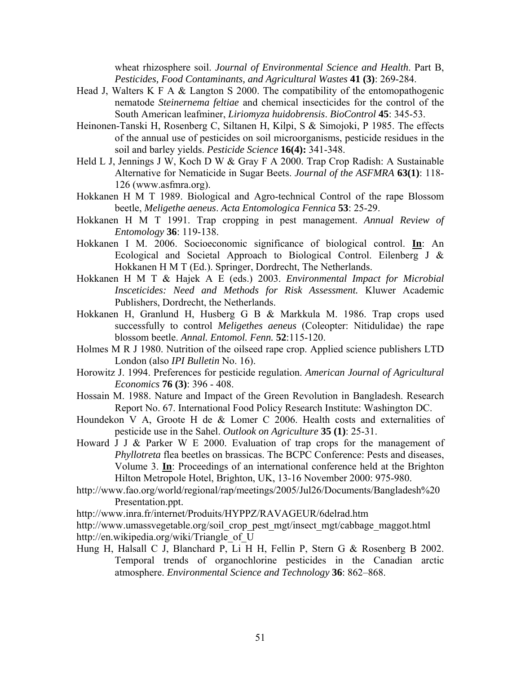wheat rhizosphere soil. *Journal of Environmental Science and Health*. Part B, *Pesticides, Food Contaminants, and Agricultural Wastes* **41 (3)**: 269-284.

- Head J, Walters K F A & Langton S 2000. The compatibility of the entomopathogenic nematode *Steinernema feltiae* and chemical insecticides for the control of the South American leafminer, *Liriomyza huidobrensis*. *BioControl* **45**: 345-53.
- Heinonen-Tanski H, Rosenberg C, Siltanen H, Kilpi, S & Simojoki, P 1985. The effects soil and barley yields. Pesticide Science 16(4): 341-348. of the annual use of pesticides on soil microorganisms, pesticide residues in the
- Held L J, Jennings J W, Koch D W & Gray F A 2000. Trap Crop Radish: A Sustainable Alternative for Nematicide in Sugar Beets. *Journal of the ASFMRA* **63(1)**: 118- 126 (www.asfmra.org).
- Hokkanen H M T 1989. Biological and Agro-technical Control of the rape Blossom beetle, *Meligethe aeneus*. *Acta Entomologica Fennica* **53**: 25-29.
- Hokkane n H M T 1991. Trap cropping in pest management. *Annual Review of Entomology* **36**: 119-138.
- Hokkanen I M. 2006. Socioeconomic significance of biological control. **In**: An Ecological and Societal Approach to Biological Control. Eilenberg J & Hokkanen H M T (Ed.). Springer, Dordrecht, The Netherlands.
- Hokkane n H M T & Hajek A E (eds.) 2003. *Environmental Impact for Microbial*  Insceticides: Need and Methods for Risk Assessment. Kluwer Academic Publishers, Dordrecht, the Netherlands.
- Hokkanen H, Granlund H, Husberg G B & Markkula M. 1986. Trap crops used successfully to control *Meligethes aeneus* (Coleopter: Nitidulidae) the rape blossom beetle. *Annal. Entomol. Fenn.* **52**:115-120.
- Holmes M R J 1980. Nutrition of the oilseed rape crop. Applied science publishers LTD London (also *IPI Bulletin* No. 16).
- Horowitz J. 1994. Preferences for pesticide regulation. *American Journal of Agricultural Economics* **76 (3)**: 396 - 408.
- Hossain M. 1988. Nature and Impact of the Green Revolution in Bangladesh. Research Report No. 67. International Food Policy Research Institute: Washington DC.
- Houndek on V A, Groote H de & Lomer C 2006. Health costs and externalities of pesticide use in the Sahel. *Outlook on Agriculture* 35 (1): 25-31.
- Phyllotreta flea beetles on brassicas. The BCPC Conference: Pests and diseases, Howard J J & Parker W E 2000. Evaluation of trap crops for the management of Volume 3. **In**: Proceedings of an international conference held at the Brighton Hilton Metropole Hotel, Brighton, UK, 13-16 November 2000: 975-980.
- http://www.fao.org/world/regional/rap/meetings/2005/Jul26/Documents/Bangladesh%20 Presentation.ppt[.](http://www.umass.edu/umhome/policies/)
- http://ww [w.inra.fr/internet/Produits/HYPPZ/RAVAGEUR/6delrad.htm](http://www.umass.edu/umhome/policies/)
- http://www.umassvegetable.org/soil\_crop\_pest\_mgt/insect\_mgt/cabbage\_maggot.html http://en.wikipedia.org/wiki/Triangle\_of\_U
- Hung H,  [Halsall C J, Blanchard P, Li H H, Fellin P, Stern G & Rosenberg B 2002.](http://www.umass.edu/)  [atmosphere.](http://www.umass.edu/) *Environmental Science and Technology* 36: 862–868. [Temporal trends of organochlorine pesticides in the Canadian arctic](http://www.umass.edu/)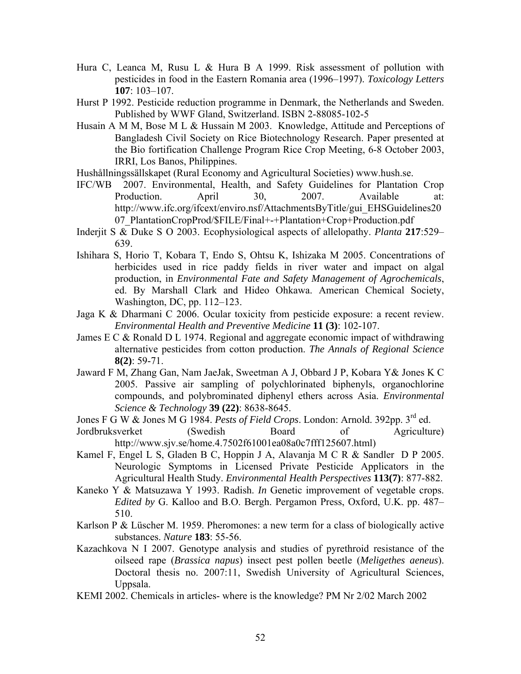- Hura C, Leanca M, Rusu L & Hura B A 1999. Risk assessment of pollution with pesticides in food in the Eastern Romania area (1996–1997). *Toxicology Letters* **107**: 103–107.
- Hurst P 1 992. Pesticide reduction programme in Denmark, the Netherlands and Sweden. Published by WWF Gland, Switzerland. ISBN 2-88085-102-5
- the Bio fortification Challenge Program Rice Crop Meeting, 6-8 October 2003, Husain A M M, Bose M L & Hussain M 2003. Knowledge, Attitude and Perceptions of Bangladesh Civil Society on Rice Biotechnology Research. Paper presented at IRRI, Los Banos, Philippines.

Hushålln ingssällskapet (Rural Economy and Agricultural Societies) [www.hush.se](http://www.asfmra.org/).

- IFC/WB 2007. Environmental, Health, and Safety Guidelines for Plantation Crop http://www.ifc.org/ifcext/enviro.nsf/AttachmentsByTitle/gui\_EHSGuidelines20 Production. April 30, 2007. Available at: 07 PlantationCropProd/\$FILE/Final+-+Plantation+Crop+Production.pdf
- Inderjit S & Duke S O 2003. Ecophysiological aspects of allelopathy. *Planta* **217**:529– 639.
- Ishihara S, Horio T, Kobara T, Endo S, Ohtsu K, Ishizaka M 2005. Concentrations of herbicides used in rice paddy fields in river water and impact on algal production, in *Environmental Fate and Safety Management of Agrochemicals*, ed. By Marshall Clark and Hideo Ohkawa. American Chemical Society, Washington, DC, pp. 112–123.
- Jaga K & Dharmani C 2006. Ocular toxicity from pesticide exposure: a recent review. *Environmental Health and Preventive Medicine* **11 (3)**: 102-107.
- James E C  $\&$  Ronald D L 1974. Regional and aggregate economic impact of withdrawing alternative pesticides from cotton production. *The Annals of Regional Science*  **8(2)**: 59-71.
- 2005. Passive air sampling of polychlorinated biphenyls, organochlorine Jaward F M, Zhang Gan, Nam JaeJak, Sweetman A J, Obbard J P, Kobara Y& Jones K C compounds, and polybrominated diphenyl ethers across Asia. *Environmental Science & Technology* **39 (22)**: 8638-8645.

Jones F G W & Jones M G 1984. *Pests of Field Crops*. London: Arnold. 392pp. 3rd ed.

- Jordbruk sverket (Swedish Board of Agriculture) (Swedish http://www.sjv.se/home.4.7502f61001ea08a0c7fff125607.html)
- Kamel F , Engel L S, Gladen B C, Hoppin J A, Alavanja M C R & Sandler D P 2005. Agricultural Health Study. *Environmental Health Perspectives* 113(7): 877-882. Neurologic Symptoms in Licensed Private Pesticide Applicators in the
- Kaneko Y & Matsuzawa Y 1993. Radish. *In* Genetic improvement of vegetable crops. Edited by G. Kalloo and B.O. Bergh. Pergamon Press, Oxford, U.K. pp. 487– 510.
- Karlson P & Lüscher M. 1959. Pheromones: a new term for a class of biologically active substances. *Nature* **183**: 55-56.
- Doctoral thesis no. 2007:11, Swedish University of Agricultural Sciences, Uppsala. Kazachkova N I 2007. Genotype analysis and studies of pyrethroid resistance of the oilseed rape (*Brassica napus*) insect pest pollen beetle (*Meligethes aeneus*).
- KEMI 2002. Chemicals in articles- where is the knowledge? PM Nr 2/02 March 2002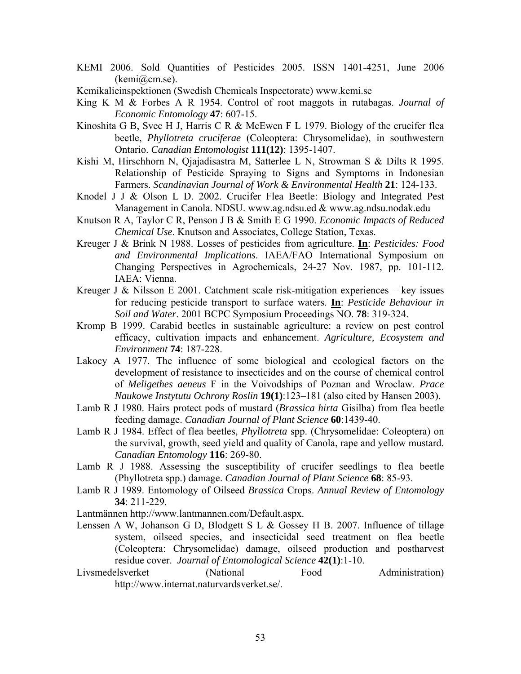- KEMI 2006. Sold Quantities of Pesticides 2005. ISSN 1401-4251, June 2006 (kemi@cm.se).
- Kemikalieinspektionen (Swedish Chemicals Inspectorate) www.kemi.se
- King K M & Forbes A R 1954. Control of root maggots in rutabagas. *Journal of Economic Entomology* **47**: 607-15.
- Kinoshita G B, Svec H J, Harris C R & McEwen F L 1979. Biology of the crucifer flea beetle, *Phyllotreta cruciferae* (Coleoptera: Chrysomelidae), in southwestern Ontario. *Canadian Entomologist* **111(12)**: 1395-1407.
- Kishi M, Hirschhorn N, Qjajadisastra M, Satterlee L N, Strowman S & Dilts R 1995. Relationship of Pesticide Spraying to Signs and Symptoms in Indonesian Farmers. *Scandinavian Journal of Work & Environmental Health* **21**: 124-133.
- Knodel J J & Olson L D. 2002. Crucifer Flea Beetle: Biology and Integrated Pest Management in Canola. NDSU. [www.ag.ndsu.ed & www.ag.ndsu.nodak.edu](http://www.ifc.org/ifcext/enviro.nsf/AttachmentsByTitle/gui_EHSGuidelines2007_PlantationCropProd/$FILE/Final+-+Plantation+Crop+Production.pdf)
- Knutson [R A, Taylor C R, Penson J B & Smith E G 1990.](http://www.ifc.org/ifcext/enviro.nsf/AttachmentsByTitle/gui_EHSGuidelines2007_PlantationCropProd/$FILE/Final+-+Plantation+Crop+Production.pdf) *Economic Impacts of Reduced Chemical Use*. Knutson and Associates, College Station, Texas.
- Kreuger J & Brink N 1988. Losses of pesticides from agriculture. **In** : *Pesticides: Food and Environmental Implications*. IAEA/FAO International Symposium on Changing Perspectives in Agrochemicals, 24-27 Nov. 1987, pp. 101-112. IAEA: Vienna.
- Kreuger J & Nilsson E 2001. Catchment scale risk-mitigation experiences key issues for reducing pesticide transport to surface waters. **In**: Pesticide Behaviour in *Soil and Water*. 2001 BCPC Symposium Proceedings NO. **78**: 319-324.
- Kromp B 1999. Carabid beetles in sustainable agriculture: a review on pest control efficacy, cultivation impacts and enhancement. *Agriculture, Ecosystem and Environment* **74**: 187-228.
- Lakocy A 1977. The influence of some biological and ecological factors on the development of resistance to insecticides and on the course of chemical control of *Meligethes aeneus* F in the Voivodships of Poznan and Wroclaw. *Prace Naukowe Instytutu Ochrony Roslin* **19(1)**:123–181 (also cited by Hansen 2003).
- Lamb R J 1980. Hairs protect pods of mustard (*Brassica hirta* Gisilba) from flea beetle feeding damage. *Canadian Journal of Plant Science* **60**:1439-40.
- the survival, growth, seed yield and quality of Canola, rape and yellow mustard. Lamb R J 1984. Effect of flea beetles, *Phyllotreta* spp. (Chrysomelidae: Coleoptera) on *Canadian Entomology* **116**: 269-80.
- Lamb R J 1988. Assessing the susceptibility of crucifer seedlings to flea beetle (Phyllotreta spp.) damage. *Canadian Journal of Plant Science* **68**: 85-93.
- Lamb R J 1989. Entomology of Oilseed *Brassica* Crops. *Annual Review of Entomology* **34**: 211-229.
- Lantmännen http://www.lantmannen.com/Default.aspx.
- system, oilseed species, and insecticidal seed treatment on flea beetle Lenssen A W, Johanson G D, Blodgett S L & Gossey H B. 2007. Influence of tillage (Coleoptera: Chrysomelidae) damage, oilseed production and postharvest residue cover. *Journal of Entomological Science* **42(1)**:1-10.
- **Livsmedelsverket** http://www.internat.naturvardsverket.se/. (National Food Administration)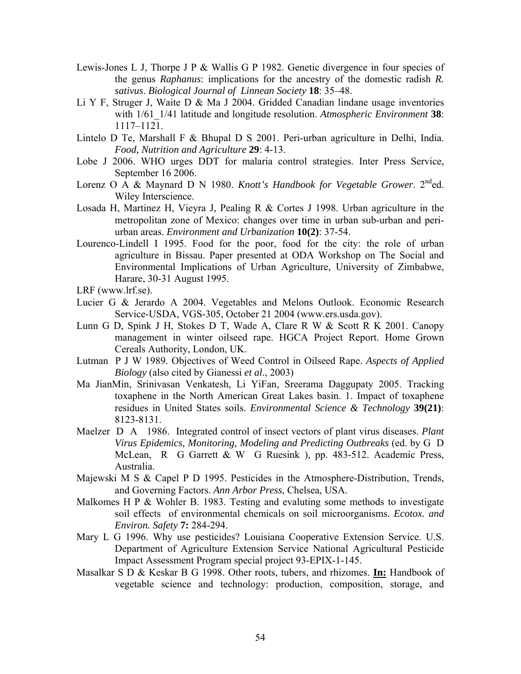- Lewis-Jones L J, Thorpe J P & Wallis G P 1982. Genetic divergence in four species of the genus *Raphanus*: implications for the ancestry of the domestic radish *R. sativus*. *Biological Journal of Linnean Society* **18**: 35–48.
- with  $1/61$  1/41 latitude and longitude resolution. Atmospheric Environment 38: Li Y F, Struger J, Waite D & Ma J 2004. Gridded Canadian lindane usage inventories 1117–1121.
- Lintelo D Te, Marshall F & Bhupal D S 2001. Peri-urban agriculture in Delhi, India. *Food, Nutrition and Agriculture* **29**: 4-13.
- Lobe J 2006. WHO urges DDT for malaria control strategies. Inter Press Service, September 16 2006.
- Lorenz O A & Maynard D N 1980. *Knott's Handbook for Vegetable Grower*. 2<sup>nd</sup>ed. Wiley Interscience.
- Losada H, Martinez H, Vieyra J, Pealing R  $&$  Cortes J 1998. Urban agriculture in the metropolitan zone of Mexico: changes over time in urban sub-urban and periurban areas. *Environment and Urbanization* **10(2)**: 37-54.
- Harare, 30-31 August 1995. Lourenco-Lindell I 1995. Food for the poor, food for the city: the role of urban agriculture in Bissau. Paper presented at ODA Workshop on The Social and Environmental Implications of Urban Agriculture, University of Zimbabwe,
- LRF (www.lrf.se).
- Lucier G & Jerardo A 2004. Vegetables and Melons Outlook. Economic Research Service-USDA, VGS-305, October 21 2004 (www.ers.usda.gov).
- Cereals Authority, London, UK. Lunn G D, Spink J H, Stokes D T, Wade A, Clare R W & Scott R K 2001. Canopy management in winter oilseed rape. HGCA Project Report. Home Grown
- Lutman P J W 1989. Objectives of Weed Control in Oilseed Rape. *Aspects of Applied Biology* (also cited by Gianessi *et al*., 2003)
- Ma JianM in, Srinivasan Venkatesh, Li YiFan, Sreerama Daggupaty 2005. Tracking toxaphene in the North American Great Lakes basin. 1. Impact of toxaphene residues in United States soils. *Environmental Science & Technology* **39(21)**: 8123-8131.
- McLean, R G Garrett & W G Ruesink ), pp. 483-512. Academic Press, Maelzer D A 1986. Integrated control of insect vectors of plant virus diseases. *Plant Virus Epidemics, Monitoring, Modeling and Predicting Outbreaks* (ed. by G D Australia.
- Majewski M S & Capel P D 1995. Pesticides in the Atmosphere-Distribution, Trends, and Governing Factors. *Ann Arbor Press*, Chelsea, USA.
- Malkomes H P  $&$  Wohler B. 1983. Testing and evaluting some methods to investigate soil effects of environmental chemicals on soil microorganisms. *Ecotox. and Environ. Safety* **7:** 284-294.
- Mary L G 1996. Why use pesticides? Louisiana Cooperative Extension Service. U.S. Department of Agriculture Extension Service National Agricultural Pesticide Impact Assessment Program special project 93-EPIX-1-145.
- Masalkar S D & Keskar B G 1998. Other roots, tubers, and rhizomes. **In:** Handbook of vegetable science and technology: production, composition, storage, and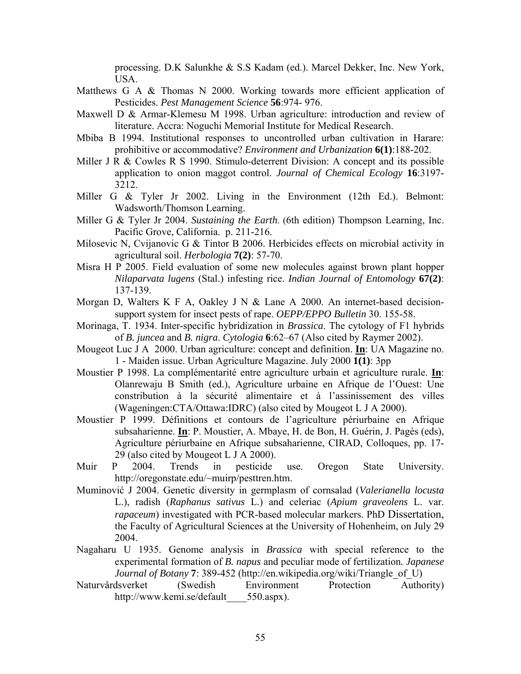processing. D.K Salunkhe & S.S Kadam (ed.). Marcel Dekker, Inc. New York, USA.

- Matthews G A & Thomas N 2000. Working towards more efficient application of Pesticides. *Pest Management Science* **56**:974- 976.
- Maxwell D & Armar-Klemesu M 1998. Urban agriculture: introduction and review of literature. Accra: Noguchi Memorial Institute for Medical Research.
- prohibitive or accommodative? *Environment and Urbanization* 6(1):188-202. Mbiba B 1994. Institutional responses to uncontrolled urban cultivation in Harare:
- application to onion maggot control. *Journal of Chemical Ecology* 16:3197-Miller J R & Cowles R S 1990. Stimulo-deterrent Division: A concept and its possible 3212.
- Miller G & Tyler Jr 2002. Living in the Environment (12th Ed.). Belmont: Wadsworth/Thomson Learning.
- Miller G & Tyler Jr 2004. *Sustaining the Earth*. (6th edition) Thompson Learning, Inc. Pacific Grove, California. p. 211-216.
- Milosevic N, Cvijanovic G & Tintor B 2006. Herbicides effects on microbial activity in agricultural soil. *Herbologia* **7(2)**: 57-70.
- Misra H P 2005. Field evaluation of some new molecules against brown plant hopper *Nilaparvata lugens* (Stal.) infesting rice. *Indian Journal of Entomology* 67(2): 137-139.
- support system for insect pests of rape. *OEPP/EPPO Bulletin* 30. 155-58. Morgan D, Walters K F A, Oakley J N & Lane A 2000. An internet-based decision-
- Morinaga, T. 1934. Inter-specific hybridization in *Brassica*. The cytology of F1 hybrids of *B. juncea* and *B. nigra*. *Cytologia* **6**:62–67 (Also cited by Raymer 2002).
- Mougeot Luc J A 2000. Urban agriculture: concept and definition. **In**: UA Magazine no. 1 - Maiden issue. Urban Agriculture Magazine. July 2000 **1(1)**: 3pp
- Moustier P 1998. La complémentarité entre agriculture urbain et agriculture rurale. **In**: Olanrewaju B Smith (ed.), Agriculture urbaine en Afrique de l'Ouest: Une constribution à la sécurité alimentaire et à l'assinissement des villes (Wageningen:CTA/Ottawa:IDRC) (also cited by Mougeot L J A 2000).
- Moustier P 1999. Définitions et contours de l'agriculture périurbaine en Afrique subsaharienne. **In**: P. Moustier, A. Mbaye, H. de Bon, H. Guérin, J. Pagès (eds), Agriculture périurbaine en Afrique subsaharienne, CIRAD, Colloques, pp. 17- 29 (also cited by Mougeot L J A 2000).
- Muir P 2004. Trends in pesticide use. Oregon State University. http://oregonstate.edu/~muirp/pesttren.htm.
- Muminović J 2004. Genetic diversity in germplasm of cornsalad (Valerianella locusta the Faculty of Agricultural Sciences at the University of Hohenheim, on July 29 L.), radish (*Raphanus sativus* L.) and celeriac (*Apium graveolens* L. var. *rapaceum*) investigated with PCR-based molecular markers. PhD Dissertation, 2004.
- Nagaharu U 1935. Genome analysis in *Brassica* with special reference to the experimental formation of *B. napus* and peculiar mode of fertilization. Japanese *Journal of Botany* **7**: 389-452 (http://en.wikipedia.org/wiki/Triangle\_of\_U)
- Naturvårdsverket http://www.kemi.se/default\_\_\_\_550.aspx). (Swedish Environment Protection Authority)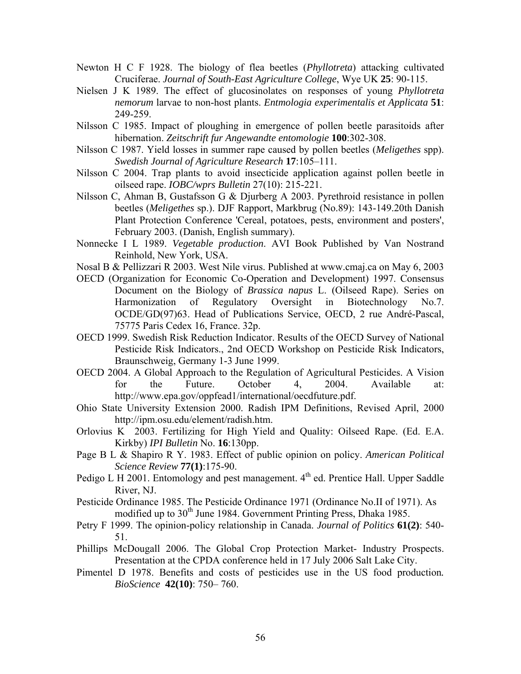- Newton H C F 1928. The biology of flea beetles (*Phyllotreta*) attacking cultivated Cruciferae. Journal of South-East Agriculture College, Wye UK 25: 90-115.
- *nemorum* larvae to non-host plants. *Entmologia experimentalis et Applicata* 51: Nielsen J K 1989. The effect of glucosinolates on responses of young *Phyllotreta*  249-259.
- Nilsson C 1985. Impact of ploughing in emergence of pollen beetle parasitoids after hibernation. *Zeitschrift fur Angewandte entomologie* **100**:302-308.
- Nilsson C 1987. Yield losses in summer rape caused by pollen beetles (*Meligethes* spp). *Swedish Journal of Agriculture Research* **17**:105–111.
- Nilsson C 2004. Trap plants to avoid insecticide application against pollen beetle in oilseed rape. *IOBC/wprs Bulletin* 27(10): 215-221.
- beetles (*Meligethes* sp.). DJF Rapport, Markbrug (No.89): 143-149.20th Danish February 2003. (Danish, English summary). Nilsson C, Ahman B, Gustafsson G & Djurberg A 2003. Pyrethroid resistance in pollen Plant Protection Conference 'Cereal, potatoes, pests, environment and posters',
- Nonnecke I L 1989. *Vegetable production*. AVI Book Published by Van Nostrand Reinhold, New York, USA.
- Nosal B & Pellizzari R 2003. West Nile virus. Published at www.cmaj.ca on May 6, 2003
- OECD (O rganization for Economic Co-Operation and Development) 1997. Consensus Document on the Biology of *Brassica napus* L. (Oilseed Rape). Series on OCDE/GD(97)63. Head of Publications Service, OECD, 2 rue André-Pascal, Harmonization of Regulatory Oversight in Biotechnology No.7. 75775 Paris Cedex 16, France. 32p.
- OECD 1999. Swedish Risk Reduction Indicator. Results of the OECD Survey of National Pesticide Risk Indicators., 2nd OECD Workshop on Pesticide Risk Indicators, Braunschweig, Germany 1-3 June 1999.
- OECD 2004. A Global Approach to the Regulation of Agricultural Pesticides. A Vision for the Future. October 4, 2004. Available at: http://www.epa.gov/oppfead1/international/oecdfuture.pdf.
- Ohio State University Extension 2000. Radish IPM Definitions, Revised April, 2000 http://ipm.osu.edu/element/radish.htm.
- Orlovius K 2003. Fertilizing for High Yield and Quality: Oilseed Rape. (Ed. E.A. Kirkby) *IPI Bulletin* No. **16**:130pp.
- Page B L & Shapiro R Y. 1983. Effect of public opinion on policy. *American Political Science Review* **77(1)**:175-90.
- Pedigo L H 2001. Entomology and pest management. 4<sup>th</sup> ed. Prentice Hall. Upper Saddle River, NJ.
- Pesticide Ordinance 1985. The Pesticide Ordinance 1971 (Ordinance No.II of 1971). As modified up to 30<sup>th</sup> June 1984. Government Printing Press, Dhaka 1985.
- Petry F 1 999. The opinion-policy relationship in Canada. *Journal of Politics* **61(2)**: 540- 51.
- Phillips McDougall 2006. The Global Crop Protection Market- Industry Prospects. Presentation at the CPDA conference held in 17 July 2006 Salt Lake City.
- Pimentel D 1978. Benefits and costs of pesticides use in the US food production. *BioScience* **42(10)**: 750– 760.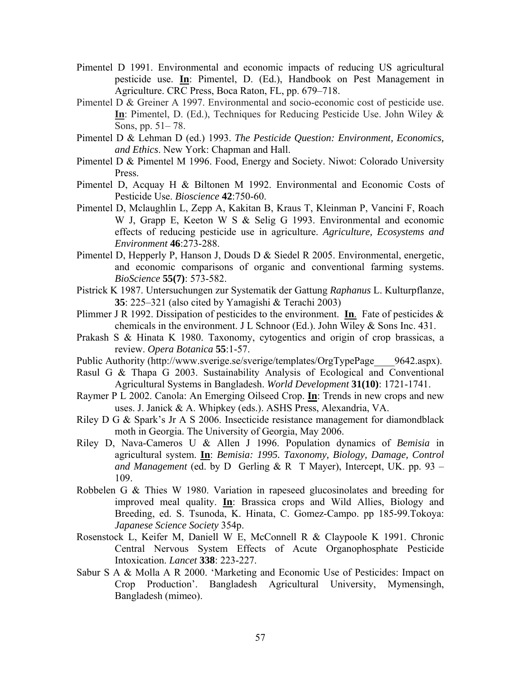- Pimentel D 1991. Environmental and economic impacts of reducing US agricultural pesticide use. **In**: Pimentel, D. (Ed.), Handbook on Pest Management in Agriculture. CRC Press, Boca Raton, FL, pp. 679–718.
- Pimentel D & Greiner A 1997. Environmental and socio-economic cost of pesticide use. **In**: Pimentel, D. (Ed.), Techniques for Reducing Pesticide Use. John Wiley & Sons, pp. 51– 78.
- Pimentel D & Lehman D (ed.) 1993. *The Pesticide Question: Environment*, *Economics*, *and Ethics*. New York: Chapman and Hall.
- Pimentel D & Pimentel M 1996. Food, Energy and Society. Niwot: Colorado University Press.
- Pimentel D, Acquay H & Biltonen M 1992. Environmental and Economic Costs of Pesticide Use. *Bioscience* **42**:750-60.
- Pimentel D, Mclaughlin L, Zepp A, Kakitan B, Kraus T, Kleinman P, Vancini F, Roach effects of reducing pesticide use in agriculture. Agriculture, Ecosystems and W J, Grapp E, Keeton W S & Selig G 1993. Environmental and economic *Environment* **46**:273-288.
- Pimentel D, Hepperly P, Hanson J, Douds D & Siedel R 2005. Environmental, energetic, and economic comparisons of organic and conventional farming systems. *BioScience* **55(7)**: 573-582.
- Pistrick K 1987. Untersuchungen zur Systematik der Gattung *Raphanus* L. Kulturpflanze, **35**: 225–321 (also cited by Yamagishi & Terachi 2003)
- Plimmer J R 1992. Dissipation of pesticides to the environment. **In**. Fate of pesticides & chemicals in the environment. J L Schnoor (Ed.). John Wiley & Sons Inc. 431.
- Prakash S & Hinata K 1980. Taxonomy, cytogentics and origin of crop brassicas, a review. *Opera Botanica* **55**:1-57.
- Public Authority (http://www.sverige.se/sverige/templates/OrgTypePage\_\_\_\_9642.aspx).
- Rasul G & Thapa G 2003. Sustainability Analysis of Ecological and Conventional Agricultural Systems in Bangladesh. *World Development* **31(10)**: 1721-1741.
- Raymer P L 2002. Canola: An Emerging Oilseed Crop. **In**: Trends in new crops and new uses. J. Janick & A. Whipkey (eds.). ASHS Press, Alexandria, VA.
- Riley D G  $&$  Spark's Jr A S 2006. Insecticide resistance management for diamondblack moth in Georgia. The University of Georgia, May 2006.
- Riley D, Nava-Cameros U & Allen J 1996. Population dynamics of *Bemisia* in agricultural system. **In**: *Bemisia: 1995. Taxonomy, Biology, Damage, Control and Management* (ed. by D Gerling & R T Mayer), Intercept, UK. pp. 93 – 109.
- Robbelen G  $&$  Thies W 1980. Variation in rapeseed glucosinolates and breeding for improved meal quality. **In**: Brassica crops and Wild Allies, Biology and Breeding, ed. S. Tsunoda, K. Hinata, C. Gomez-Campo. pp 185-99.Tokoya: *Japanese Science Society* 354p.
- Rosenstock L, Keifer M, Daniell W E, McConnell R & Claypoole K 1991. Chronic Central Nervous System Effects of Acute Organophosphate Pesticide Intoxication. *Lancet* **338**: 223-227.
- Crop Production'. Bangladesh Agricultural University, Mymensingh, Bangladesh (mimeo). Sabur S A & Molla A R 2000. 'Marketing and Economic Use of Pesticides: Impact on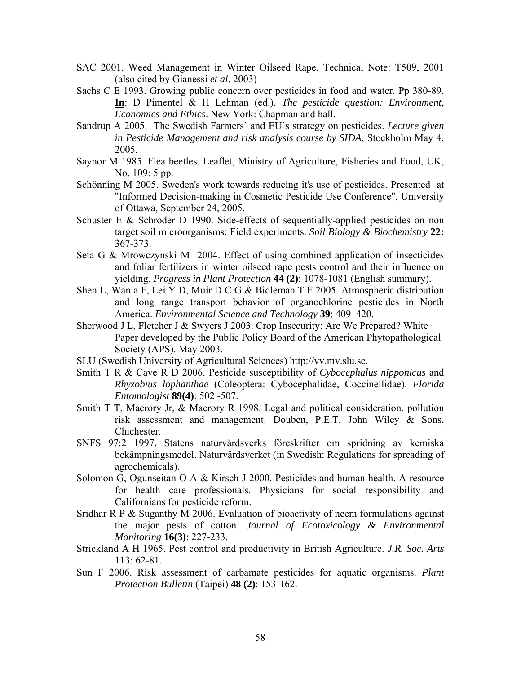- SAC 2001. Weed Management in Winter Oilseed Rape. Technical Note: T509, 2001 (also cited by Gianessi *et al*. 2003)
- Sachs C E 1993. Growing public concern over pesticides in food and water. Pp 380-89. **In**: D Pimentel & H Lehman (ed.). *The pesticide question: Environment, Economics and Ethics*. New York: Chapman and hall.
- Sandrup A 2005. The Swedish Farmers' and EU's strategy on pesticides. *Lecture given in Pesticide Management and risk analysis course by SIDA*, Stockholm May 4, 2005.
- No. 109: 5 pp. Saynor M 1985. Flea beetles. Leaflet, Ministry of Agriculture, Fisheries and Food, UK,
- "Informed Decision-making in Cosmetic Pesticide Use Conference", University Schönning M 2005. Sweden's work towards reducing it's use of pesticides. Presented at of Ottawa, September 24, 2005.
- Schuster E & Schroder D 1990. Side-effects of sequentially-applied pesticides on non target soil microorganisms: Field experiments. *Soil Biology & Biochemistry* **22:**  367-373.
- yielding. *Progress in Plant Protection* 44 (2): 1078-1081 (English summary). Seta G & Mrowczynski M 2004. Effect of using combined application of insecticides and foliar fertilizers in winter oilseed rape pests control and their influence on
- and long range transport behavior of organochlorine pesticides in North Shen L, Wania F, Lei Y D, Muir D C G & Bidleman T F 2005. Atmospheric distribution America. *Environmental Science and Technology* **39**: 409–420.
- Sherwood J L, Fletcher J & Swyers J 2003. Crop Insecurity: Are We Prepared? White Paper developed by the Public Policy Board of the American Phytopathological Society (APS). May 2003.
- SLU (Swedish University of Agricultural Sciences) [http://vv.mv.slu.se.](http://www.sverige.se/sverige/templates/OrgTypePage____9642.aspx)
- *a Rhyzobius lophanthae* (Coleoptera: Cybocephalidae, Coccinellidae). *Florid* Smith T R & Cave R D 2006. Pesticide susceptibility of *Cybocephalus nipponicus* and *Entomologist* **89(4)**: 502 -507.
- Smith T T, Macrory Jr,  $\&$  Macrory R 1998. Legal and political consideration, pollution risk assessment and management. Douben, P.E.T. John Wiley & Sons, Chichester.
- SNFS 97:2 1997**.** Statens naturvårdsverks föreskrifter om spridning av kemiska bekämpningsmedel. Naturvårdsverket (in Swedish: Regulations for spreading of agrochemicals).
- Solomon G, Ogunseitan O A & Kirsch J 2000. Pesticides and human health. A resource for health care professionals. Physicians for social responsibility and Californians for pesticide reform.
- Sridhar R P & Suganthy M 2006. Evaluation of bioactivity of neem formulations against the major pests of cotton. *Journal of Ecotoxicology & Environmental Monitoring* **16(3)**: 227-233.
- Stricklan d A H 1965. Pest control and productivity in British Agriculture. *J.R. Soc. Arts*  113: 62-81.
- Sun F 2006. Risk assessment of carbamate pesticides for aquatic organisms. *Plant Protection Bulletin* (Taipei) **48 (2)**: 153-162.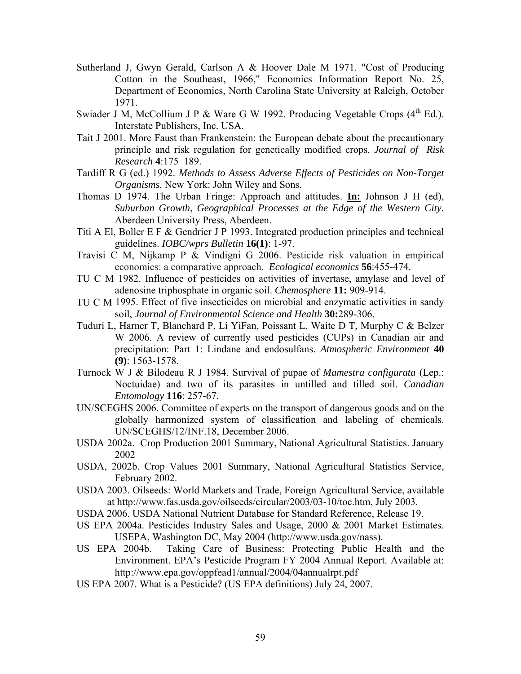- Sutherland J, Gwyn Gerald, Carlson A & Hoover Dale M 1971. "Cost of Producing Cotton in the Southeast, 1966," Economics Information Report No. 25, Department of Economics, North Carolina State University at Raleigh, October 1971.
- Swiader J M, McCollium J P & Ware G W 1992. Producing V egetable Crops  $(4^{th}$  Ed.). Interstate Publishers, Inc. USA.
- Tait J 20 01. More Faust than Frankenstein: the European debate about the precautionary principle and risk regulation for genetically modified crops. *Journal of Risk Research* **4**:175–189.
- Tardiff R G (ed.) 1992. *Methods to Assess Adverse Effects of Pesticides on Non-Target Organisms*. New York: John Wiley and Sons.
- Thomas D 1974. The Urban Fringe: Approach and attitudes. **In:** Johnson J H (ed), *Suburban Growth*, *Geographical Processes at the Edge of the Western City.* Aberdeen University Press, Aberdeen.
- Titi A El, Boller E F & Gendrier J P 1993. Integrated production principles and technical . *IOBC/wprs Bulletin* **16(1)**: 1-97. guidelines
- Travisi C M, Nijkamp P & Vindigni G 2006. Pesticide risk valuation in empirical economics: a comparative approach. *Ecological economics* **56**:455-474.
- TU C M 1982. Influence of pesticides on activities of invertase, amylase and level of adenosine triphosphate in organic soil. *Chemosphere* **11:** 909-914.
- TU C M 1995. Effect of five insecticides on microbial and enzymatic activities in sandy soil, *Journal of Environmental Science and Health* **30:**289-306.
- Tuduri L, Harner T, Blanchard P, Li YiFan, Poissant L, Waite D T, Murphy C & Belzer precipitation: Part 1: Lindane and endosulfans. Atmospheric Environment 40 W 2006. A review of currently used pesticides (CUPs) in Canadian air and **(9)**: 1563-1578.
- Turnock W J & Bilodeau R J 1984. Survival of pupae of *Mamestra configurata* (Lep.: Noctuidae) and two of its parasites in untilled and tilled soil. *Canadian Entomology* **116**: 257-67.
- UN/SCEGHS/12/INF.18, December 2006. UN/SCEGHS 2006. Committee of experts on the transport of dangerous goods and on the globally harmonized system of classification and labeling of chemicals.
- USDA 2002a. Crop Production 2001 Summary, National Agricultural Statistics. January 2002
- USDA, 2002b. Crop Values 2001 Summary, National Agricultural Statistics Service, February 2002.
- USDA 20 03. Oilseeds: World Markets and Trade, Foreign Agricultural Service, available at http://www.fas.usda.gov/oilseeds/circular/2003/03-10/toc.htm, July 2003.
- USDA 2006. USDA National Nutrient Database for Standard Reference, Release 19.
- US EPA 2004a. Pesticides Industry Sales and Usage, 2000 & 2001 Market Estimates. USEPA, Washington DC, May 2004 (http://www.usda.gov/nass).
- Environment. EPA's Pesticide Program FY 2004 Annual Report. Available at: US EPA 2004b. Taking Care of Business: Protecting Public Health and the http://www.epa.gov/oppfead1/annual/2004/04annualrpt.pdf
- US EPA 2007. What is a Pesticide? (US EPA definitions) July 24, 2007.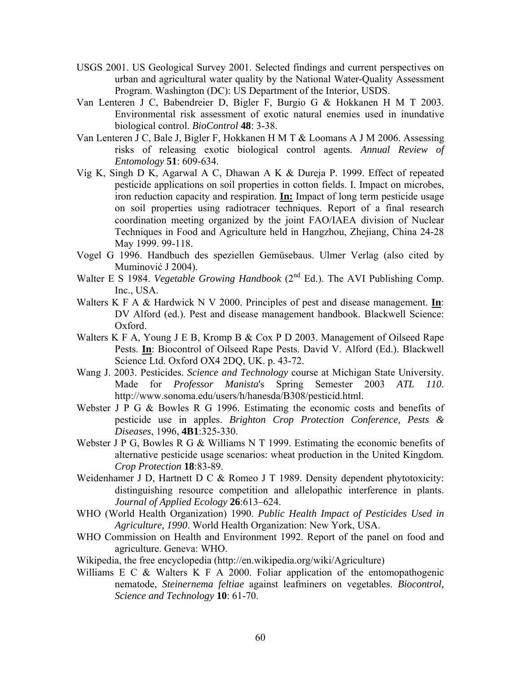- USGS 2001. US Geological Survey 2001. Selected findings and current perspectives on urban and agricultural water quality by the National Water-Quality Assessment Program. Washington (DC): US Department of the Interior, USDS.
- Van Lenteren J C, Babendreier D, Bigler F, Burgio G & Hokkanen H M T 2003. : 3-38. biological control. *BioControl* **48** Environmental risk assessment of exotic natural enemies used in inundative
- 34. *Entomology* **51**: 609-6 Van Lenteren J C, Bale J, Bigler F, Hokkanen H M T & Loomans A J M 2006. Assessing risks of releasing exotic biological control agents. *Annual Review of*
- pesticide applications on soil properties in cotton fields. I. Impact on microbes, Vig K, Singh D K, Agarwal A C, Dhawan A K & Dureja P. 1999. Effect of repeated iron reduction capacity and respiration. **In:** Impact of long term pesticide usage on soil properties using radiotracer techniques. Report of a final research coordination meeting organized by the joint FAO/IAEA division of Nuclear Techniques in Food and Agriculture held in Hangzhou, Zhejiang, China 24-28 May 1999. 99-118.
- Vogel G 1996. Handbuch des speziellen Gemüsebaus. Ulmer Verlag (also cited by Muminović J 2004).
- Walter E S 1984. *Vegetable Growing Handbook* ( $2<sup>nd</sup> Ed$ ). The AVI Publishing Comp. Inc., USA.
- Walters K F A & Hardwick N V 2000. Principles of pest and disease management. **In**: DV Alford (ed.). Pest and disease management handbook. Blackwell Science: Oxford.
- Walters K F A, Young J E B, Kromp B & Cox P D 2003. Management of Oilseed Rape Pests. **In**: Biocontrol of Oilseed Rape Pests. David V. Alford (Ed.). Blackwell Science Ltd. Oxford OX4 2DQ, UK. p. 43-72.
- http://www.sonoma.edu/users/h/hanesda/B308/pesticid.html. Wang J. 2003. Pesticides. *Science and Technology* course at Michigan State University. Made for *Professor Manista*'s Spring Semester 2003 *ATL 110*.
- Webster J P G & Bowles R G 1996. Estimating the economic costs and benefits of pesticide use in apples. *Brighton Crop Protection Conference, Pests & Diseases*, 1996, **4B1**:325-330.
- alternative pesticide usage scenarios: wheat production in the United Kingdom. Webster J P G, Bowles R G & Williams N T 1999. Estimating the economic benefits of *Crop Protection* **18**:83-89.
- Weidenhamer J D, Hartnett D C & Romeo J T 1989. Density dependent phytotoxicity: distinguishing resource competition and allelopathic interference in plants. *Journal of Applied Ecology* **26**:613–624.
- WHO (World Health Organization) 1990. Public Health Impact of Pesticides Used in *Agriculture, 1990*. World Health Organization: New York, USA.
- WHO Commission on Health and Environment 1992. Report of the panel on food and agriculture. Geneva: WHO.
- Wikipedi a, the free encyclopedia ([http://en.wikipedia.org/wiki/Agriculture](http://www.epa.gov/oppfead1/annual/2004/04annualrpt.pdf))
- Williams  $E C & Walters K F A 2000$ . Foliar application of the entomopathogenic nematode, Steinernema feltiae against leafminers on vegetables. Biocontrol, *Science and Technology* **10**: 61-70.